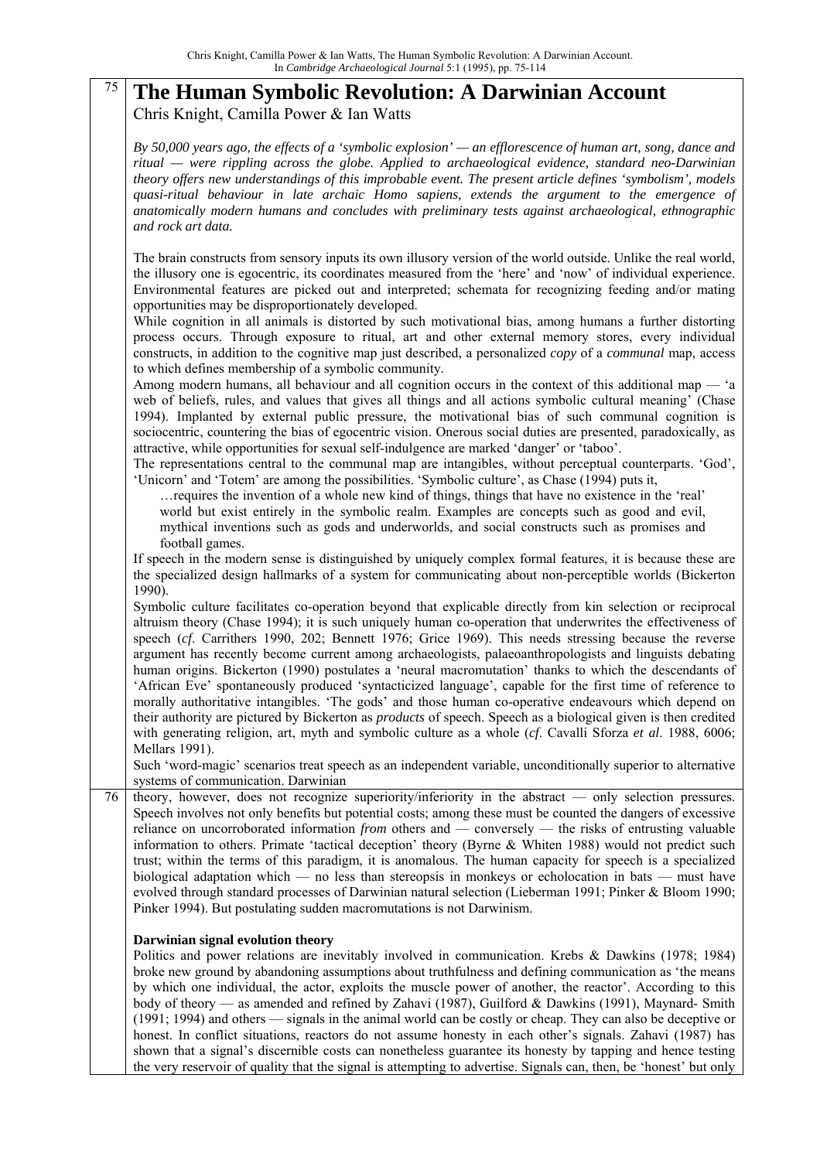| 75 | The Human Symbolic Revolution: A Darwinian Account<br>Chris Knight, Camilla Power & Ian Watts                                                                                                                                                                                                                                                                                                                                                                                                                                                                                                                                                                                                                                                                                                                                                                                                                                                                                                                                         |
|----|---------------------------------------------------------------------------------------------------------------------------------------------------------------------------------------------------------------------------------------------------------------------------------------------------------------------------------------------------------------------------------------------------------------------------------------------------------------------------------------------------------------------------------------------------------------------------------------------------------------------------------------------------------------------------------------------------------------------------------------------------------------------------------------------------------------------------------------------------------------------------------------------------------------------------------------------------------------------------------------------------------------------------------------|
|    | By 50,000 years ago, the effects of a 'symbolic explosion' — an efflorescence of human art, song, dance and<br>ritual — were rippling across the globe. Applied to archaeological evidence, standard neo-Darwinian<br>theory offers new understandings of this improbable event. The present article defines 'symbolism', models<br>quasi-ritual behaviour in late archaic Homo sapiens, extends the argument to the emergence of<br>anatomically modern humans and concludes with preliminary tests against archaeological, ethnographic<br>and rock art data.                                                                                                                                                                                                                                                                                                                                                                                                                                                                       |
|    | The brain constructs from sensory inputs its own illusory version of the world outside. Unlike the real world,<br>the illusory one is egocentric, its coordinates measured from the 'here' and 'now' of individual experience.<br>Environmental features are picked out and interpreted; schemata for recognizing feeding and/or mating<br>opportunities may be disproportionately developed.                                                                                                                                                                                                                                                                                                                                                                                                                                                                                                                                                                                                                                         |
|    | While cognition in all animals is distorted by such motivational bias, among humans a further distorting<br>process occurs. Through exposure to ritual, art and other external memory stores, every individual<br>constructs, in addition to the cognitive map just described, a personalized <i>copy</i> of a <i>communal</i> map, access<br>to which defines membership of a symbolic community.                                                                                                                                                                                                                                                                                                                                                                                                                                                                                                                                                                                                                                    |
|    | Among modern humans, all behaviour and all cognition occurs in the context of this additional map — 'a<br>web of beliefs, rules, and values that gives all things and all actions symbolic cultural meaning' (Chase<br>1994). Implanted by external public pressure, the motivational bias of such communal cognition is<br>sociocentric, countering the bias of egocentric vision. Onerous social duties are presented, paradoxically, as<br>attractive, while opportunities for sexual self-indulgence are marked 'danger' or 'taboo'.                                                                                                                                                                                                                                                                                                                                                                                                                                                                                              |
|    | The representations central to the communal map are intangibles, without perceptual counterparts. 'God',<br>'Unicorn' and 'Totem' are among the possibilities. 'Symbolic culture', as Chase (1994) puts it,<br>requires the invention of a whole new kind of things, things that have no existence in the 'real'<br>world but exist entirely in the symbolic realm. Examples are concepts such as good and evil,<br>mythical inventions such as gods and underworlds, and social constructs such as promises and<br>football games.                                                                                                                                                                                                                                                                                                                                                                                                                                                                                                   |
|    | If speech in the modern sense is distinguished by uniquely complex formal features, it is because these are<br>the specialized design hallmarks of a system for communicating about non-perceptible worlds (Bickerton<br>1990).                                                                                                                                                                                                                                                                                                                                                                                                                                                                                                                                                                                                                                                                                                                                                                                                       |
|    | Symbolic culture facilitates co-operation beyond that explicable directly from kin selection or reciprocal<br>altruism theory (Chase 1994); it is such uniquely human co-operation that underwrites the effectiveness of<br>speech (cf. Carrithers 1990, 202; Bennett 1976; Grice 1969). This needs stressing because the reverse<br>argument has recently become current among archaeologists, palaeoanthropologists and linguists debating<br>human origins. Bickerton (1990) postulates a 'neural macromutation' thanks to which the descendants of<br>'African Eve' spontaneously produced 'syntacticized language', capable for the first time of reference to<br>morally authoritative intangibles. 'The gods' and those human co-operative endeavours which depend on<br>their authority are pictured by Bickerton as <i>products</i> of speech. Speech as a biological given is then credited<br>with generating religion, art, myth and symbolic culture as a whole (cf. Cavalli Sforza et al. 1988, 6006;<br>Mellars 1991). |
|    | Such 'word-magic' scenarios treat speech as an independent variable, unconditionally superior to alternative<br>systems of communication. Darwinian                                                                                                                                                                                                                                                                                                                                                                                                                                                                                                                                                                                                                                                                                                                                                                                                                                                                                   |
| 76 | theory, however, does not recognize superiority/inferiority in the abstract — only selection pressures.<br>Speech involves not only benefits but potential costs; among these must be counted the dangers of excessive<br>reliance on uncorroborated information <i>from</i> others and — conversely — the risks of entrusting valuable<br>information to others. Primate 'tactical deception' theory (Byrne & Whiten 1988) would not predict such<br>trust; within the terms of this paradigm, it is anomalous. The human capacity for speech is a specialized<br>biological adaptation which — no less than stereopsis in monkeys or echolocation in bats — must have<br>evolved through standard processes of Darwinian natural selection (Lieberman 1991; Pinker & Bloom 1990;<br>Pinker 1994). But postulating sudden macromutations is not Darwinism.                                                                                                                                                                           |
|    | Darwinian signal evolution theory<br>Politics and power relations are inevitably involved in communication. Krebs & Dawkins (1978; 1984)<br>broke new ground by abandoning assumptions about truthfulness and defining communication as 'the means<br>by which one individual, the actor, exploits the muscle power of another, the reactor'. According to this<br>body of theory — as amended and refined by Zahavi (1987), Guilford & Dawkins (1991), Maynard- Smith<br>(1991; 1994) and others — signals in the animal world can be costly or cheap. They can also be deceptive or<br>honest. In conflict situations, reactors do not assume honesty in each other's signals. Zahavi (1987) has<br>shown that a signal's discernible costs can nonetheless guarantee its honesty by tapping and hence testing                                                                                                                                                                                                                      |
|    | the very reservoir of quality that the signal is attempting to advertise. Signals can, then, be 'honest' but only                                                                                                                                                                                                                                                                                                                                                                                                                                                                                                                                                                                                                                                                                                                                                                                                                                                                                                                     |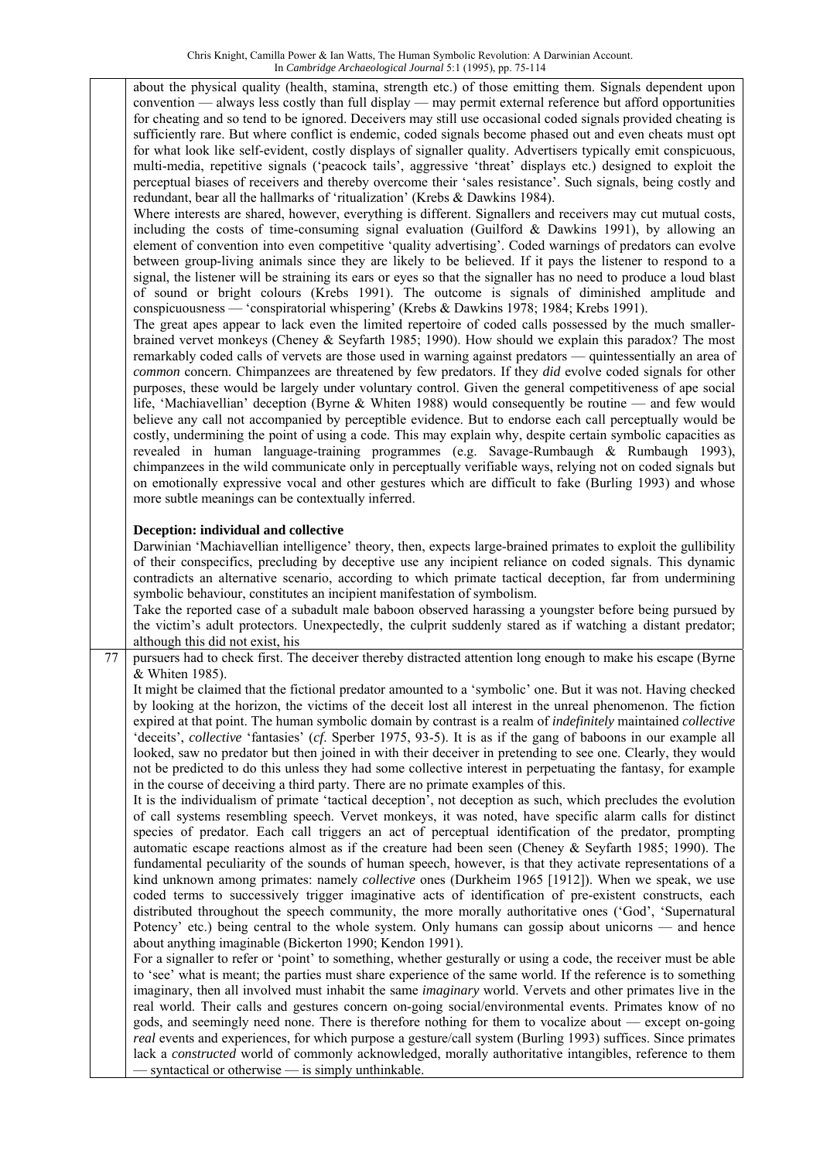about the physical quality (health, stamina, strength etc.) of those emitting them. Signals dependent upon convention — always less costly than full display — may permit external reference but afford opportunities for cheating and so tend to be ignored. Deceivers may still use occasional coded signals provided cheating is sufficiently rare. But where conflict is endemic, coded signals become phased out and even cheats must opt for what look like self-evident, costly displays of signaller quality. Advertisers typically emit conspicuous, multi-media, repetitive signals ('peacock tails', aggressive 'threat' displays etc.) designed to exploit the perceptual biases of receivers and thereby overcome their 'sales resistance'. Such signals, being costly and redundant, bear all the hallmarks of 'ritualization' (Krebs & Dawkins 1984).

Where interests are shared, however, everything is different. Signallers and receivers may cut mutual costs, including the costs of time-consuming signal evaluation (Guilford  $\&$  Dawkins 1991), by allowing an element of convention into even competitive 'quality advertising'. Coded warnings of predators can evolve between group-living animals since they are likely to be believed. If it pays the listener to respond to a signal, the listener will be straining its ears or eyes so that the signaller has no need to produce a loud blast of sound or bright colours (Krebs 1991). The outcome is signals of diminished amplitude and conspicuousness — 'conspiratorial whispering' (Krebs & Dawkins 1978; 1984; Krebs 1991).

The great apes appear to lack even the limited repertoire of coded calls possessed by the much smallerbrained vervet monkeys (Cheney & Seyfarth 1985; 1990). How should we explain this paradox? The most remarkably coded calls of vervets are those used in warning against predators — quintessentially an area of *common* concern. Chimpanzees are threatened by few predators. If they *did* evolve coded signals for other purposes, these would be largely under voluntary control. Given the general competitiveness of ape social life, 'Machiavellian' deception (Byrne & Whiten 1988) would consequently be routine — and few would believe any call not accompanied by perceptible evidence. But to endorse each call perceptually would be costly, undermining the point of using a code. This may explain why, despite certain symbolic capacities as revealed in human language-training programmes (e.g. Savage-Rumbaugh & Rumbaugh 1993), chimpanzees in the wild communicate only in perceptually verifiable ways, relying not on coded signals but on emotionally expressive vocal and other gestures which are difficult to fake (Burling 1993) and whose more subtle meanings can be contextually inferred.

# **Deception: individual and collective**

Darwinian 'Machiavellian intelligence' theory, then, expects large-brained primates to exploit the gullibility of their conspecifics, precluding by deceptive use any incipient reliance on coded signals. This dynamic contradicts an alternative scenario, according to which primate tactical deception, far from undermining symbolic behaviour, constitutes an incipient manifestation of symbolism.

Take the reported case of a subadult male baboon observed harassing a youngster before being pursued by the victim's adult protectors. Unexpectedly, the culprit suddenly stared as if watching a distant predator; although this did not exist, his

## 77 pursuers had to check first. The deceiver thereby distracted attention long enough to make his escape (Byrne & Whiten 1985).

It might be claimed that the fictional predator amounted to a 'symbolic' one. But it was not. Having checked by looking at the horizon, the victims of the deceit lost all interest in the unreal phenomenon. The fiction expired at that point. The human symbolic domain by contrast is a realm of *indefinitely* maintained *collective* 'deceits', *collective* 'fantasies' (*cf*. Sperber 1975, 93-5). It is as if the gang of baboons in our example all looked, saw no predator but then joined in with their deceiver in pretending to see one. Clearly, they would not be predicted to do this unless they had some collective interest in perpetuating the fantasy, for example in the course of deceiving a third party. There are no primate examples of this.

It is the individualism of primate 'tactical deception', not deception as such, which precludes the evolution of call systems resembling speech. Vervet monkeys, it was noted, have specific alarm calls for distinct species of predator. Each call triggers an act of perceptual identification of the predator, prompting automatic escape reactions almost as if the creature had been seen (Cheney & Seyfarth 1985; 1990). The fundamental peculiarity of the sounds of human speech, however, is that they activate representations of a kind unknown among primates: namely *collective* ones (Durkheim 1965 [1912]). When we speak, we use coded terms to successively trigger imaginative acts of identification of pre-existent constructs, each distributed throughout the speech community, the more morally authoritative ones ('God', 'Supernatural Potency' etc.) being central to the whole system. Only humans can gossip about unicorns — and hence about anything imaginable (Bickerton 1990; Kendon 1991).

For a signaller to refer or 'point' to something, whether gesturally or using a code, the receiver must be able to 'see' what is meant; the parties must share experience of the same world. If the reference is to something imaginary, then all involved must inhabit the same *imaginary* world. Vervets and other primates live in the real world. Their calls and gestures concern on-going social/environmental events. Primates know of no gods, and seemingly need none. There is therefore nothing for them to vocalize about — except on-going *real* events and experiences, for which purpose a gesture/call system (Burling 1993) suffices. Since primates lack a *constructed* world of commonly acknowledged, morally authoritative intangibles, reference to them — syntactical or otherwise — is simply unthinkable.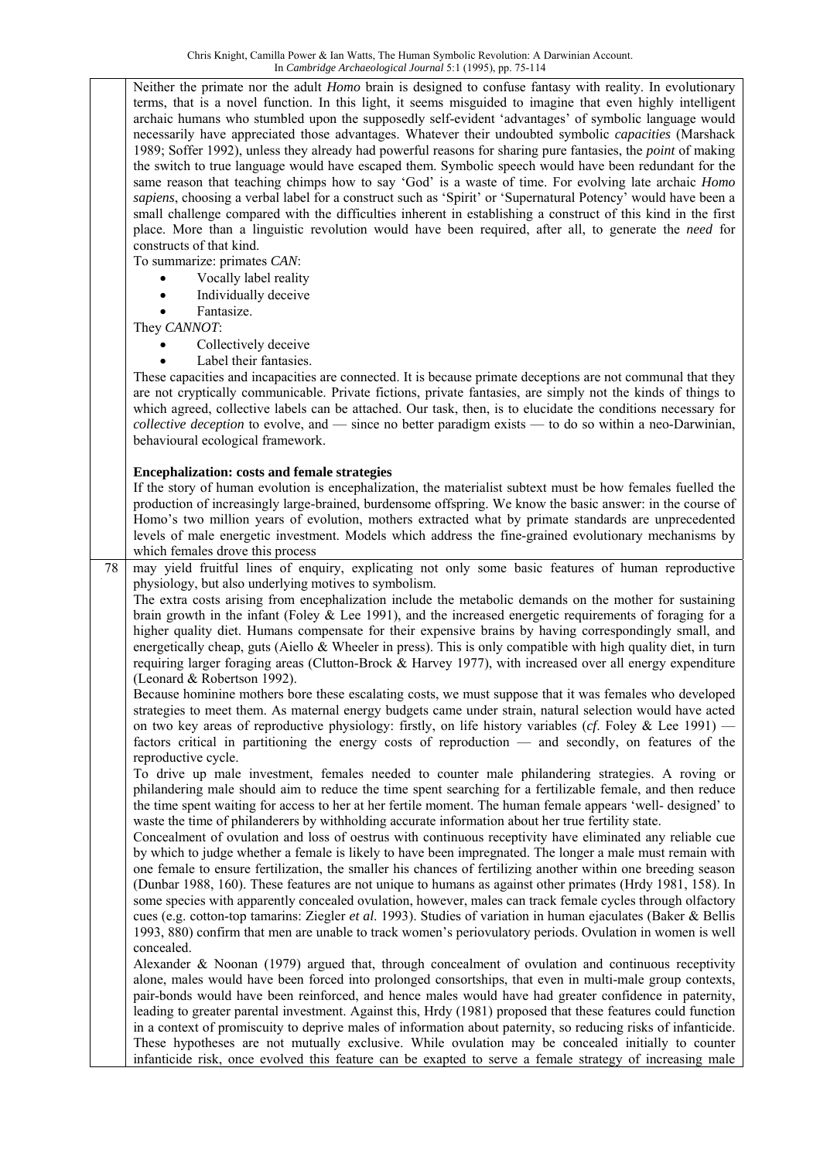Neither the primate nor the adult *Homo* brain is designed to confuse fantasy with reality. In evolutionary terms, that is a novel function. In this light, it seems misguided to imagine that even highly intelligent archaic humans who stumbled upon the supposedly self-evident 'advantages' of symbolic language would necessarily have appreciated those advantages. Whatever their undoubted symbolic *capacities* (Marshack 1989; Soffer 1992), unless they already had powerful reasons for sharing pure fantasies, the *point* of making the switch to true language would have escaped them. Symbolic speech would have been redundant for the same reason that teaching chimps how to say 'God' is a waste of time. For evolving late archaic *Homo sapiens*, choosing a verbal label for a construct such as 'Spirit' or 'Supernatural Potency' would have been a small challenge compared with the difficulties inherent in establishing a construct of this kind in the first place. More than a linguistic revolution would have been required, after all, to generate the *need* for constructs of that kind.

To summarize: primates *CAN*:

- Vocally label reality
- Individually deceive

• Fantasize.

They *CANNOT*:

- Collectively deceive
- Label their fantasies.

These capacities and incapacities are connected. It is because primate deceptions are not communal that they are not cryptically communicable. Private fictions, private fantasies, are simply not the kinds of things to which agreed, collective labels can be attached. Our task, then, is to elucidate the conditions necessary for *collective deception* to evolve, and — since no better paradigm exists — to do so within a neo-Darwinian, behavioural ecological framework.

## **Encephalization: costs and female strategies**

If the story of human evolution is encephalization, the materialist subtext must be how females fuelled the production of increasingly large-brained, burdensome offspring. We know the basic answer: in the course of Homo's two million years of evolution, mothers extracted what by primate standards are unprecedented levels of male energetic investment. Models which address the fine-grained evolutionary mechanisms by which females drove this process

78 may yield fruitful lines of enquiry, explicating not only some basic features of human reproductive physiology, but also underlying motives to symbolism.

The extra costs arising from encephalization include the metabolic demands on the mother for sustaining brain growth in the infant (Foley  $&$  Lee 1991), and the increased energetic requirements of foraging for a higher quality diet. Humans compensate for their expensive brains by having correspondingly small, and energetically cheap, guts (Aiello & Wheeler in press). This is only compatible with high quality diet, in turn requiring larger foraging areas (Clutton-Brock & Harvey 1977), with increased over all energy expenditure (Leonard & Robertson 1992).

Because hominine mothers bore these escalating costs, we must suppose that it was females who developed strategies to meet them. As maternal energy budgets came under strain, natural selection would have acted on two key areas of reproductive physiology: firstly, on life history variables  $(cf.$  Foley  $\&$  Lee 1991)  $\cdot$ factors critical in partitioning the energy costs of reproduction — and secondly, on features of the reproductive cycle.

To drive up male investment, females needed to counter male philandering strategies. A roving or philandering male should aim to reduce the time spent searching for a fertilizable female, and then reduce the time spent waiting for access to her at her fertile moment. The human female appears 'well- designed' to waste the time of philanderers by withholding accurate information about her true fertility state.

Concealment of ovulation and loss of oestrus with continuous receptivity have eliminated any reliable cue by which to judge whether a female is likely to have been impregnated. The longer a male must remain with one female to ensure fertilization, the smaller his chances of fertilizing another within one breeding season (Dunbar 1988, 160). These features are not unique to humans as against other primates (Hrdy 1981, 158). In some species with apparently concealed ovulation, however, males can track female cycles through olfactory cues (e.g. cotton-top tamarins: Ziegler *et al*. 1993). Studies of variation in human ejaculates (Baker & Bellis 1993, 880) confirm that men are unable to track women's periovulatory periods. Ovulation in women is well concealed.

Alexander & Noonan (1979) argued that, through concealment of ovulation and continuous receptivity alone, males would have been forced into prolonged consortships, that even in multi-male group contexts, pair-bonds would have been reinforced, and hence males would have had greater confidence in paternity, leading to greater parental investment. Against this, Hrdy (1981) proposed that these features could function in a context of promiscuity to deprive males of information about paternity, so reducing risks of infanticide. These hypotheses are not mutually exclusive. While ovulation may be concealed initially to counter infanticide risk, once evolved this feature can be exapted to serve a female strategy of increasing male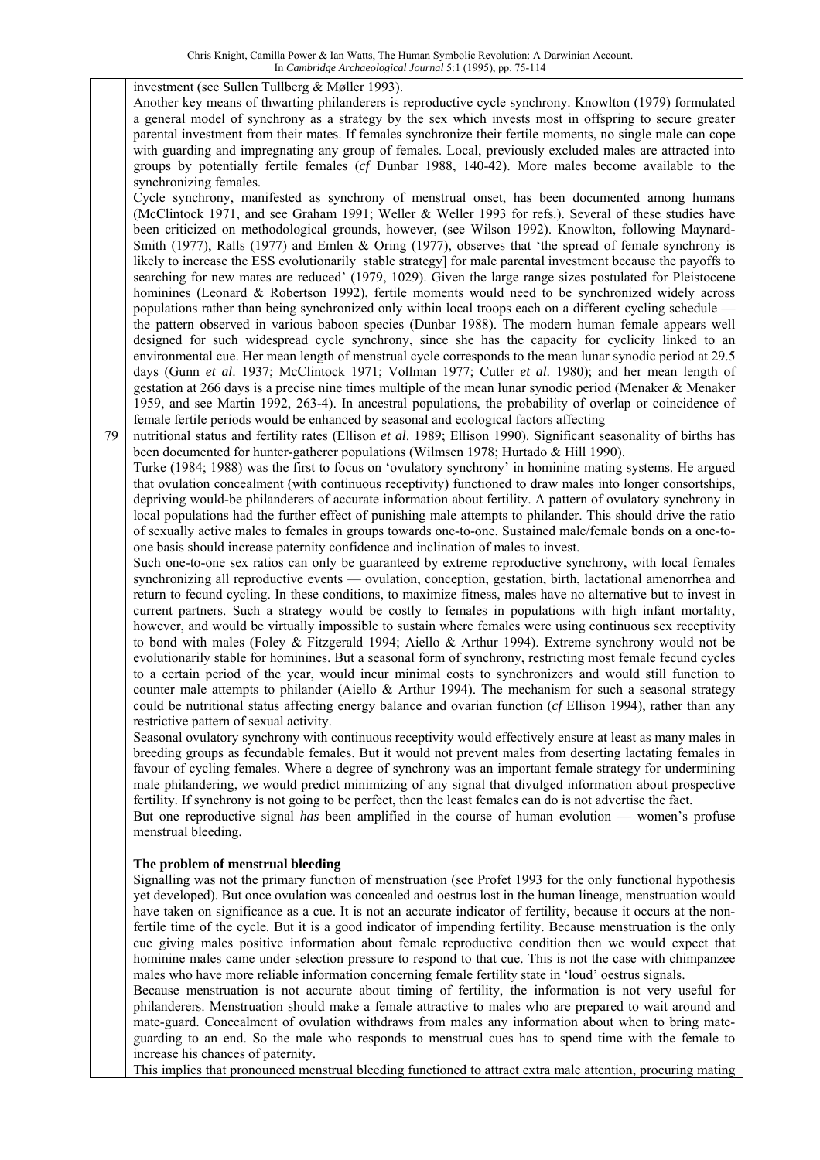|    | investment (see Sullen Tullberg & Møller 1993).<br>Another key means of thwarting philanderers is reproductive cycle synchrony. Knowlton (1979) formulated<br>a general model of synchrony as a strategy by the sex which invests most in offspring to secure greater<br>parental investment from their mates. If females synchronize their fertile moments, no single male can cope<br>with guarding and impregnating any group of females. Local, previously excluded males are attracted into<br>groups by potentially fertile females (cf Dunbar 1988, 140-42). More males become available to the<br>synchronizing females.<br>Cycle synchrony, manifested as synchrony of menstrual onset, has been documented among humans                                                                                                                                                                                                                                                                                                                                                                                                                                                                                                                                                                                                                                                                                                                                                                                                                                                                                                                                                                                                                                                                                                                                                                                                                                                                                                                                                                                                                                                                                                                                                                                                                                                                                                                                                                                                                                                                                                                                                                                                                                                                                                          |
|----|--------------------------------------------------------------------------------------------------------------------------------------------------------------------------------------------------------------------------------------------------------------------------------------------------------------------------------------------------------------------------------------------------------------------------------------------------------------------------------------------------------------------------------------------------------------------------------------------------------------------------------------------------------------------------------------------------------------------------------------------------------------------------------------------------------------------------------------------------------------------------------------------------------------------------------------------------------------------------------------------------------------------------------------------------------------------------------------------------------------------------------------------------------------------------------------------------------------------------------------------------------------------------------------------------------------------------------------------------------------------------------------------------------------------------------------------------------------------------------------------------------------------------------------------------------------------------------------------------------------------------------------------------------------------------------------------------------------------------------------------------------------------------------------------------------------------------------------------------------------------------------------------------------------------------------------------------------------------------------------------------------------------------------------------------------------------------------------------------------------------------------------------------------------------------------------------------------------------------------------------------------------------------------------------------------------------------------------------------------------------------------------------------------------------------------------------------------------------------------------------------------------------------------------------------------------------------------------------------------------------------------------------------------------------------------------------------------------------------------------------------------------------------------------------------------------------------------------------|
|    | (McClintock 1971, and see Graham 1991; Weller & Weller 1993 for refs.). Several of these studies have<br>been criticized on methodological grounds, however, (see Wilson 1992). Knowlton, following Maynard-<br>Smith (1977), Ralls (1977) and Emlen & Oring (1977), observes that 'the spread of female synchrony is<br>likely to increase the ESS evolutionarily stable strategy] for male parental investment because the payoffs to<br>searching for new mates are reduced' (1979, 1029). Given the large range sizes postulated for Pleistocene<br>hominines (Leonard & Robertson 1992), fertile moments would need to be synchronized widely across                                                                                                                                                                                                                                                                                                                                                                                                                                                                                                                                                                                                                                                                                                                                                                                                                                                                                                                                                                                                                                                                                                                                                                                                                                                                                                                                                                                                                                                                                                                                                                                                                                                                                                                                                                                                                                                                                                                                                                                                                                                                                                                                                                                  |
|    | populations rather than being synchronized only within local troops each on a different cycling schedule —<br>the pattern observed in various baboon species (Dunbar 1988). The modern human female appears well<br>designed for such widespread cycle synchrony, since she has the capacity for cyclicity linked to an<br>environmental cue. Her mean length of menstrual cycle corresponds to the mean lunar synodic period at 29.5<br>days (Gunn et al. 1937; McClintock 1971; Vollman 1977; Cutler et al. 1980); and her mean length of<br>gestation at 266 days is a precise nine times multiple of the mean lunar synodic period (Menaker & Menaker                                                                                                                                                                                                                                                                                                                                                                                                                                                                                                                                                                                                                                                                                                                                                                                                                                                                                                                                                                                                                                                                                                                                                                                                                                                                                                                                                                                                                                                                                                                                                                                                                                                                                                                                                                                                                                                                                                                                                                                                                                                                                                                                                                                  |
|    | 1959, and see Martin 1992, 263-4). In ancestral populations, the probability of overlap or coincidence of                                                                                                                                                                                                                                                                                                                                                                                                                                                                                                                                                                                                                                                                                                                                                                                                                                                                                                                                                                                                                                                                                                                                                                                                                                                                                                                                                                                                                                                                                                                                                                                                                                                                                                                                                                                                                                                                                                                                                                                                                                                                                                                                                                                                                                                                                                                                                                                                                                                                                                                                                                                                                                                                                                                                  |
| 79 | female fertile periods would be enhanced by seasonal and ecological factors affecting<br>nutritional status and fertility rates (Ellison et al. 1989; Ellison 1990). Significant seasonality of births has<br>been documented for hunter-gatherer populations (Wilmsen 1978; Hurtado & Hill 1990).<br>Turke (1984; 1988) was the first to focus on 'ovulatory synchrony' in hominine mating systems. He argued<br>that ovulation concealment (with continuous receptivity) functioned to draw males into longer consortships,<br>depriving would-be philanderers of accurate information about fertility. A pattern of ovulatory synchrony in<br>local populations had the further effect of punishing male attempts to philander. This should drive the ratio<br>of sexually active males to females in groups towards one-to-one. Sustained male/female bonds on a one-to-<br>one basis should increase paternity confidence and inclination of males to invest.<br>Such one-to-one sex ratios can only be guaranteed by extreme reproductive synchrony, with local females<br>synchronizing all reproductive events — ovulation, conception, gestation, birth, lactational amenorrhea and<br>return to fecund cycling. In these conditions, to maximize fitness, males have no alternative but to invest in<br>current partners. Such a strategy would be costly to females in populations with high infant mortality,<br>however, and would be virtually impossible to sustain where females were using continuous sex receptivity<br>to bond with males (Foley & Fitzgerald 1994; Aiello & Arthur 1994). Extreme synchrony would not be<br>evolutionarily stable for hominines. But a seasonal form of synchrony, restricting most female fecund cycles<br>to a certain period of the year, would incur minimal costs to synchronizers and would still function to<br>counter male attempts to philander (Aiello & Arthur 1994). The mechanism for such a seasonal strategy<br>could be nutritional status affecting energy balance and ovarian function (cf Ellison 1994), rather than any<br>restrictive pattern of sexual activity.<br>Seasonal ovulatory synchrony with continuous receptivity would effectively ensure at least as many males in<br>breeding groups as fecundable females. But it would not prevent males from deserting lactating females in<br>favour of cycling females. Where a degree of synchrony was an important female strategy for undermining<br>male philandering, we would predict minimizing of any signal that divulged information about prospective<br>fertility. If synchrony is not going to be perfect, then the least females can do is not advertise the fact.<br>But one reproductive signal has been amplified in the course of human evolution — women's profuse<br>menstrual bleeding. |
|    | The problem of menstrual bleeding<br>Signalling was not the primary function of menstruation (see Profet 1993 for the only functional hypothesis<br>yet developed). But once ovulation was concealed and oestrus lost in the human lineage, menstruation would<br>have taken on significance as a cue. It is not an accurate indicator of fertility, because it occurs at the non-<br>fertile time of the cycle. But it is a good indicator of impending fertility. Because menstruation is the only<br>cue giving males positive information about female reproductive condition then we would expect that<br>hominine males came under selection pressure to respond to that cue. This is not the case with chimpanzee<br>males who have more reliable information concerning female fertility state in 'loud' oestrus signals.<br>Because menstruation is not accurate about timing of fertility, the information is not very useful for<br>philanderers. Menstruation should make a female attractive to males who are prepared to wait around and<br>mate-guard. Concealment of ovulation withdraws from males any information about when to bring mate-                                                                                                                                                                                                                                                                                                                                                                                                                                                                                                                                                                                                                                                                                                                                                                                                                                                                                                                                                                                                                                                                                                                                                                                                                                                                                                                                                                                                                                                                                                                                                                                                                                                                              |

increase his chances of paternity. This implies that pronounced menstrual bleeding functioned to attract extra male attention, procuring mating

guarding to an end. So the male who responds to menstrual cues has to spend time with the female to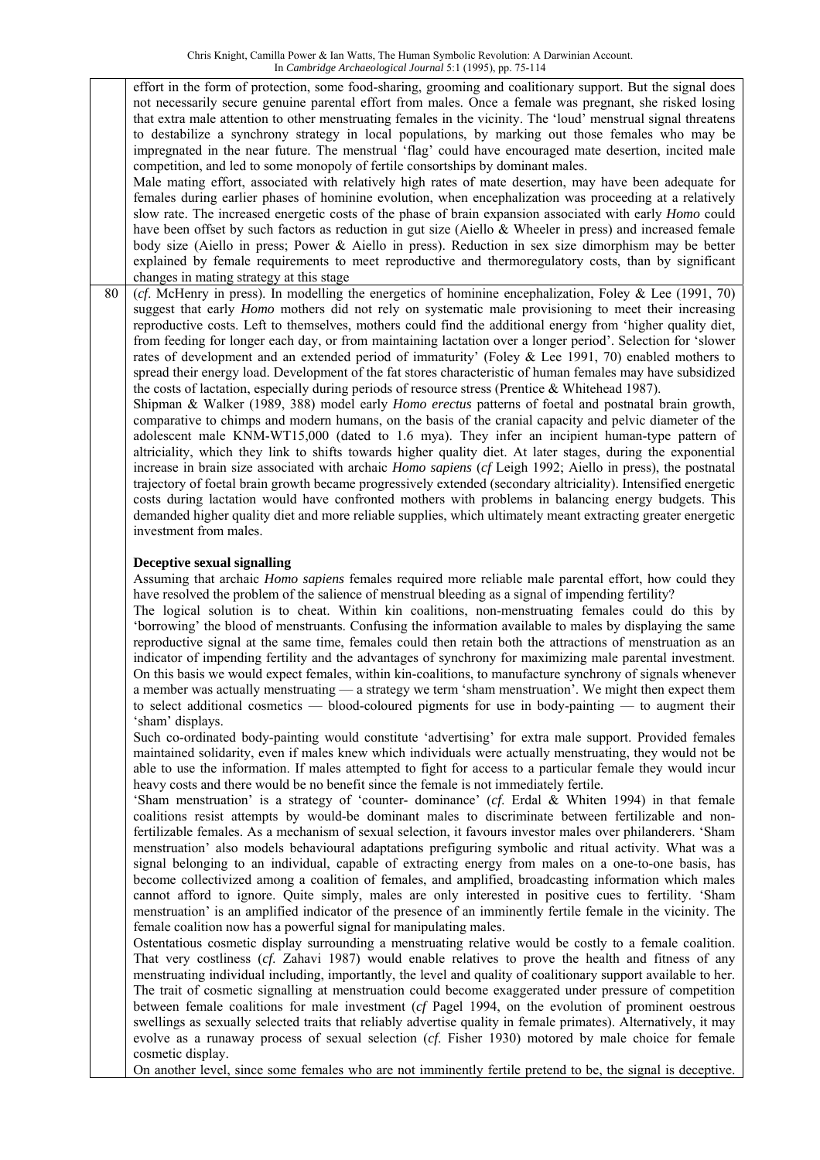effort in the form of protection, some food-sharing, grooming and coalitionary support. But the signal does not necessarily secure genuine parental effort from males. Once a female was pregnant, she risked losing that extra male attention to other menstruating females in the vicinity. The 'loud' menstrual signal threatens to destabilize a synchrony strategy in local populations, by marking out those females who may be impregnated in the near future. The menstrual 'flag' could have encouraged mate desertion, incited male competition, and led to some monopoly of fertile consortships by dominant males.

Male mating effort, associated with relatively high rates of mate desertion, may have been adequate for females during earlier phases of hominine evolution, when encephalization was proceeding at a relatively slow rate. The increased energetic costs of the phase of brain expansion associated with early *Homo* could have been offset by such factors as reduction in gut size (Aiello & Wheeler in press) and increased female body size (Aiello in press; Power & Aiello in press). Reduction in sex size dimorphism may be better explained by female requirements to meet reproductive and thermoregulatory costs, than by significant changes in mating strategy at this stage

80 (*cf*. McHenry in press). In modelling the energetics of hominine encephalization, Foley & Lee (1991, 70) suggest that early *Homo* mothers did not rely on systematic male provisioning to meet their increasing reproductive costs. Left to themselves, mothers could find the additional energy from 'higher quality diet, from feeding for longer each day, or from maintaining lactation over a longer period'. Selection for 'slower rates of development and an extended period of immaturity' (Foley & Lee 1991, 70) enabled mothers to spread their energy load. Development of the fat stores characteristic of human females may have subsidized the costs of lactation, especially during periods of resource stress (Prentice & Whitehead 1987).

Shipman & Walker (1989, 388) model early *Homo erectus* patterns of foetal and postnatal brain growth, comparative to chimps and modern humans, on the basis of the cranial capacity and pelvic diameter of the adolescent male KNM-WT15,000 (dated to 1.6 mya). They infer an incipient human-type pattern of altriciality, which they link to shifts towards higher quality diet. At later stages, during the exponential increase in brain size associated with archaic *Homo sapiens* (*cf* Leigh 1992; Aiello in press), the postnatal trajectory of foetal brain growth became progressively extended (secondary altriciality). Intensified energetic costs during lactation would have confronted mothers with problems in balancing energy budgets. This demanded higher quality diet and more reliable supplies, which ultimately meant extracting greater energetic investment from males.

# **Deceptive sexual signalling**

Assuming that archaic *Homo sapiens* females required more reliable male parental effort, how could they have resolved the problem of the salience of menstrual bleeding as a signal of impending fertility?

The logical solution is to cheat. Within kin coalitions, non-menstruating females could do this by 'borrowing' the blood of menstruants. Confusing the information available to males by displaying the same reproductive signal at the same time, females could then retain both the attractions of menstruation as an indicator of impending fertility and the advantages of synchrony for maximizing male parental investment. On this basis we would expect females, within kin-coalitions, to manufacture synchrony of signals whenever a member was actually menstruating — a strategy we term 'sham menstruation'. We might then expect them to select additional cosmetics — blood-coloured pigments for use in body-painting — to augment their 'sham' displays.

Such co-ordinated body-painting would constitute 'advertising' for extra male support. Provided females maintained solidarity, even if males knew which individuals were actually menstruating, they would not be able to use the information. If males attempted to fight for access to a particular female they would incur heavy costs and there would be no benefit since the female is not immediately fertile.

'Sham menstruation' is a strategy of 'counter- dominance' (*cf*. Erdal & Whiten 1994) in that female coalitions resist attempts by would-be dominant males to discriminate between fertilizable and nonfertilizable females. As a mechanism of sexual selection, it favours investor males over philanderers. 'Sham menstruation' also models behavioural adaptations prefiguring symbolic and ritual activity. What was a signal belonging to an individual, capable of extracting energy from males on a one-to-one basis, has become collectivized among a coalition of females, and amplified, broadcasting information which males cannot afford to ignore. Quite simply, males are only interested in positive cues to fertility. 'Sham menstruation' is an amplified indicator of the presence of an imminently fertile female in the vicinity. The female coalition now has a powerful signal for manipulating males.

Ostentatious cosmetic display surrounding a menstruating relative would be costly to a female coalition. That very costliness (*cf*. Zahavi 1987) would enable relatives to prove the health and fitness of any menstruating individual including, importantly, the level and quality of coalitionary support available to her. The trait of cosmetic signalling at menstruation could become exaggerated under pressure of competition between female coalitions for male investment (*cf* Pagel 1994, on the evolution of prominent oestrous swellings as sexually selected traits that reliably advertise quality in female primates). Alternatively, it may evolve as a runaway process of sexual selection (*cf*. Fisher 1930) motored by male choice for female cosmetic display.

On another level, since some females who are not imminently fertile pretend to be, the signal is deceptive.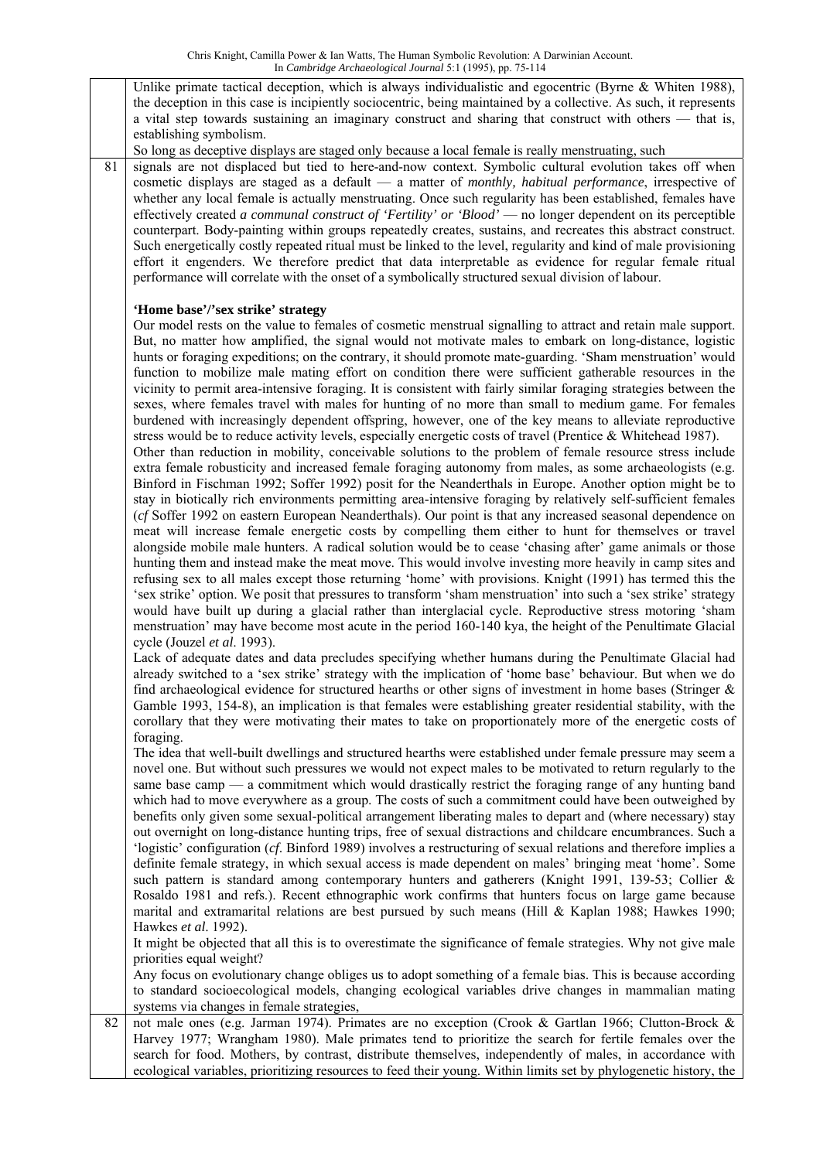Unlike primate tactical deception, which is always individualistic and egocentric (Byrne  $\&$  Whiten 1988), the deception in this case is incipiently sociocentric, being maintained by a collective. As such, it represents a vital step towards sustaining an imaginary construct and sharing that construct with others — that is, establishing symbolism.

So long as deceptive displays are staged only because a local female is really menstruating, such

81 signals are not displaced but tied to here-and-now context. Symbolic cultural evolution takes off when cosmetic displays are staged as a default — a matter of *monthly, habitual performance*, irrespective of whether any local female is actually menstruating. Once such regularity has been established, females have effectively created *a communal construct of 'Fertility' or 'Blood'* — no longer dependent on its perceptible counterpart. Body-painting within groups repeatedly creates, sustains, and recreates this abstract construct. Such energetically costly repeated ritual must be linked to the level, regularity and kind of male provisioning effort it engenders. We therefore predict that data interpretable as evidence for regular female ritual performance will correlate with the onset of a symbolically structured sexual division of labour.

## **'Home base'/'sex strike' strategy**

Our model rests on the value to females of cosmetic menstrual signalling to attract and retain male support. But, no matter how amplified, the signal would not motivate males to embark on long-distance, logistic hunts or foraging expeditions; on the contrary, it should promote mate-guarding. 'Sham menstruation' would function to mobilize male mating effort on condition there were sufficient gatherable resources in the vicinity to permit area-intensive foraging. It is consistent with fairly similar foraging strategies between the sexes, where females travel with males for hunting of no more than small to medium game. For females burdened with increasingly dependent offspring, however, one of the key means to alleviate reproductive stress would be to reduce activity levels, especially energetic costs of travel (Prentice & Whitehead 1987).

Other than reduction in mobility, conceivable solutions to the problem of female resource stress include extra female robusticity and increased female foraging autonomy from males, as some archaeologists (e.g. Binford in Fischman 1992; Soffer 1992) posit for the Neanderthals in Europe. Another option might be to stay in biotically rich environments permitting area-intensive foraging by relatively self-sufficient females (*cf* Soffer 1992 on eastern European Neanderthals). Our point is that any increased seasonal dependence on meat will increase female energetic costs by compelling them either to hunt for themselves or travel alongside mobile male hunters. A radical solution would be to cease 'chasing after' game animals or those hunting them and instead make the meat move. This would involve investing more heavily in camp sites and refusing sex to all males except those returning 'home' with provisions. Knight (1991) has termed this the 'sex strike' option. We posit that pressures to transform 'sham menstruation' into such a 'sex strike' strategy would have built up during a glacial rather than interglacial cycle. Reproductive stress motoring 'sham menstruation' may have become most acute in the period 160-140 kya, the height of the Penultimate Glacial cycle (Jouzel *et al*. 1993).

Lack of adequate dates and data precludes specifying whether humans during the Penultimate Glacial had already switched to a 'sex strike' strategy with the implication of 'home base' behaviour. But when we do find archaeological evidence for structured hearths or other signs of investment in home bases (Stringer  $\&$ Gamble 1993, 154-8), an implication is that females were establishing greater residential stability, with the corollary that they were motivating their mates to take on proportionately more of the energetic costs of foraging.

The idea that well-built dwellings and structured hearths were established under female pressure may seem a novel one. But without such pressures we would not expect males to be motivated to return regularly to the same base camp — a commitment which would drastically restrict the foraging range of any hunting band which had to move everywhere as a group. The costs of such a commitment could have been outweighed by benefits only given some sexual-political arrangement liberating males to depart and (where necessary) stay out overnight on long-distance hunting trips, free of sexual distractions and childcare encumbrances. Such a 'logistic' configuration (*cf*. Binford 1989) involves a restructuring of sexual relations and therefore implies a definite female strategy, in which sexual access is made dependent on males' bringing meat 'home'. Some such pattern is standard among contemporary hunters and gatherers (Knight 1991, 139-53; Collier & Rosaldo 1981 and refs.). Recent ethnographic work confirms that hunters focus on large game because marital and extramarital relations are best pursued by such means (Hill & Kaplan 1988; Hawkes 1990; Hawkes *et al*. 1992).

It might be objected that all this is to overestimate the significance of female strategies. Why not give male priorities equal weight?

Any focus on evolutionary change obliges us to adopt something of a female bias. This is because according to standard socioecological models, changing ecological variables drive changes in mammalian mating systems via changes in female strategies,

82 not male ones (e.g. Jarman 1974). Primates are no exception (Crook & Gartlan 1966; Clutton-Brock & Harvey 1977; Wrangham 1980). Male primates tend to prioritize the search for fertile females over the search for food. Mothers, by contrast, distribute themselves, independently of males, in accordance with ecological variables, prioritizing resources to feed their young. Within limits set by phylogenetic history, the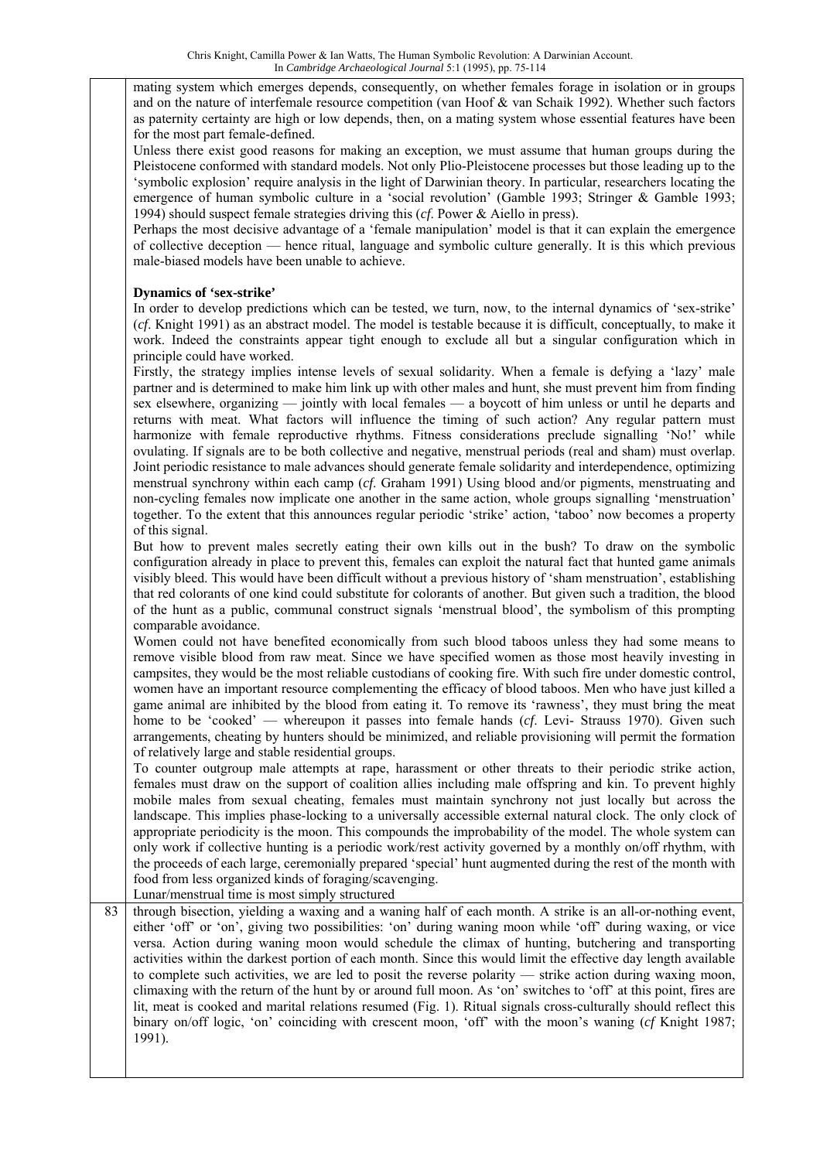mating system which emerges depends, consequently, on whether females forage in isolation or in groups and on the nature of interfemale resource competition (van Hoof & van Schaik 1992). Whether such factors as paternity certainty are high or low depends, then, on a mating system whose essential features have been for the most part female-defined.

Unless there exist good reasons for making an exception, we must assume that human groups during the Pleistocene conformed with standard models. Not only Plio-Pleistocene processes but those leading up to the 'symbolic explosion' require analysis in the light of Darwinian theory. In particular, researchers locating the emergence of human symbolic culture in a 'social revolution' (Gamble 1993; Stringer & Gamble 1993; 1994) should suspect female strategies driving this (*cf*. Power & Aiello in press).

Perhaps the most decisive advantage of a 'female manipulation' model is that it can explain the emergence of collective deception — hence ritual, language and symbolic culture generally. It is this which previous male-biased models have been unable to achieve.

## **Dynamics of 'sex-strike'**

In order to develop predictions which can be tested, we turn, now, to the internal dynamics of 'sex-strike' (*cf*. Knight 1991) as an abstract model. The model is testable because it is difficult, conceptually, to make it work. Indeed the constraints appear tight enough to exclude all but a singular configuration which in principle could have worked.

Firstly, the strategy implies intense levels of sexual solidarity. When a female is defying a 'lazy' male partner and is determined to make him link up with other males and hunt, she must prevent him from finding sex elsewhere, organizing — jointly with local females — a boycott of him unless or until he departs and returns with meat. What factors will influence the timing of such action? Any regular pattern must harmonize with female reproductive rhythms. Fitness considerations preclude signalling 'No!' while ovulating. If signals are to be both collective and negative, menstrual periods (real and sham) must overlap. Joint periodic resistance to male advances should generate female solidarity and interdependence, optimizing menstrual synchrony within each camp (*cf*. Graham 1991) Using blood and/or pigments, menstruating and non-cycling females now implicate one another in the same action, whole groups signalling 'menstruation' together. To the extent that this announces regular periodic 'strike' action, 'taboo' now becomes a property of this signal.

But how to prevent males secretly eating their own kills out in the bush? To draw on the symbolic configuration already in place to prevent this, females can exploit the natural fact that hunted game animals visibly bleed. This would have been difficult without a previous history of 'sham menstruation', establishing that red colorants of one kind could substitute for colorants of another. But given such a tradition, the blood of the hunt as a public, communal construct signals 'menstrual blood', the symbolism of this prompting comparable avoidance.

Women could not have benefited economically from such blood taboos unless they had some means to remove visible blood from raw meat. Since we have specified women as those most heavily investing in campsites, they would be the most reliable custodians of cooking fire. With such fire under domestic control, women have an important resource complementing the efficacy of blood taboos. Men who have just killed a game animal are inhibited by the blood from eating it. To remove its 'rawness', they must bring the meat home to be 'cooked' — whereupon it passes into female hands (*cf*. Levi- Strauss 1970). Given such arrangements, cheating by hunters should be minimized, and reliable provisioning will permit the formation of relatively large and stable residential groups.

To counter outgroup male attempts at rape, harassment or other threats to their periodic strike action, females must draw on the support of coalition allies including male offspring and kin. To prevent highly mobile males from sexual cheating, females must maintain synchrony not just locally but across the landscape. This implies phase-locking to a universally accessible external natural clock. The only clock of appropriate periodicity is the moon. This compounds the improbability of the model. The whole system can only work if collective hunting is a periodic work/rest activity governed by a monthly on/off rhythm, with the proceeds of each large, ceremonially prepared 'special' hunt augmented during the rest of the month with food from less organized kinds of foraging/scavenging.

Lunar/menstrual time is most simply structured

83 through bisection, yielding a waxing and a waning half of each month. A strike is an all-or-nothing event, either 'off' or 'on', giving two possibilities: 'on' during waning moon while 'off' during waxing, or vice versa. Action during waning moon would schedule the climax of hunting, butchering and transporting activities within the darkest portion of each month. Since this would limit the effective day length available to complete such activities, we are led to posit the reverse polarity — strike action during waxing moon, climaxing with the return of the hunt by or around full moon. As 'on' switches to 'off' at this point, fires are lit, meat is cooked and marital relations resumed (Fig. 1). Ritual signals cross-culturally should reflect this binary on/off logic, 'on' coinciding with crescent moon, 'off' with the moon's waning (*cf* Knight 1987; 1991).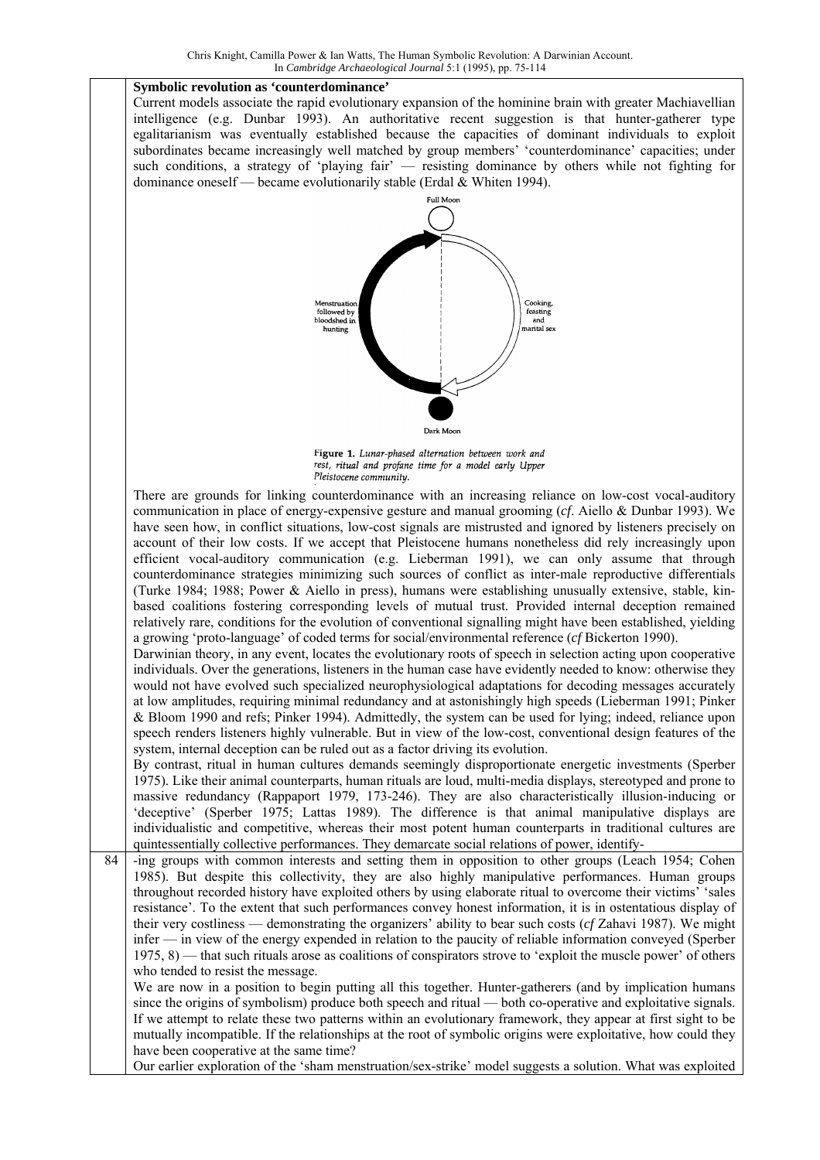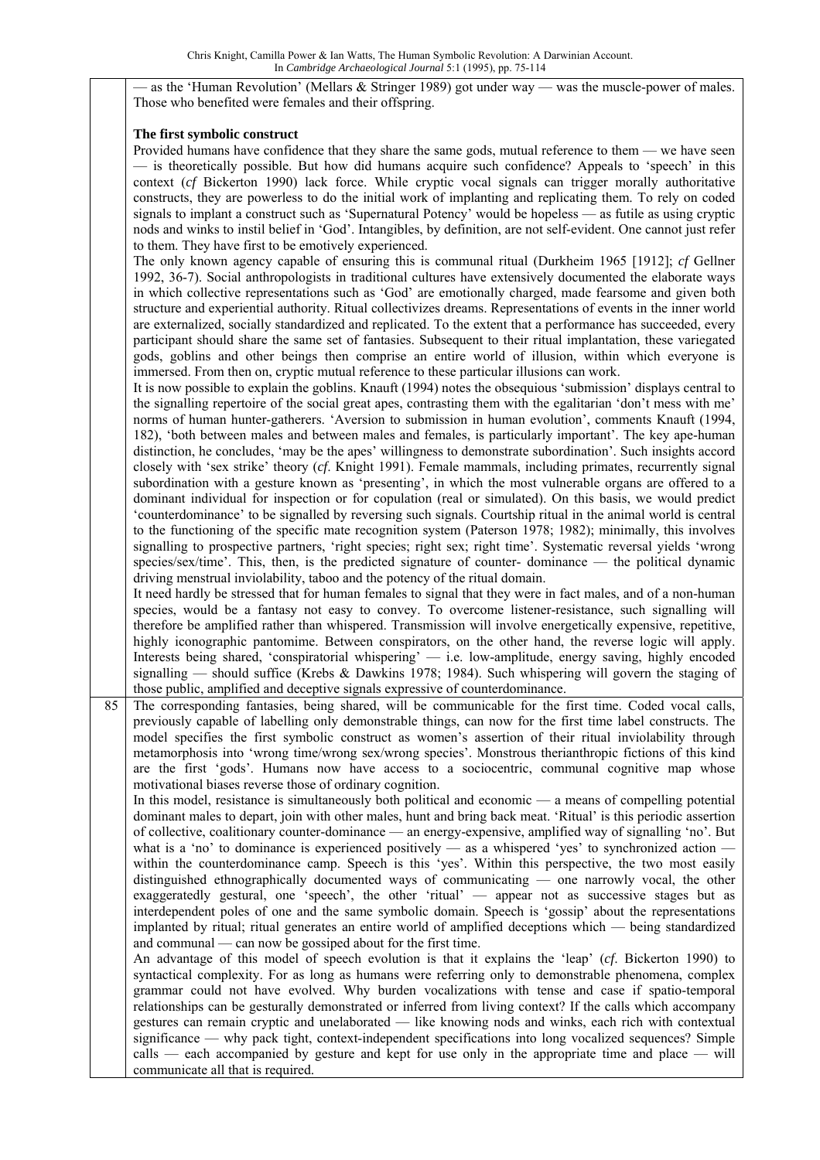— as the 'Human Revolution' (Mellars & Stringer 1989) got under way — was the muscle-power of males. Those who benefited were females and their offspring.

## **The first symbolic construct**

Provided humans have confidence that they share the same gods, mutual reference to them — we have seen — is theoretically possible. But how did humans acquire such confidence? Appeals to 'speech' in this context (*cf* Bickerton 1990) lack force. While cryptic vocal signals can trigger morally authoritative constructs, they are powerless to do the initial work of implanting and replicating them. To rely on coded signals to implant a construct such as 'Supernatural Potency' would be hopeless — as futile as using cryptic nods and winks to instil belief in 'God'. Intangibles, by definition, are not self-evident. One cannot just refer to them. They have first to be emotively experienced.

The only known agency capable of ensuring this is communal ritual (Durkheim 1965 [1912]; *cf* Gellner 1992, 36-7). Social anthropologists in traditional cultures have extensively documented the elaborate ways in which collective representations such as 'God' are emotionally charged, made fearsome and given both structure and experiential authority. Ritual collectivizes dreams. Representations of events in the inner world are externalized, socially standardized and replicated. To the extent that a performance has succeeded, every participant should share the same set of fantasies. Subsequent to their ritual implantation, these variegated gods, goblins and other beings then comprise an entire world of illusion, within which everyone is immersed. From then on, cryptic mutual reference to these particular illusions can work.

It is now possible to explain the goblins. Knauft (1994) notes the obsequious 'submission' displays central to the signalling repertoire of the social great apes, contrasting them with the egalitarian 'don't mess with me' norms of human hunter-gatherers. 'Aversion to submission in human evolution', comments Knauft (1994, 182), 'both between males and between males and females, is particularly important'. The key ape-human distinction, he concludes, 'may be the apes' willingness to demonstrate subordination'. Such insights accord closely with 'sex strike' theory (*cf*. Knight 1991). Female mammals, including primates, recurrently signal subordination with a gesture known as 'presenting', in which the most vulnerable organs are offered to a dominant individual for inspection or for copulation (real or simulated). On this basis, we would predict 'counterdominance' to be signalled by reversing such signals. Courtship ritual in the animal world is central to the functioning of the specific mate recognition system (Paterson 1978; 1982); minimally, this involves signalling to prospective partners, 'right species; right sex; right time'. Systematic reversal yields 'wrong species/sex/time'. This, then, is the predicted signature of counter- dominance — the political dynamic driving menstrual inviolability, taboo and the potency of the ritual domain.

It need hardly be stressed that for human females to signal that they were in fact males, and of a non-human species, would be a fantasy not easy to convey. To overcome listener-resistance, such signalling will therefore be amplified rather than whispered. Transmission will involve energetically expensive, repetitive, highly iconographic pantomime. Between conspirators, on the other hand, the reverse logic will apply. Interests being shared, 'conspiratorial whispering'  $-$  i.e. low-amplitude, energy saving, highly encoded signalling — should suffice (Krebs & Dawkins 1978; 1984). Such whispering will govern the staging of those public, amplified and deceptive signals expressive of counterdominance.

85 The corresponding fantasies, being shared, will be communicable for the first time. Coded vocal calls, previously capable of labelling only demonstrable things, can now for the first time label constructs. The model specifies the first symbolic construct as women's assertion of their ritual inviolability through metamorphosis into 'wrong time/wrong sex/wrong species'. Monstrous therianthropic fictions of this kind are the first 'gods'. Humans now have access to a sociocentric, communal cognitive map whose motivational biases reverse those of ordinary cognition.

In this model, resistance is simultaneously both political and economic — a means of compelling potential dominant males to depart, join with other males, hunt and bring back meat. 'Ritual' is this periodic assertion of collective, coalitionary counter-dominance — an energy-expensive, amplified way of signalling 'no'. But what is a 'no' to dominance is experienced positively — as a whispered 'yes' to synchronized action within the counterdominance camp. Speech is this 'yes'. Within this perspective, the two most easily distinguished ethnographically documented ways of communicating — one narrowly vocal, the other exaggeratedly gestural, one 'speech', the other 'ritual' — appear not as successive stages but as interdependent poles of one and the same symbolic domain. Speech is 'gossip' about the representations implanted by ritual; ritual generates an entire world of amplified deceptions which — being standardized and communal — can now be gossiped about for the first time.

An advantage of this model of speech evolution is that it explains the 'leap' (*cf*. Bickerton 1990) to syntactical complexity. For as long as humans were referring only to demonstrable phenomena, complex grammar could not have evolved. Why burden vocalizations with tense and case if spatio-temporal relationships can be gesturally demonstrated or inferred from living context? If the calls which accompany gestures can remain cryptic and unelaborated — like knowing nods and winks, each rich with contextual significance — why pack tight, context-independent specifications into long vocalized sequences? Simple calls — each accompanied by gesture and kept for use only in the appropriate time and place — will communicate all that is required.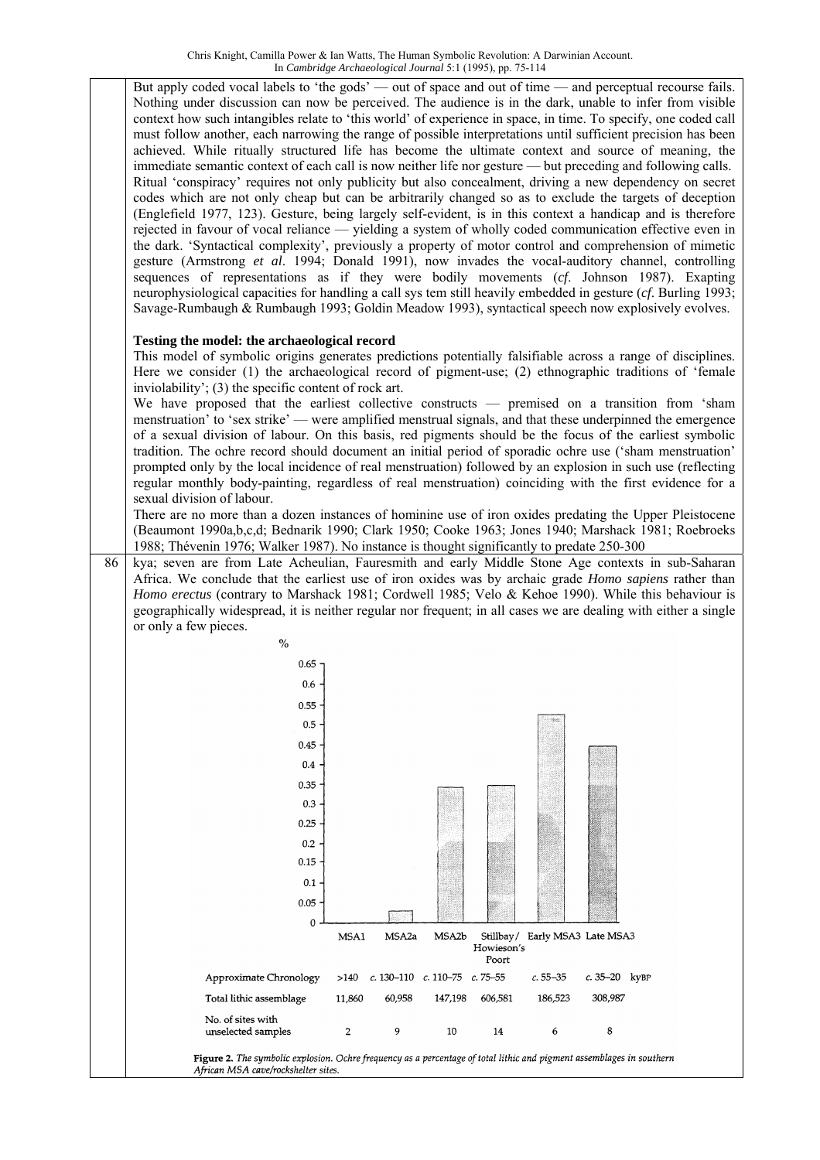But apply coded vocal labels to 'the gods' — out of space and out of time — and perceptual recourse fails. Nothing under discussion can now be perceived. The audience is in the dark, unable to infer from visible context how such intangibles relate to 'this world' of experience in space, in time. To specify, one coded call must follow another, each narrowing the range of possible interpretations until sufficient precision has been achieved. While ritually structured life has become the ultimate context and source of meaning, the immediate semantic context of each call is now neither life nor gesture — but preceding and following calls. Ritual 'conspiracy' requires not only publicity but also concealment, driving a new dependency on secret codes which are not only cheap but can be arbitrarily changed so as to exclude the targets of deception (Englefield 1977, 123). Gesture, being largely self-evident, is in this context a handicap and is therefore rejected in favour of vocal reliance — yielding a system of wholly coded communication effective even in the dark. 'Syntactical complexity', previously a property of motor control and comprehension of mimetic gesture (Armstrong *et al*. 1994; Donald 1991), now invades the vocal-auditory channel, controlling sequences of representations as if they were bodily movements (*cf*. Johnson 1987). Exapting neurophysiological capacities for handling a call sys tem still heavily embedded in gesture (*cf*. Burling 1993; Savage-Rumbaugh & Rumbaugh 1993; Goldin Meadow 1993), syntactical speech now explosively evolves.

## **Testing the model: the archaeological record**

This model of symbolic origins generates predictions potentially falsifiable across a range of disciplines. Here we consider (1) the archaeological record of pigment-use; (2) ethnographic traditions of 'female inviolability'; (3) the specific content of rock art.

We have proposed that the earliest collective constructs — premised on a transition from 'sham menstruation' to 'sex strike' — were amplified menstrual signals, and that these underpinned the emergence of a sexual division of labour. On this basis, red pigments should be the focus of the earliest symbolic tradition. The ochre record should document an initial period of sporadic ochre use ('sham menstruation' prompted only by the local incidence of real menstruation) followed by an explosion in such use (reflecting regular monthly body-painting, regardless of real menstruation) coinciding with the first evidence for a sexual division of labour.

There are no more than a dozen instances of hominine use of iron oxides predating the Upper Pleistocene (Beaumont 1990a,b,c,d; Bednarik 1990; Clark 1950; Cooke 1963; Jones 1940; Marshack 1981; Roebroeks 1988; Thévenin 1976; Walker 1987). No instance is thought significantly to predate 250-300

86 kya; seven are from Late Acheulian, Fauresmith and early Middle Stone Age contexts in sub-Saharan Africa. We conclude that the earliest use of iron oxides was by archaic grade *Homo sapiens* rather than *Homo erectus* (contrary to Marshack 1981; Cordwell 1985; Velo & Kehoe 1990). While this behaviour is geographically widespread, it is neither regular nor frequent; in all cases we are dealing with either a single or only a few pieces.



Figure 2. The symbolic explosion. Ochre frequency as a percentage of total lithic and pigment assemblages in southern African MSA cave/rockshelter sites.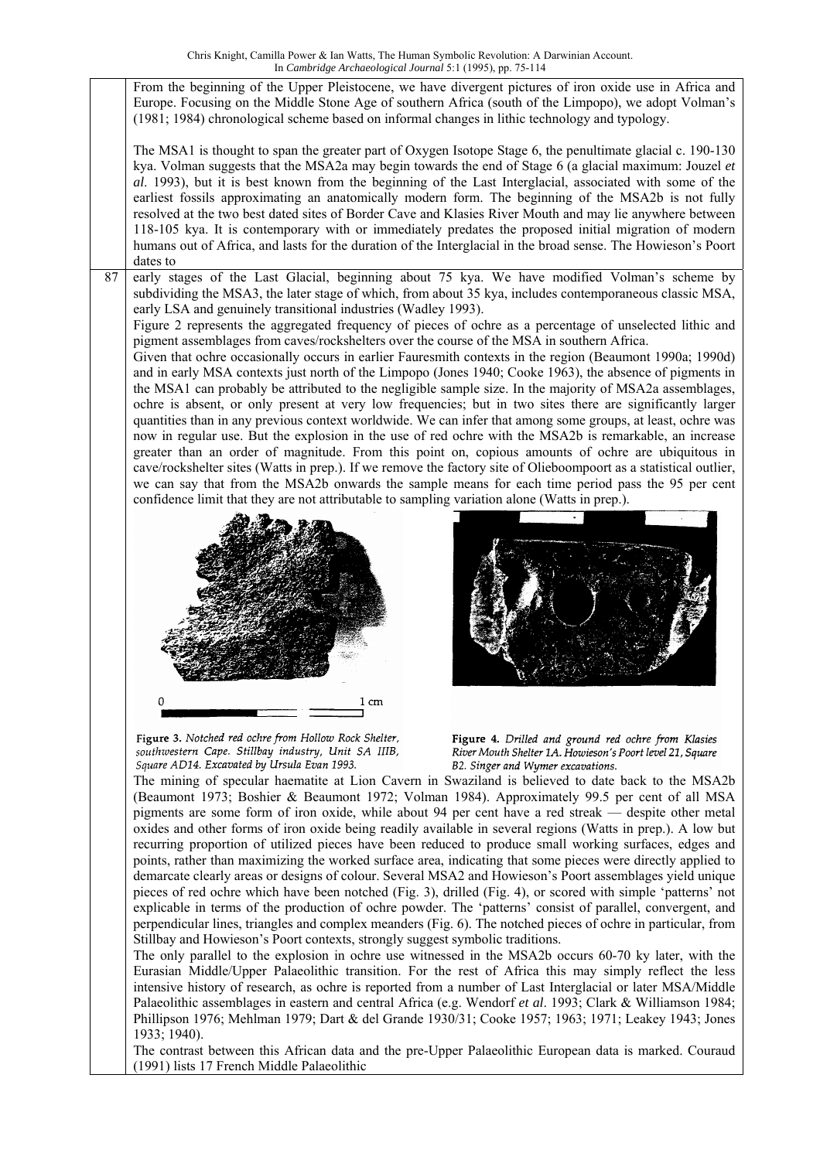From the beginning of the Upper Pleistocene, we have divergent pictures of iron oxide use in Africa and Europe. Focusing on the Middle Stone Age of southern Africa (south of the Limpopo), we adopt Volman's (1981; 1984) chronological scheme based on informal changes in lithic technology and typology.

The MSA1 is thought to span the greater part of Oxygen Isotope Stage 6, the penultimate glacial c. 190-130 kya. Volman suggests that the MSA2a may begin towards the end of Stage 6 (a glacial maximum: Jouzel *et al*. 1993), but it is best known from the beginning of the Last Interglacial, associated with some of the earliest fossils approximating an anatomically modern form. The beginning of the MSA2b is not fully resolved at the two best dated sites of Border Cave and Klasies River Mouth and may lie anywhere between 118-105 kya. It is contemporary with or immediately predates the proposed initial migration of modern humans out of Africa, and lasts for the duration of the Interglacial in the broad sense. The Howieson's Poort dates to

87 early stages of the Last Glacial, beginning about 75 kya. We have modified Volman's scheme by subdividing the MSA3, the later stage of which, from about 35 kya, includes contemporaneous classic MSA, early LSA and genuinely transitional industries (Wadley 1993).

Figure 2 represents the aggregated frequency of pieces of ochre as a percentage of unselected lithic and pigment assemblages from caves/rockshelters over the course of the MSA in southern Africa.

Given that ochre occasionally occurs in earlier Fauresmith contexts in the region (Beaumont 1990a; 1990d) and in early MSA contexts just north of the Limpopo (Jones 1940; Cooke 1963), the absence of pigments in the MSA1 can probably be attributed to the negligible sample size. In the majority of MSA2a assemblages, ochre is absent, or only present at very low frequencies; but in two sites there are significantly larger quantities than in any previous context worldwide. We can infer that among some groups, at least, ochre was now in regular use. But the explosion in the use of red ochre with the MSA2b is remarkable, an increase greater than an order of magnitude. From this point on, copious amounts of ochre are ubiquitous in cave/rockshelter sites (Watts in prep.). If we remove the factory site of Olieboompoort as a statistical outlier, we can say that from the MSA2b onwards the sample means for each time period pass the 95 per cent confidence limit that they are not attributable to sampling variation alone (Watts in prep.).





Figure 3. Notched red ochre from Hollow Rock Shelter, southwestern Cape. Stillbay industry, Unit SA IIIB,

Figure 4. Drilled and ground red ochre from Klasies River Mouth Shelter 1A. Howieson's Poort level 21, Square

Square AD14. Excavated by Ursula Evan 1993.<br>The mining of specular haematite at Lion Cavern in Swaziland is believed to date back to the MSA2b (Beaumont 1973; Boshier & Beaumont 1972; Volman 1984). Approximately 99.5 per cent of all MSA pigments are some form of iron oxide, while about 94 per cent have a red streak — despite other metal oxides and other forms of iron oxide being readily available in several regions (Watts in prep.). A low but recurring proportion of utilized pieces have been reduced to produce small working surfaces, edges and points, rather than maximizing the worked surface area, indicating that some pieces were directly applied to demarcate clearly areas or designs of colour. Several MSA2 and Howieson's Poort assemblages yield unique pieces of red ochre which have been notched (Fig. 3), drilled (Fig. 4), or scored with simple 'patterns' not explicable in terms of the production of ochre powder. The 'patterns' consist of parallel, convergent, and perpendicular lines, triangles and complex meanders (Fig. 6). The notched pieces of ochre in particular, from Stillbay and Howieson's Poort contexts, strongly suggest symbolic traditions.

The only parallel to the explosion in ochre use witnessed in the MSA2b occurs 60-70 ky later, with the Eurasian Middle/Upper Palaeolithic transition. For the rest of Africa this may simply reflect the less intensive history of research, as ochre is reported from a number of Last Interglacial or later MSA/Middle Palaeolithic assemblages in eastern and central Africa (e.g. Wendorf *et al*. 1993; Clark & Williamson 1984; Phillipson 1976; Mehlman 1979; Dart & del Grande 1930/31; Cooke 1957; 1963; 1971; Leakey 1943; Jones 1933; 1940).

The contrast between this African data and the pre-Upper Palaeolithic European data is marked. Couraud (1991) lists 17 French Middle Palaeolithic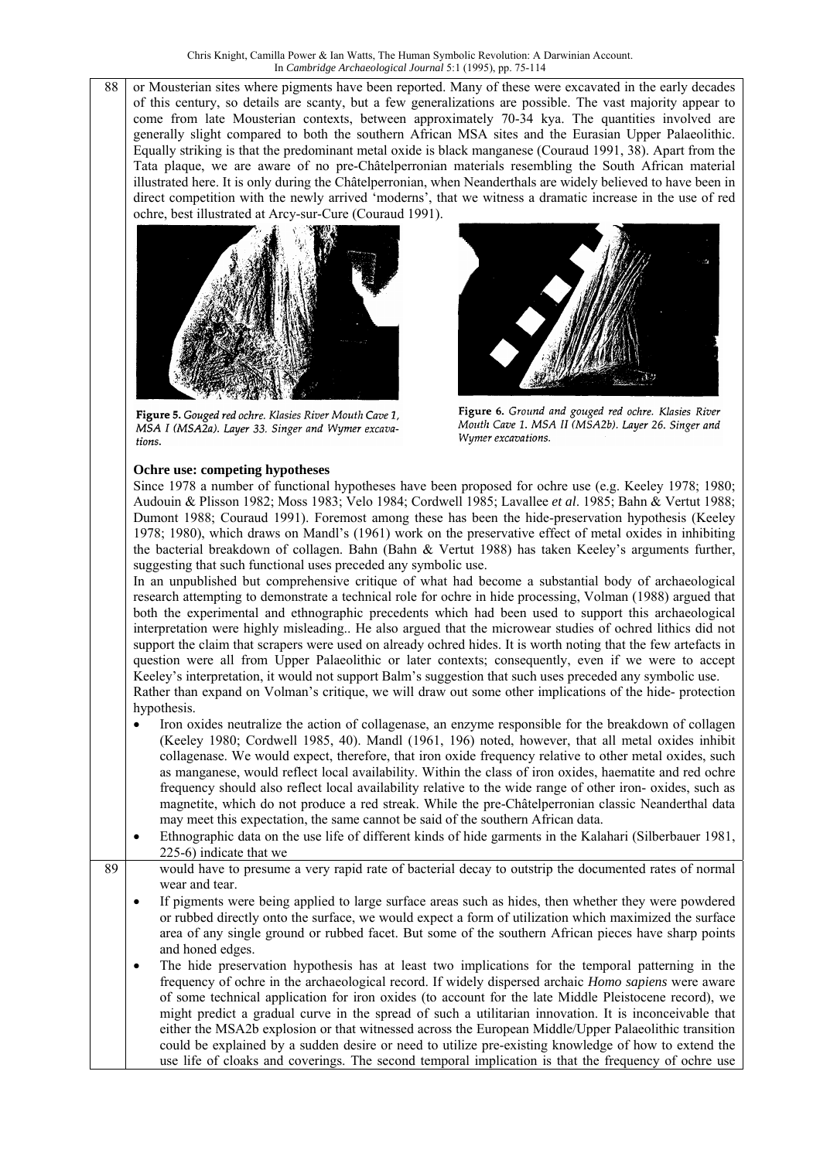88 or Mousterian sites where pigments have been reported. Many of these were excavated in the early decades of this century, so details are scanty, but a few generalizations are possible. The vast majority appear to come from late Mousterian contexts, between approximately 70-34 kya. The quantities involved are generally slight compared to both the southern African MSA sites and the Eurasian Upper Palaeolithic. Equally striking is that the predominant metal oxide is black manganese (Couraud 1991, 38). Apart from the Tata plaque, we are aware of no pre-Châtelperronian materials resembling the South African material illustrated here. It is only during the Châtelperronian, when Neanderthals are widely believed to have been in direct competition with the newly arrived 'moderns', that we witness a dramatic increase in the use of red ochre, best illustrated at Arcy-sur-Cure (Couraud 1991).



Figure 5. Gouged red ochre. Klasies River Mouth Cave 1, MSA I (MSA2a). Layer 33. Singer and Wymer excavations.



Figure 6. Ground and gouged red ochre. Klasies River Mouth Cave 1. MSA II (MSA2b). Layer 26. Singer and Wumer excavations.

# **Ochre use: competing hypotheses**

Since 1978 a number of functional hypotheses have been proposed for ochre use (e.g. Keeley 1978; 1980; Audouin & Plisson 1982; Moss 1983; Velo 1984; Cordwell 1985; Lavallee *et al*. 1985; Bahn & Vertut 1988; Dumont 1988; Couraud 1991). Foremost among these has been the hide-preservation hypothesis (Keeley 1978; 1980), which draws on Mandl's (1961) work on the preservative effect of metal oxides in inhibiting the bacterial breakdown of collagen. Bahn (Bahn & Vertut 1988) has taken Keeley's arguments further, suggesting that such functional uses preceded any symbolic use.

In an unpublished but comprehensive critique of what had become a substantial body of archaeological research attempting to demonstrate a technical role for ochre in hide processing, Volman (1988) argued that both the experimental and ethnographic precedents which had been used to support this archaeological interpretation were highly misleading.. He also argued that the microwear studies of ochred lithics did not support the claim that scrapers were used on already ochred hides. It is worth noting that the few artefacts in question were all from Upper Palaeolithic or later contexts; consequently, even if we were to accept Keeley's interpretation, it would not support Balm's suggestion that such uses preceded any symbolic use. Rather than expand on Volman's critique, we will draw out some other implications of the hide- protection hypothesis.

- Iron oxides neutralize the action of collagenase, an enzyme responsible for the breakdown of collagen (Keeley 1980; Cordwell 1985, 40). Mandl (1961, 196) noted, however, that all metal oxides inhibit collagenase. We would expect, therefore, that iron oxide frequency relative to other metal oxides, such as manganese, would reflect local availability. Within the class of iron oxides, haematite and red ochre frequency should also reflect local availability relative to the wide range of other iron- oxides, such as magnetite, which do not produce a red streak. While the pre-Châtelperronian classic Neanderthal data may meet this expectation, the same cannot be said of the southern African data.
- Ethnographic data on the use life of different kinds of hide garments in the Kalahari (Silberbauer 1981, 225-6) indicate that we
- 89 would have to presume a very rapid rate of bacterial decay to outstrip the documented rates of normal wear and tear.
	- If pigments were being applied to large surface areas such as hides, then whether they were powdered or rubbed directly onto the surface, we would expect a form of utilization which maximized the surface area of any single ground or rubbed facet. But some of the southern African pieces have sharp points and honed edges.
	- The hide preservation hypothesis has at least two implications for the temporal patterning in the frequency of ochre in the archaeological record. If widely dispersed archaic *Homo sapiens* were aware of some technical application for iron oxides (to account for the late Middle Pleistocene record), we might predict a gradual curve in the spread of such a utilitarian innovation. It is inconceivable that either the MSA2b explosion or that witnessed across the European Middle/Upper Palaeolithic transition could be explained by a sudden desire or need to utilize pre-existing knowledge of how to extend the use life of cloaks and coverings. The second temporal implication is that the frequency of ochre use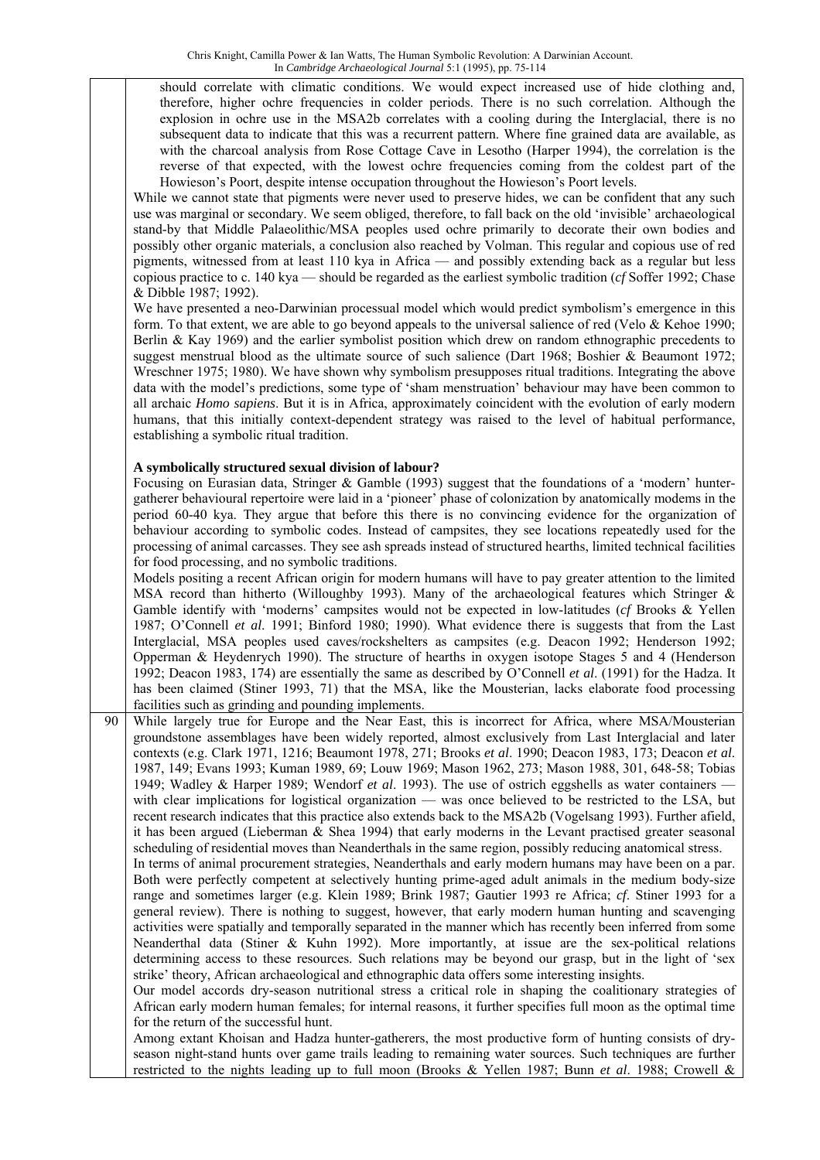should correlate with climatic conditions. We would expect increased use of hide clothing and, therefore, higher ochre frequencies in colder periods. There is no such correlation. Although the explosion in ochre use in the MSA2b correlates with a cooling during the Interglacial, there is no subsequent data to indicate that this was a recurrent pattern. Where fine grained data are available, as with the charcoal analysis from Rose Cottage Cave in Lesotho (Harper 1994), the correlation is the reverse of that expected, with the lowest ochre frequencies coming from the coldest part of the Howieson's Poort, despite intense occupation throughout the Howieson's Poort levels.

While we cannot state that pigments were never used to preserve hides, we can be confident that any such use was marginal or secondary. We seem obliged, therefore, to fall back on the old 'invisible' archaeological stand-by that Middle Palaeolithic/MSA peoples used ochre primarily to decorate their own bodies and possibly other organic materials, a conclusion also reached by Volman. This regular and copious use of red pigments, witnessed from at least 110 kya in Africa — and possibly extending back as a regular but less copious practice to c. 140 kya — should be regarded as the earliest symbolic tradition (*cf* Soffer 1992; Chase & Dibble 1987; 1992).

We have presented a neo-Darwinian processual model which would predict symbolism's emergence in this form. To that extent, we are able to go beyond appeals to the universal salience of red (Velo & Kehoe 1990; Berlin & Kay 1969) and the earlier symbolist position which drew on random ethnographic precedents to suggest menstrual blood as the ultimate source of such salience (Dart 1968; Boshier & Beaumont 1972; Wreschner 1975; 1980). We have shown why symbolism presupposes ritual traditions. Integrating the above data with the model's predictions, some type of 'sham menstruation' behaviour may have been common to all archaic *Homo sapiens*. But it is in Africa, approximately coincident with the evolution of early modern humans, that this initially context-dependent strategy was raised to the level of habitual performance, establishing a symbolic ritual tradition.

# **A symbolically structured sexual division of labour?**

Focusing on Eurasian data, Stringer & Gamble (1993) suggest that the foundations of a 'modern' huntergatherer behavioural repertoire were laid in a 'pioneer' phase of colonization by anatomically modems in the period 60-40 kya. They argue that before this there is no convincing evidence for the organization of behaviour according to symbolic codes. Instead of campsites, they see locations repeatedly used for the processing of animal carcasses. They see ash spreads instead of structured hearths, limited technical facilities for food processing, and no symbolic traditions.

Models positing a recent African origin for modern humans will have to pay greater attention to the limited MSA record than hitherto (Willoughby 1993). Many of the archaeological features which Stringer & Gamble identify with 'moderns' campsites would not be expected in low-latitudes (*cf* Brooks & Yellen 1987; O'Connell *et al*. 1991; Binford 1980; 1990). What evidence there is suggests that from the Last Interglacial, MSA peoples used caves/rockshelters as campsites (e.g. Deacon 1992; Henderson 1992; Opperman & Heydenrych 1990). The structure of hearths in oxygen isotope Stages 5 and 4 (Henderson 1992; Deacon 1983, 174) are essentially the same as described by O'Connell *et al*. (1991) for the Hadza. It has been claimed (Stiner 1993, 71) that the MSA, like the Mousterian, lacks elaborate food processing facilities such as grinding and pounding implements.

90 While largely true for Europe and the Near East, this is incorrect for Africa, where MSA/Mousterian groundstone assemblages have been widely reported, almost exclusively from Last Interglacial and later contexts (e.g. Clark 1971, 1216; Beaumont 1978, 271; Brooks *et al*. 1990; Deacon 1983, 173; Deacon *et al*. 1987, 149; Evans 1993; Kuman 1989, 69; Louw 1969; Mason 1962, 273; Mason 1988, 301, 648-58; Tobias 1949; Wadley & Harper 1989; Wendorf *et al*. 1993). The use of ostrich eggshells as water containers with clear implications for logistical organization — was once believed to be restricted to the LSA, but recent research indicates that this practice also extends back to the MSA2b (Vogelsang 1993). Further afield, it has been argued (Lieberman & Shea 1994) that early moderns in the Levant practised greater seasonal scheduling of residential moves than Neanderthals in the same region, possibly reducing anatomical stress.

In terms of animal procurement strategies, Neanderthals and early modern humans may have been on a par. Both were perfectly competent at selectively hunting prime-aged adult animals in the medium body-size range and sometimes larger (e.g. Klein 1989; Brink 1987; Gautier 1993 re Africa; *cf*. Stiner 1993 for a general review). There is nothing to suggest, however, that early modern human hunting and scavenging activities were spatially and temporally separated in the manner which has recently been inferred from some Neanderthal data (Stiner & Kuhn 1992). More importantly, at issue are the sex-political relations determining access to these resources. Such relations may be beyond our grasp, but in the light of 'sex strike' theory, African archaeological and ethnographic data offers some interesting insights.

Our model accords dry-season nutritional stress a critical role in shaping the coalitionary strategies of African early modern human females; for internal reasons, it further specifies full moon as the optimal time for the return of the successful hunt.

Among extant Khoisan and Hadza hunter-gatherers, the most productive form of hunting consists of dryseason night-stand hunts over game trails leading to remaining water sources. Such techniques are further restricted to the nights leading up to full moon (Brooks & Yellen 1987; Bunn *et al*. 1988; Crowell &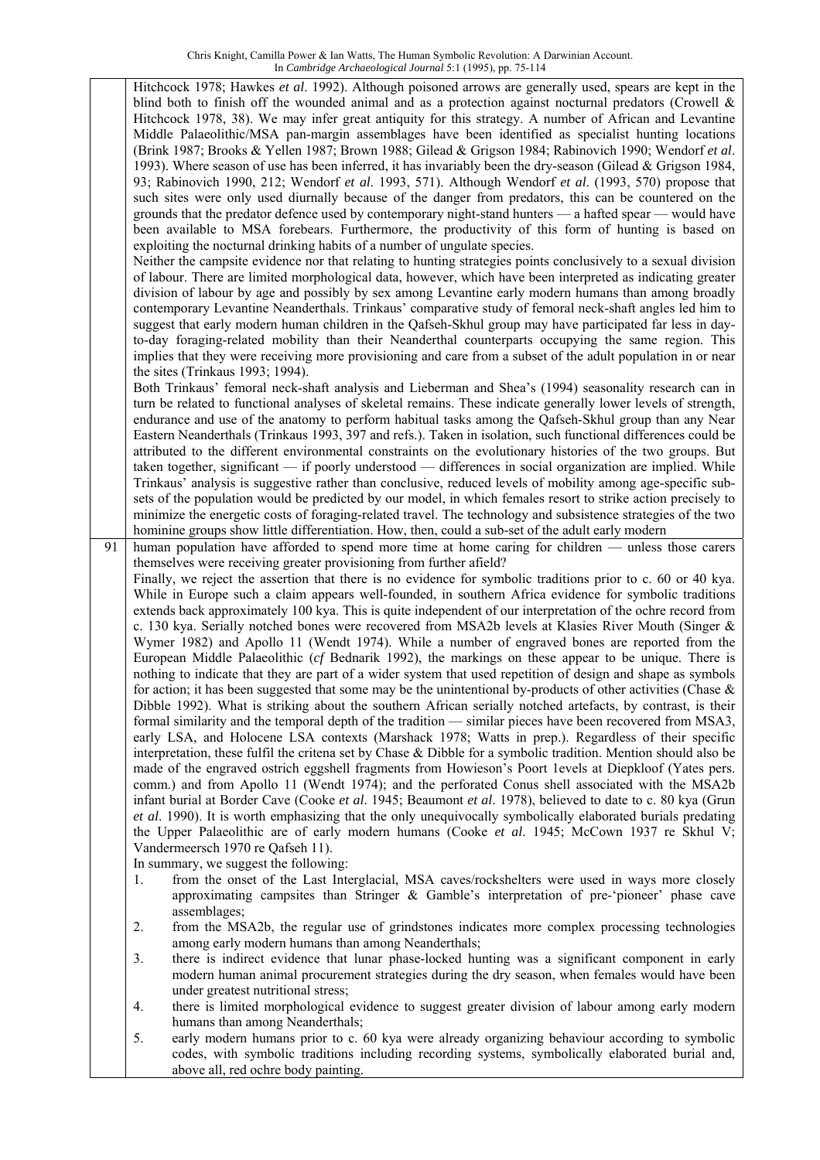Hitchcock 1978; Hawkes *et al*. 1992). Although poisoned arrows are generally used, spears are kept in the blind both to finish off the wounded animal and as a protection against nocturnal predators (Crowell & Hitchcock 1978, 38). We may infer great antiquity for this strategy. A number of African and Levantine Middle Palaeolithic/MSA pan-margin assemblages have been identified as specialist hunting locations (Brink 1987; Brooks & Yellen 1987; Brown 1988; Gilead & Grigson 1984; Rabinovich 1990; Wendorf *et al*. 1993). Where season of use has been inferred, it has invariably been the dry-season (Gilead & Grigson 1984, 93; Rabinovich 1990, 212; Wendorf *et al*. 1993, 571). Although Wendorf *et al*. (1993, 570) propose that such sites were only used diurnally because of the danger from predators, this can be countered on the grounds that the predator defence used by contemporary night-stand hunters — a hafted spear — would have been available to MSA forebears. Furthermore, the productivity of this form of hunting is based on exploiting the nocturnal drinking habits of a number of ungulate species. Neither the campsite evidence nor that relating to hunting strategies points conclusively to a sexual division of labour. There are limited morphological data, however, which have been interpreted as indicating greater division of labour by age and possibly by sex among Levantine early modern humans than among broadly contemporary Levantine Neanderthals. Trinkaus' comparative study of femoral neck-shaft angles led him to suggest that early modern human children in the Qafseh-Skhul group may have participated far less in dayto-day foraging-related mobility than their Neanderthal counterparts occupying the same region. This implies that they were receiving more provisioning and care from a subset of the adult population in or near the sites (Trinkaus 1993; 1994). Both Trinkaus' femoral neck-shaft analysis and Lieberman and Shea's (1994) seasonality research can in turn be related to functional analyses of skeletal remains. These indicate generally lower levels of strength, endurance and use of the anatomy to perform habitual tasks among the Qafseh-Skhul group than any Near Eastern Neanderthals (Trinkaus 1993, 397 and refs.). Taken in isolation, such functional differences could be attributed to the different environmental constraints on the evolutionary histories of the two groups. But taken together, significant — if poorly understood — differences in social organization are implied. While Trinkaus' analysis is suggestive rather than conclusive, reduced levels of mobility among age-specific subsets of the population would be predicted by our model, in which females resort to strike action precisely to minimize the energetic costs of foraging-related travel. The technology and subsistence strategies of the two hominine groups show little differentiation. How, then, could a sub-set of the adult early modern 91 human population have afforded to spend more time at home caring for children — unless those carers themselves were receiving greater provisioning from further afield? Finally, we reject the assertion that there is no evidence for symbolic traditions prior to c. 60 or 40 kya. While in Europe such a claim appears well-founded, in southern Africa evidence for symbolic traditions extends back approximately 100 kya. This is quite independent of our interpretation of the ochre record from c. 130 kya. Serially notched bones were recovered from MSA2b levels at Klasies River Mouth (Singer & Wymer 1982) and Apollo 11 (Wendt 1974). While a number of engraved bones are reported from the European Middle Palaeolithic (*cf* Bednarik 1992), the markings on these appear to be unique. There is nothing to indicate that they are part of a wider system that used repetition of design and shape as symbols for action; it has been suggested that some may be the unintentional by-products of other activities (Chase & Dibble 1992). What is striking about the southern African serially notched artefacts, by contrast, is their formal similarity and the temporal depth of the tradition — similar pieces have been recovered from MSA3, early LSA, and Holocene LSA contexts (Marshack 1978; Watts in prep.). Regardless of their specific interpretation, these fulfil the critena set by Chase & Dibble for a symbolic tradition. Mention should also be made of the engraved ostrich eggshell fragments from Howieson's Poort 1evels at Diepkloof (Yates pers. comm.) and from Apollo 11 (Wendt 1974); and the perforated Conus shell associated with the MSA2b infant burial at Border Cave (Cooke *et al*. 1945; Beaumont *et al*. 1978), believed to date to c. 80 kya (Grun *et al*. 1990). It is worth emphasizing that the only unequivocally symbolically elaborated burials predating the Upper Palaeolithic are of early modern humans (Cooke *et al*. 1945; McCown 1937 re Skhul V; Vandermeersch 1970 re Qafseh 11). In summary, we suggest the following: 1. from the onset of the Last Interglacial, MSA caves/rockshelters were used in ways more closely approximating campsites than Stringer & Gamble's interpretation of pre-'pioneer' phase cave assemblages;

- 2. from the MSA2b, the regular use of grindstones indicates more complex processing technologies among early modern humans than among Neanderthals;
- 3. there is indirect evidence that lunar phase-locked hunting was a significant component in early modern human animal procurement strategies during the dry season, when females would have been under greatest nutritional stress;
- 4. there is limited morphological evidence to suggest greater division of labour among early modern humans than among Neanderthals;
- 5. early modern humans prior to c. 60 kya were already organizing behaviour according to symbolic codes, with symbolic traditions including recording systems, symbolically elaborated burial and, above all, red ochre body painting.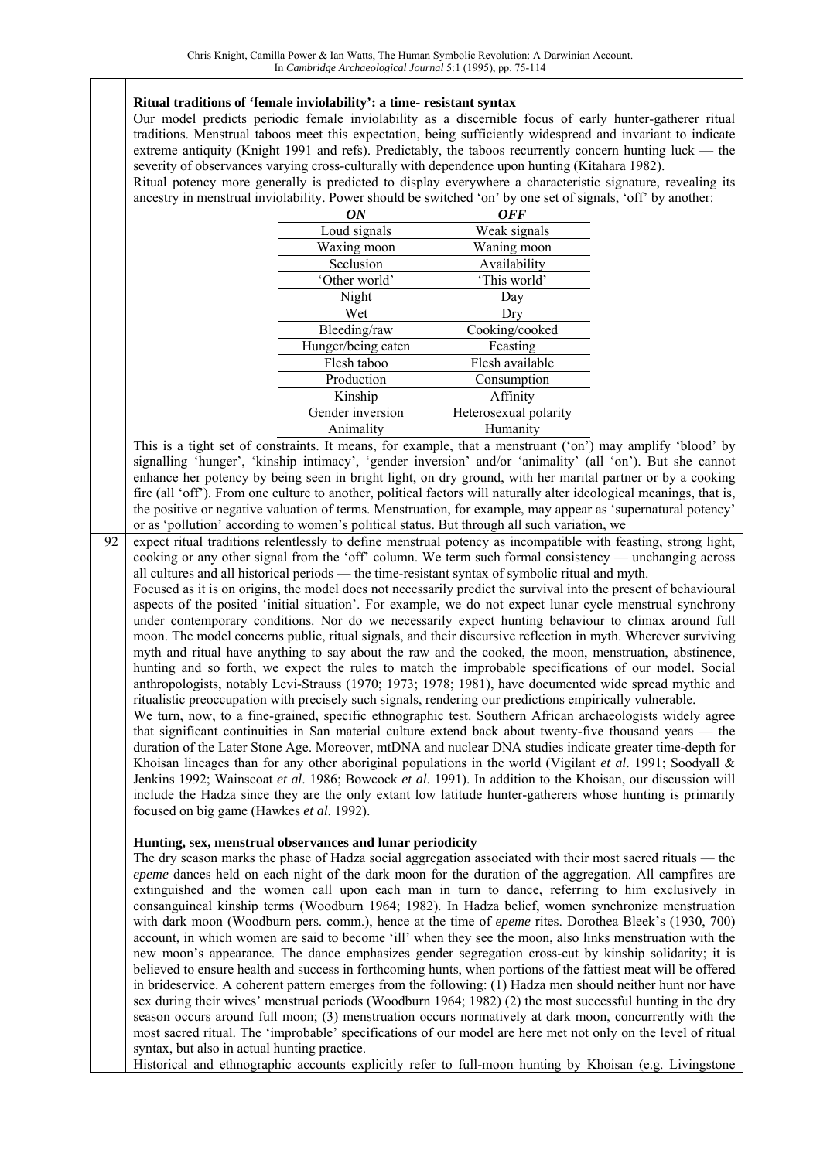#### **Ritual traditions of 'female inviolability': a time- resistant syntax**

Our model predicts periodic female inviolability as a discernible focus of early hunter-gatherer ritual traditions. Menstrual taboos meet this expectation, being sufficiently widespread and invariant to indicate extreme antiquity (Knight 1991 and refs). Predictably, the taboos recurrently concern hunting luck — the severity of observances varying cross-culturally with dependence upon hunting (Kitahara 1982).

Ritual potency more generally is predicted to display everywhere a characteristic signature, revealing its ancestry in menstrual inviolability. Power should be switched 'on' by one set of signals, 'off' by another:

| ON                 | <b>OFF</b>            |
|--------------------|-----------------------|
| Loud signals       | Weak signals          |
| Waxing moon        | Waning moon           |
| Seclusion          | Availability          |
| 'Other world'      | 'This world'          |
| Night              | Day                   |
| Wet                | Dry                   |
| Bleeding/raw       | Cooking/cooked        |
| Hunger/being eaten | Feasting              |
| Flesh taboo        | Flesh available       |
| Production         | Consumption           |
| Kinship            | Affinity              |
| Gender inversion   | Heterosexual polarity |
| Animality          | Humanity              |

This is a tight set of constraints. It means, for example, that a menstruant ('on') may amplify 'blood' by signalling 'hunger', 'kinship intimacy', 'gender inversion' and/or 'animality' (all 'on'). But she cannot enhance her potency by being seen in bright light, on dry ground, with her marital partner or by a cooking fire (all 'off'). From one culture to another, political factors will naturally alter ideological meanings, that is, the positive or negative valuation of terms. Menstruation, for example, may appear as 'supernatural potency' or as 'pollution' according to women's political status. But through all such variation, we

92 expect ritual traditions relentlessly to define menstrual potency as incompatible with feasting, strong light, cooking or any other signal from the 'off' column. We term such formal consistency — unchanging across all cultures and all historical periods — the time-resistant syntax of symbolic ritual and myth. Focused as it is on origins, the model does not necessarily predict the survival into the present of behavioural aspects of the posited 'initial situation'. For example, we do not expect lunar cycle menstrual synchrony under contemporary conditions. Nor do we necessarily expect hunting behaviour to climax around full moon. The model concerns public, ritual signals, and their discursive reflection in myth. Wherever surviving myth and ritual have anything to say about the raw and the cooked, the moon, menstruation, abstinence, hunting and so forth, we expect the rules to match the improbable specifications of our model. Social anthropologists, notably Levi-Strauss (1970; 1973; 1978; 1981), have documented wide spread mythic and ritualistic preoccupation with precisely such signals, rendering our predictions empirically vulnerable. We turn, now, to a fine-grained, specific ethnographic test. Southern African archaeologists widely agree that significant continuities in San material culture extend back about twenty-five thousand years — the duration of the Later Stone Age. Moreover, mtDNA and nuclear DNA studies indicate greater time-depth for

Khoisan lineages than for any other aboriginal populations in the world (Vigilant *et al*. 1991; Soodyall & Jenkins 1992; Wainscoat *et al*. 1986; Bowcock *et al*. 1991). In addition to the Khoisan, our discussion will include the Hadza since they are the only extant low latitude hunter-gatherers whose hunting is primarily focused on big game (Hawkes *et al*. 1992).

### **Hunting, sex, menstrual observances and lunar periodicity**

The dry season marks the phase of Hadza social aggregation associated with their most sacred rituals — the *epeme* dances held on each night of the dark moon for the duration of the aggregation. All campfires are extinguished and the women call upon each man in turn to dance, referring to him exclusively in consanguineal kinship terms (Woodburn 1964; 1982). In Hadza belief, women synchronize menstruation with dark moon (Woodburn pers. comm.), hence at the time of *epeme* rites. Dorothea Bleek's (1930, 700) account, in which women are said to become 'ill' when they see the moon, also links menstruation with the new moon's appearance. The dance emphasizes gender segregation cross-cut by kinship solidarity; it is believed to ensure health and success in forthcoming hunts, when portions of the fattiest meat will be offered in brideservice. A coherent pattern emerges from the following: (1) Hadza men should neither hunt nor have sex during their wives' menstrual periods (Woodburn 1964; 1982) (2) the most successful hunting in the dry season occurs around full moon; (3) menstruation occurs normatively at dark moon, concurrently with the most sacred ritual. The 'improbable' specifications of our model are here met not only on the level of ritual syntax, but also in actual hunting practice.

Historical and ethnographic accounts explicitly refer to full-moon hunting by Khoisan (e.g. Livingstone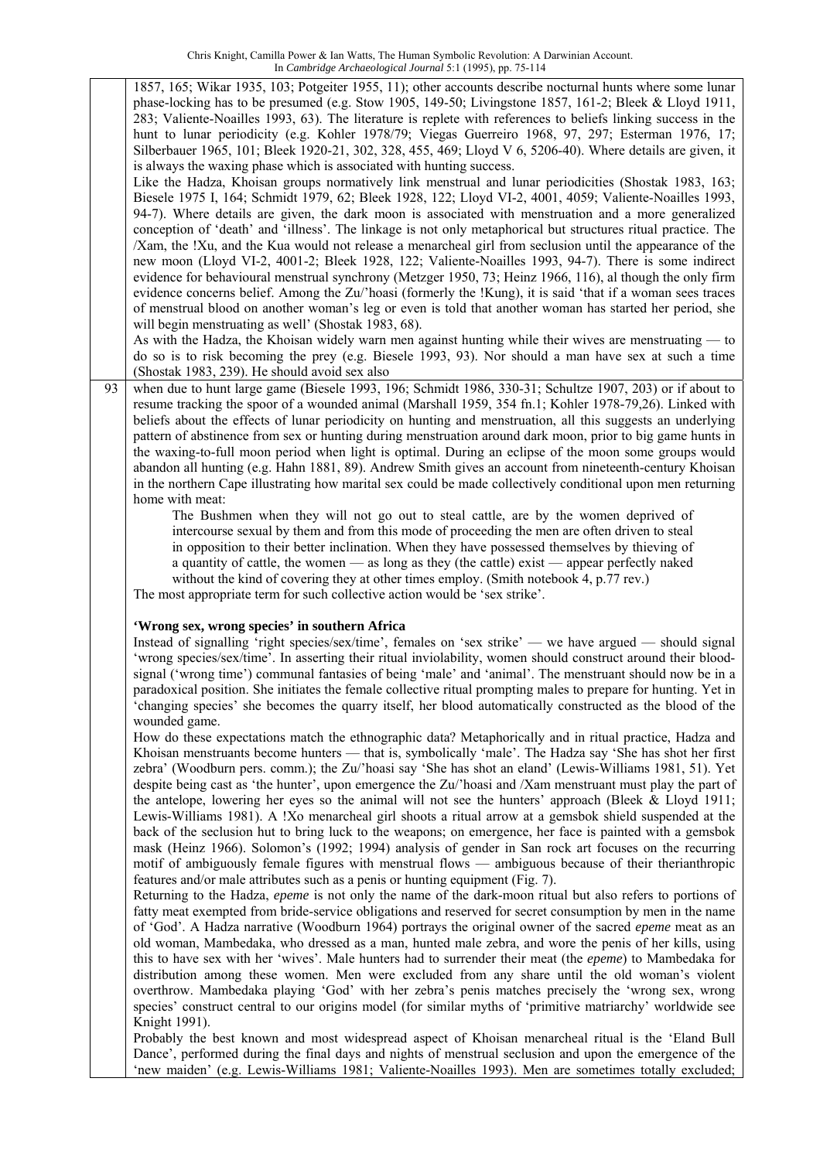1857, 165; Wikar 1935, 103; Potgeiter 1955, 11); other accounts describe nocturnal hunts where some lunar phase-locking has to be presumed (e.g. Stow 1905, 149-50; Livingstone 1857, 161-2; Bleek & Lloyd 1911, 283; Valiente-Noailles 1993, 63). The literature is replete with references to beliefs linking success in the hunt to lunar periodicity (e.g. Kohler 1978/79; Viegas Guerreiro 1968, 97, 297; Esterman 1976, 17; Silberbauer 1965, 101; Bleek 1920-21, 302, 328, 455, 469; Lloyd V 6, 5206-40). Where details are given, it is always the waxing phase which is associated with hunting success.

Like the Hadza, Khoisan groups normatively link menstrual and lunar periodicities (Shostak 1983, 163; Biesele 1975 I, 164; Schmidt 1979, 62; Bleek 1928, 122; Lloyd VI-2, 4001, 4059; Valiente-Noailles 1993, 94-7). Where details are given, the dark moon is associated with menstruation and a more generalized conception of 'death' and 'illness'. The linkage is not only metaphorical but structures ritual practice. The /Xam, the !Xu, and the Kua would not release a menarcheal girl from seclusion until the appearance of the new moon (Lloyd VI-2, 4001-2; Bleek 1928, 122; Valiente-Noailles 1993, 94-7). There is some indirect evidence for behavioural menstrual synchrony (Metzger 1950, 73; Heinz 1966, 116), al though the only firm evidence concerns belief. Among the Zu/'hoasi (formerly the !Kung), it is said 'that if a woman sees traces of menstrual blood on another woman's leg or even is told that another woman has started her period, she will begin menstruating as well' (Shostak 1983, 68).

As with the Hadza, the Khoisan widely warn men against hunting while their wives are menstruating — to do so is to risk becoming the prey (e.g. Biesele 1993, 93). Nor should a man have sex at such a time (Shostak 1983, 239). He should avoid sex also

93 when due to hunt large game (Biesele 1993, 196; Schmidt 1986, 330-31; Schultze 1907, 203) or if about to resume tracking the spoor of a wounded animal (Marshall 1959, 354 fn.1; Kohler 1978-79,26). Linked with beliefs about the effects of lunar periodicity on hunting and menstruation, all this suggests an underlying pattern of abstinence from sex or hunting during menstruation around dark moon, prior to big game hunts in the waxing-to-full moon period when light is optimal. During an eclipse of the moon some groups would abandon all hunting (e.g. Hahn 1881, 89). Andrew Smith gives an account from nineteenth-century Khoisan in the northern Cape illustrating how marital sex could be made collectively conditional upon men returning home with meat:

The Bushmen when they will not go out to steal cattle, are by the women deprived of intercourse sexual by them and from this mode of proceeding the men are often driven to steal in opposition to their better inclination. When they have possessed themselves by thieving of a quantity of cattle, the women — as long as they (the cattle) exist — appear perfectly naked without the kind of covering they at other times employ. (Smith notebook 4, p.77 rev.)

The most appropriate term for such collective action would be 'sex strike'.

# **'Wrong sex, wrong species' in southern Africa**

Instead of signalling 'right species/sex/time', females on 'sex strike' — we have argued — should signal 'wrong species/sex/time'. In asserting their ritual inviolability, women should construct around their bloodsignal ('wrong time') communal fantasies of being 'male' and 'animal'. The menstruant should now be in a paradoxical position. She initiates the female collective ritual prompting males to prepare for hunting. Yet in 'changing species' she becomes the quarry itself, her blood automatically constructed as the blood of the wounded game.

How do these expectations match the ethnographic data? Metaphorically and in ritual practice, Hadza and Khoisan menstruants become hunters — that is, symbolically 'male'. The Hadza say 'She has shot her first zebra' (Woodburn pers. comm.); the Zu/'hoasi say 'She has shot an eland' (Lewis-Williams 1981, 51). Yet despite being cast as 'the hunter', upon emergence the Zu/'hoasi and /Xam menstruant must play the part of the antelope, lowering her eyes so the animal will not see the hunters' approach (Bleek & Lloyd 1911; Lewis-Williams 1981). A !Xo menarcheal girl shoots a ritual arrow at a gemsbok shield suspended at the back of the seclusion hut to bring luck to the weapons; on emergence, her face is painted with a gemsbok mask (Heinz 1966). Solomon's (1992; 1994) analysis of gender in San rock art focuses on the recurring motif of ambiguously female figures with menstrual flows — ambiguous because of their therianthropic features and/or male attributes such as a penis or hunting equipment (Fig. 7).

Returning to the Hadza, *epeme* is not only the name of the dark-moon ritual but also refers to portions of fatty meat exempted from bride-service obligations and reserved for secret consumption by men in the name of 'God'. A Hadza narrative (Woodburn 1964) portrays the original owner of the sacred *epeme* meat as an old woman, Mambedaka, who dressed as a man, hunted male zebra, and wore the penis of her kills, using this to have sex with her 'wives'. Male hunters had to surrender their meat (the *epeme*) to Mambedaka for distribution among these women. Men were excluded from any share until the old woman's violent overthrow. Mambedaka playing 'God' with her zebra's penis matches precisely the 'wrong sex, wrong species' construct central to our origins model (for similar myths of 'primitive matriarchy' worldwide see Knight 1991).

Probably the best known and most widespread aspect of Khoisan menarcheal ritual is the 'Eland Bull Dance', performed during the final days and nights of menstrual seclusion and upon the emergence of the 'new maiden' (e.g. Lewis-Williams 1981; Valiente-Noailles 1993). Men are sometimes totally excluded;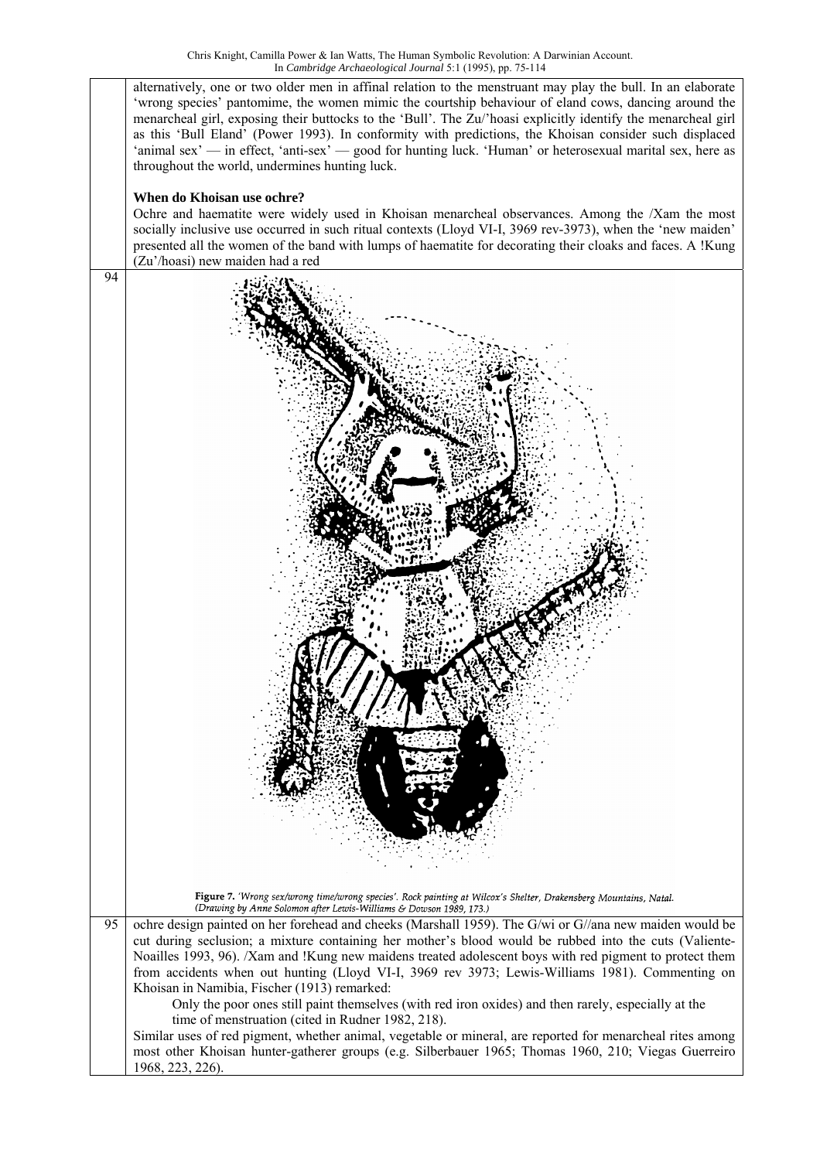alternatively, one or two older men in affinal relation to the menstruant may play the bull. In an elaborate 'wrong species' pantomime, the women mimic the courtship behaviour of eland cows, dancing around the menarcheal girl, exposing their buttocks to the 'Bull'. The Zu/'hoasi explicitly identify the menarcheal girl as this 'Bull Eland' (Power 1993). In conformity with predictions, the Khoisan consider such displaced 'animal sex' — in effect, 'anti-sex' — good for hunting luck. 'Human' or heterosexual marital sex, here as throughout the world, undermines hunting luck.

# **When do Khoisan use ochre?**

Ochre and haematite were widely used in Khoisan menarcheal observances. Among the /Xam the most socially inclusive use occurred in such ritual contexts (Lloyd VI-I, 3969 rev-3973), when the 'new maiden' presented all the women of the band with lumps of haematite for decorating their cloaks and faces. A !Kung (Zu'/hoasi) new maiden had a red

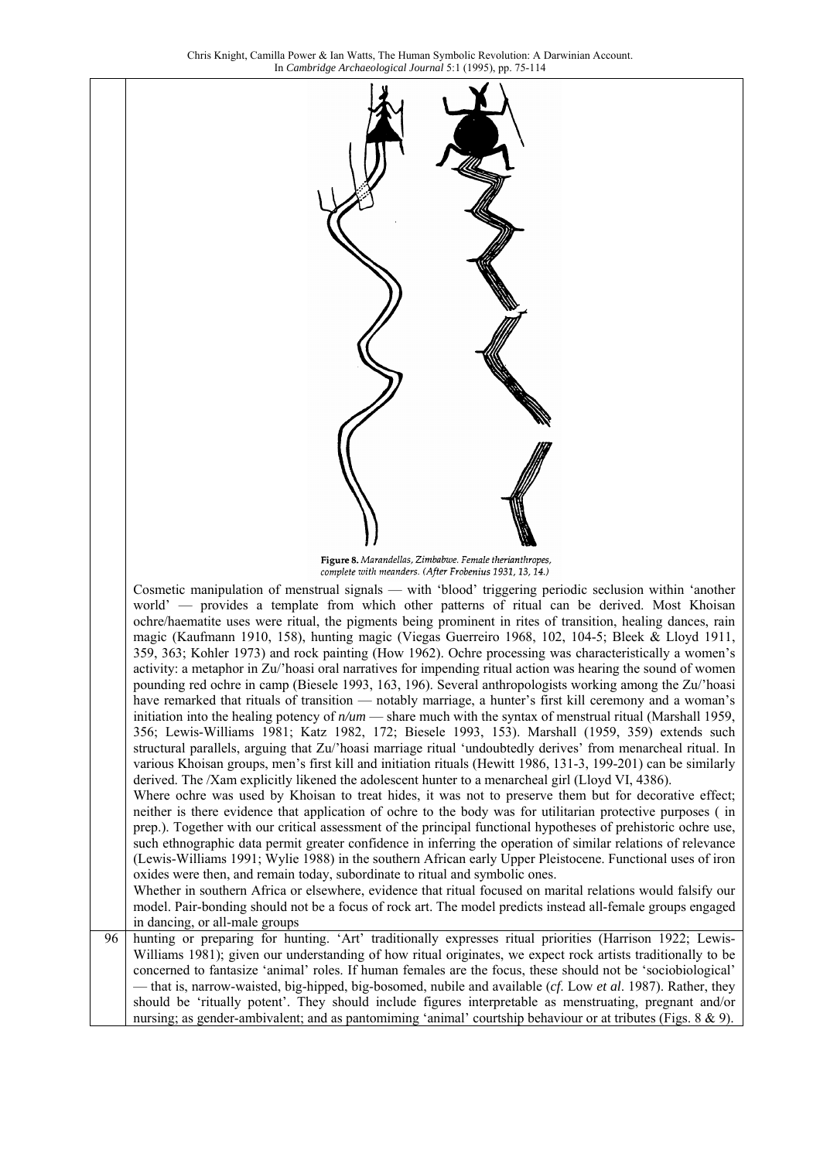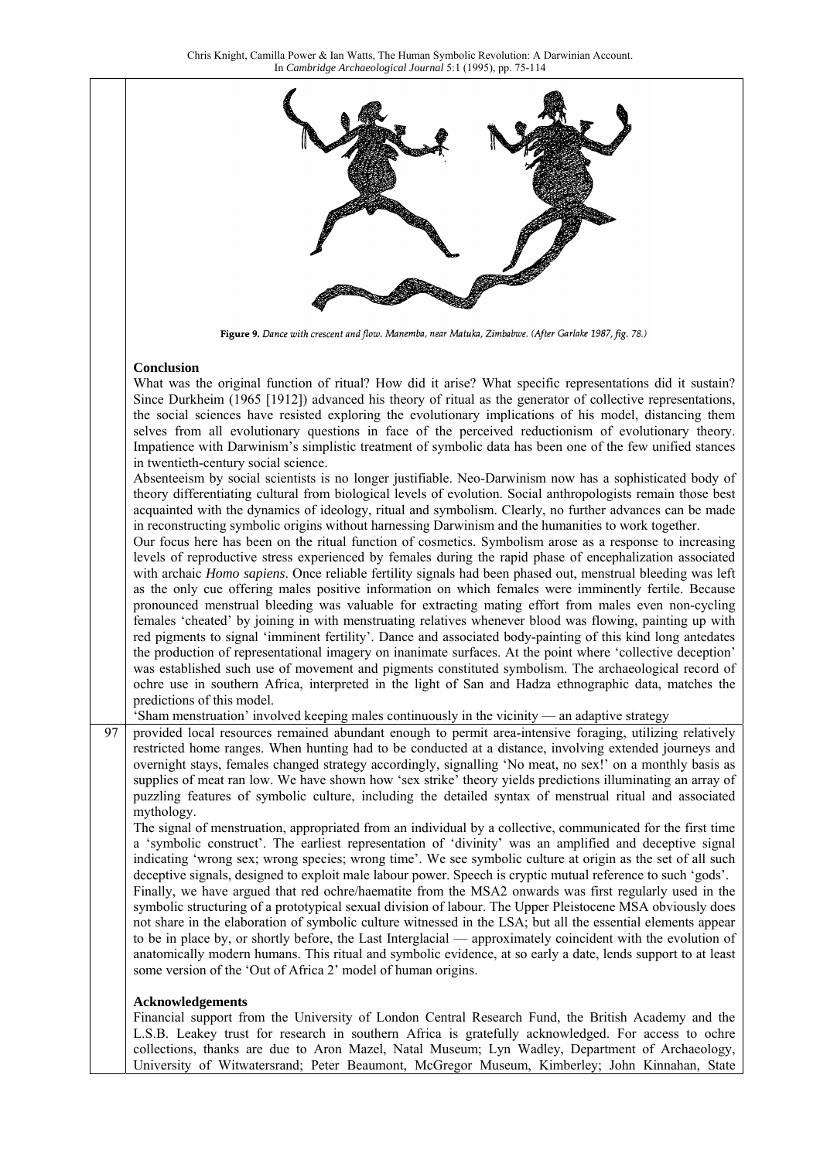

### **Acknowledgements**

some version of the 'Out of Africa 2' model of human origins.

Financial support from the University of London Central Research Fund, the British Academy and the L.S.B. Leakey trust for research in southern Africa is gratefully acknowledged. For access to ochre collections, thanks are due to Aron Mazel, Natal Museum; Lyn Wadley, Department of Archaeology, University of Witwatersrand; Peter Beaumont, McGregor Museum, Kimberley; John Kinnahan, State

anatomically modern humans. This ritual and symbolic evidence, at so early a date, lends support to at least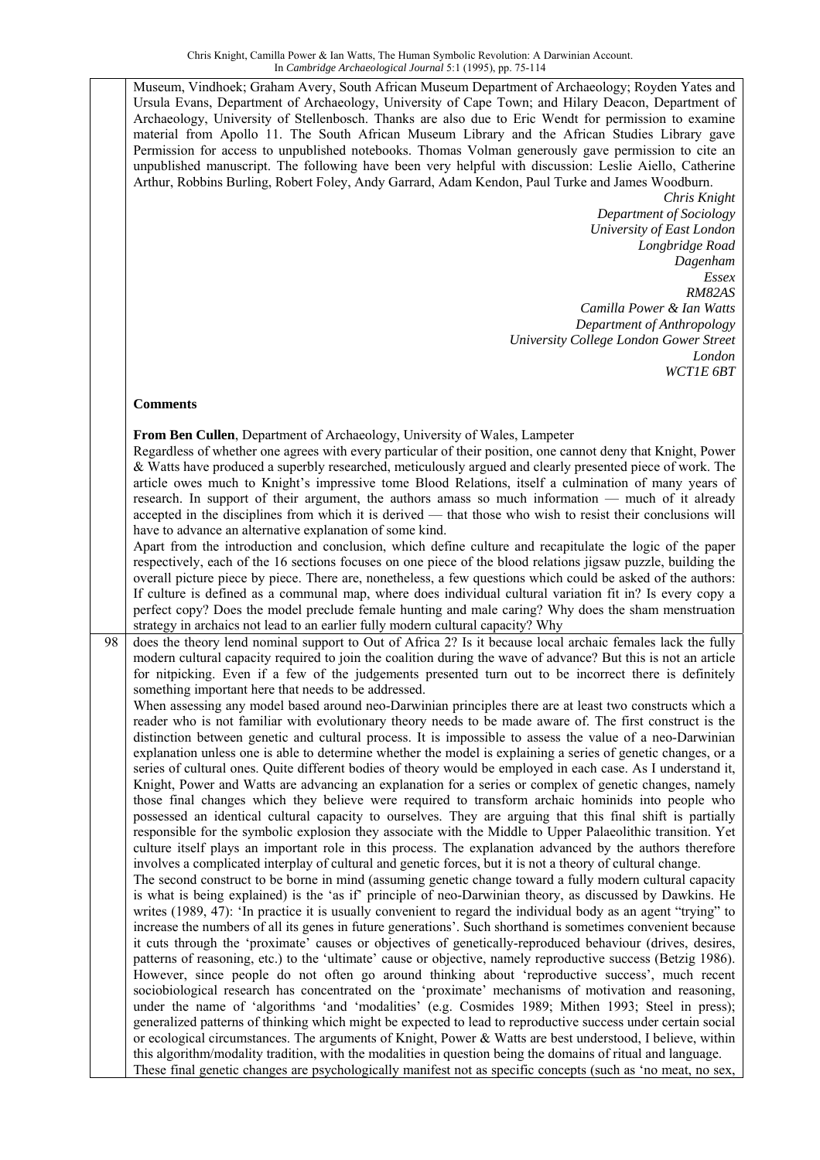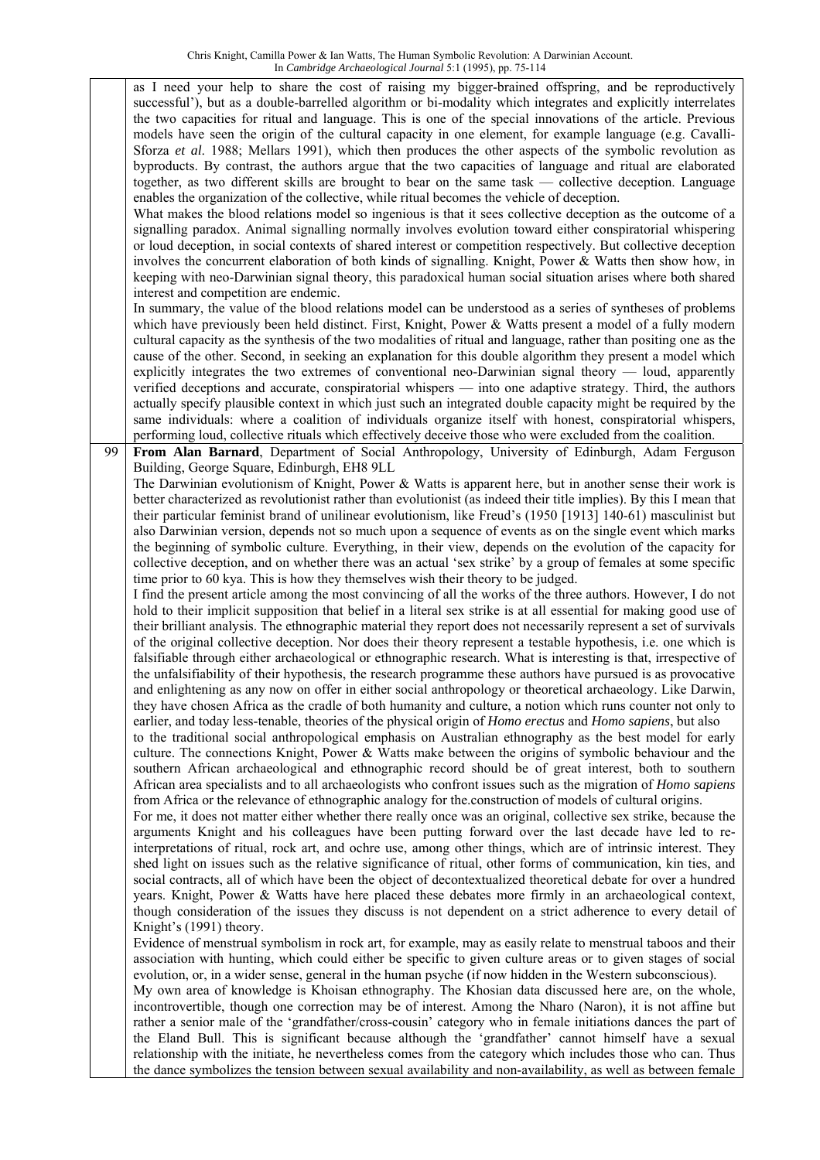as I need your help to share the cost of raising my bigger-brained offspring, and be reproductively successful'), but as a double-barrelled algorithm or bi-modality which integrates and explicitly interrelates the two capacities for ritual and language. This is one of the special innovations of the article. Previous models have seen the origin of the cultural capacity in one element, for example language (e.g. Cavalli-Sforza *et al*. 1988; Mellars 1991), which then produces the other aspects of the symbolic revolution as byproducts. By contrast, the authors argue that the two capacities of language and ritual are elaborated together, as two different skills are brought to bear on the same task — collective deception. Language enables the organization of the collective, while ritual becomes the vehicle of deception.

What makes the blood relations model so ingenious is that it sees collective deception as the outcome of a signalling paradox. Animal signalling normally involves evolution toward either conspiratorial whispering or loud deception, in social contexts of shared interest or competition respectively. But collective deception involves the concurrent elaboration of both kinds of signalling. Knight, Power & Watts then show how, in keeping with neo-Darwinian signal theory, this paradoxical human social situation arises where both shared interest and competition are endemic.

In summary, the value of the blood relations model can be understood as a series of syntheses of problems which have previously been held distinct. First, Knight, Power & Watts present a model of a fully modern cultural capacity as the synthesis of the two modalities of ritual and language, rather than positing one as the cause of the other. Second, in seeking an explanation for this double algorithm they present a model which explicitly integrates the two extremes of conventional neo-Darwinian signal theory — loud, apparently verified deceptions and accurate, conspiratorial whispers — into one adaptive strategy. Third, the authors actually specify plausible context in which just such an integrated double capacity might be required by the same individuals: where a coalition of individuals organize itself with honest, conspiratorial whispers, performing loud, collective rituals which effectively deceive those who were excluded from the coalition.

99 **From Alan Barnard**, Department of Social Anthropology, University of Edinburgh, Adam Ferguson Building, George Square, Edinburgh, EH8 9LL

The Darwinian evolutionism of Knight, Power & Watts is apparent here, but in another sense their work is better characterized as revolutionist rather than evolutionist (as indeed their title implies). By this I mean that their particular feminist brand of unilinear evolutionism, like Freud's (1950 [1913] 140-61) masculinist but also Darwinian version, depends not so much upon a sequence of events as on the single event which marks the beginning of symbolic culture. Everything, in their view, depends on the evolution of the capacity for collective deception, and on whether there was an actual 'sex strike' by a group of females at some specific time prior to 60 kya. This is how they themselves wish their theory to be judged.

I find the present article among the most convincing of all the works of the three authors. However, I do not hold to their implicit supposition that belief in a literal sex strike is at all essential for making good use of their brilliant analysis. The ethnographic material they report does not necessarily represent a set of survivals of the original collective deception. Nor does their theory represent a testable hypothesis, i.e. one which is falsifiable through either archaeological or ethnographic research. What is interesting is that, irrespective of the unfalsifiability of their hypothesis, the research programme these authors have pursued is as provocative and enlightening as any now on offer in either social anthropology or theoretical archaeology. Like Darwin, they have chosen Africa as the cradle of both humanity and culture, a notion which runs counter not only to earlier, and today less-tenable, theories of the physical origin of *Homo erectus* and *Homo sapiens*, but also

to the traditional social anthropological emphasis on Australian ethnography as the best model for early culture. The connections Knight, Power & Watts make between the origins of symbolic behaviour and the southern African archaeological and ethnographic record should be of great interest, both to southern African area specialists and to all archaeologists who confront issues such as the migration of *Homo sapiens* from Africa or the relevance of ethnographic analogy for the.construction of models of cultural origins.

For me, it does not matter either whether there really once was an original, collective sex strike, because the arguments Knight and his colleagues have been putting forward over the last decade have led to reinterpretations of ritual, rock art, and ochre use, among other things, which are of intrinsic interest. They shed light on issues such as the relative significance of ritual, other forms of communication, kin ties, and social contracts, all of which have been the object of decontextualized theoretical debate for over a hundred years. Knight, Power & Watts have here placed these debates more firmly in an archaeological context, though consideration of the issues they discuss is not dependent on a strict adherence to every detail of Knight's (1991) theory.

Evidence of menstrual symbolism in rock art, for example, may as easily relate to menstrual taboos and their association with hunting, which could either be specific to given culture areas or to given stages of social evolution, or, in a wider sense, general in the human psyche (if now hidden in the Western subconscious).

My own area of knowledge is Khoisan ethnography. The Khosian data discussed here are, on the whole, incontrovertible, though one correction may be of interest. Among the Nharo (Naron), it is not affine but rather a senior male of the 'grandfather/cross-cousin' category who in female initiations dances the part of the Eland Bull. This is significant because although the 'grandfather' cannot himself have a sexual relationship with the initiate, he nevertheless comes from the category which includes those who can. Thus the dance symbolizes the tension between sexual availability and non-availability, as well as between female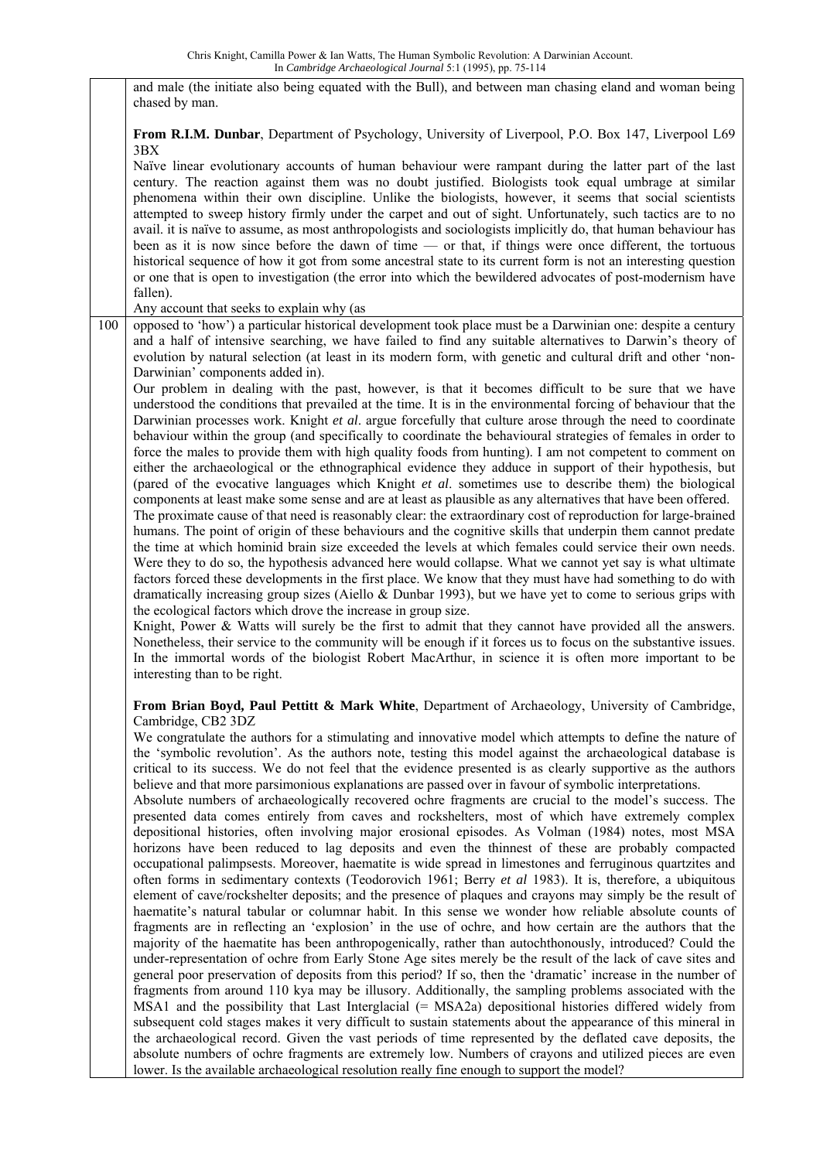and male (the initiate also being equated with the Bull), and between man chasing eland and woman being chased by man.

**From R.I.M. Dunbar**, Department of Psychology, University of Liverpool, P.O. Box 147, Liverpool L69 3BX

Naïve linear evolutionary accounts of human behaviour were rampant during the latter part of the last century. The reaction against them was no doubt justified. Biologists took equal umbrage at similar phenomena within their own discipline. Unlike the biologists, however, it seems that social scientists attempted to sweep history firmly under the carpet and out of sight. Unfortunately, such tactics are to no avail. it is naïve to assume, as most anthropologists and sociologists implicitly do, that human behaviour has been as it is now since before the dawn of time — or that, if things were once different, the tortuous historical sequence of how it got from some ancestral state to its current form is not an interesting question or one that is open to investigation (the error into which the bewildered advocates of post-modernism have fallen).

Any account that seeks to explain why (as

100 opposed to 'how') a particular historical development took place must be a Darwinian one: despite a century and a half of intensive searching, we have failed to find any suitable alternatives to Darwin's theory of evolution by natural selection (at least in its modern form, with genetic and cultural drift and other 'non-Darwinian' components added in).

Our problem in dealing with the past, however, is that it becomes difficult to be sure that we have understood the conditions that prevailed at the time. It is in the environmental forcing of behaviour that the Darwinian processes work. Knight *et al*. argue forcefully that culture arose through the need to coordinate behaviour within the group (and specifically to coordinate the behavioural strategies of females in order to force the males to provide them with high quality foods from hunting). I am not competent to comment on either the archaeological or the ethnographical evidence they adduce in support of their hypothesis, but (pared of the evocative languages which Knight *et al*. sometimes use to describe them) the biological components at least make some sense and are at least as plausible as any alternatives that have been offered. The proximate cause of that need is reasonably clear: the extraordinary cost of reproduction for large-brained humans. The point of origin of these behaviours and the cognitive skills that underpin them cannot predate the time at which hominid brain size exceeded the levels at which females could service their own needs. Were they to do so, the hypothesis advanced here would collapse. What we cannot yet say is what ultimate factors forced these developments in the first place. We know that they must have had something to do with dramatically increasing group sizes (Aiello & Dunbar 1993), but we have yet to come to serious grips with the ecological factors which drove the increase in group size.

Knight, Power & Watts will surely be the first to admit that they cannot have provided all the answers. Nonetheless, their service to the community will be enough if it forces us to focus on the substantive issues. In the immortal words of the biologist Robert MacArthur, in science it is often more important to be interesting than to be right.

## **From Brian Boyd, Paul Pettitt & Mark White**, Department of Archaeology, University of Cambridge, Cambridge, CB2 3DZ

We congratulate the authors for a stimulating and innovative model which attempts to define the nature of the 'symbolic revolution'. As the authors note, testing this model against the archaeological database is critical to its success. We do not feel that the evidence presented is as clearly supportive as the authors believe and that more parsimonious explanations are passed over in favour of symbolic interpretations.

Absolute numbers of archaeologically recovered ochre fragments are crucial to the model's success. The presented data comes entirely from caves and rockshelters, most of which have extremely complex depositional histories, often involving major erosional episodes. As Volman (1984) notes, most MSA horizons have been reduced to lag deposits and even the thinnest of these are probably compacted occupational palimpsests. Moreover, haematite is wide spread in limestones and ferruginous quartzites and often forms in sedimentary contexts (Teodorovich 1961; Berry *et al* 1983). It is, therefore, a ubiquitous element of cave/rockshelter deposits; and the presence of plaques and crayons may simply be the result of haematite's natural tabular or columnar habit. In this sense we wonder how reliable absolute counts of fragments are in reflecting an 'explosion' in the use of ochre, and how certain are the authors that the majority of the haematite has been anthropogenically, rather than autochthonously, introduced? Could the under-representation of ochre from Early Stone Age sites merely be the result of the lack of cave sites and general poor preservation of deposits from this period? If so, then the 'dramatic' increase in the number of fragments from around 110 kya may be illusory. Additionally, the sampling problems associated with the MSA1 and the possibility that Last Interglacial (= MSA2a) depositional histories differed widely from subsequent cold stages makes it very difficult to sustain statements about the appearance of this mineral in the archaeological record. Given the vast periods of time represented by the deflated cave deposits, the absolute numbers of ochre fragments are extremely low. Numbers of crayons and utilized pieces are even lower. Is the available archaeological resolution really fine enough to support the model?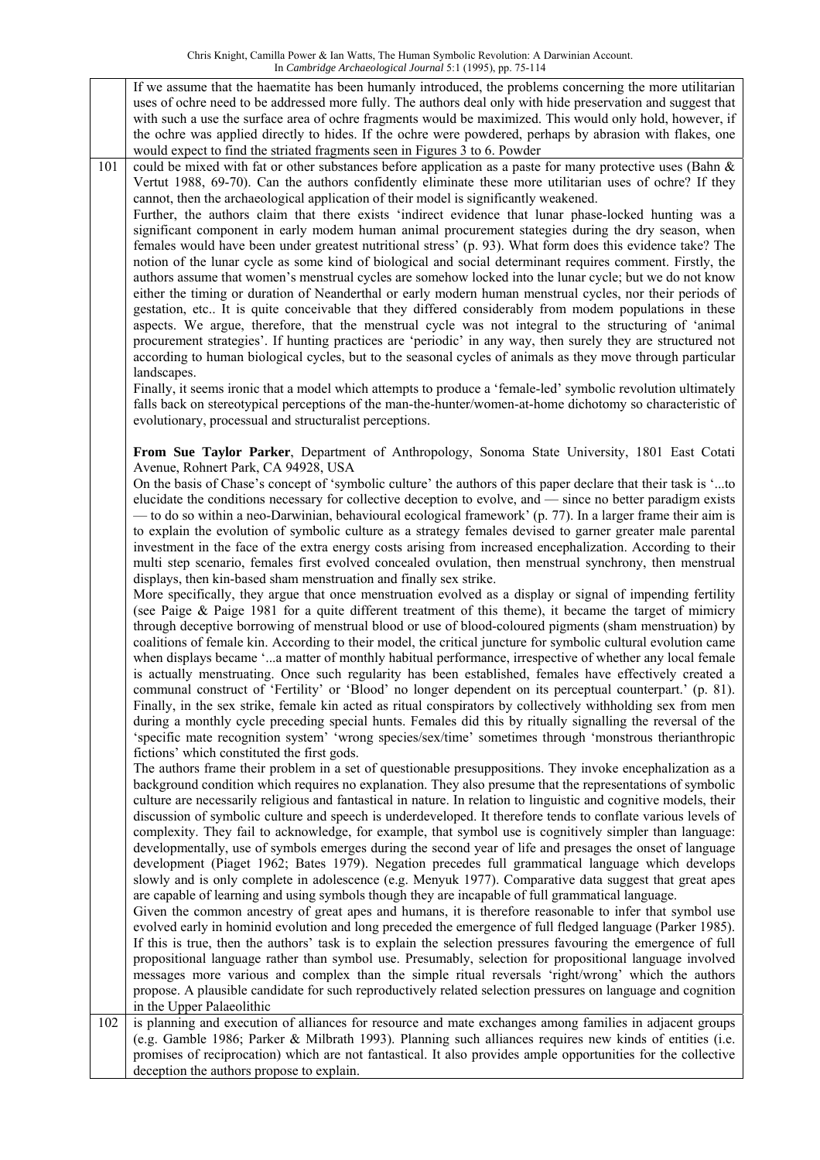If we assume that the haematite has been humanly introduced, the problems concerning the more utilitarian uses of ochre need to be addressed more fully. The authors deal only with hide preservation and suggest that with such a use the surface area of ochre fragments would be maximized. This would only hold, however, if the ochre was applied directly to hides. If the ochre were powdered, perhaps by abrasion with flakes, one would expect to find the striated fragments seen in Figures 3 to 6. Powder

101 could be mixed with fat or other substances before application as a paste for many protective uses (Bahn & Vertut 1988, 69-70). Can the authors confidently eliminate these more utilitarian uses of ochre? If they cannot, then the archaeological application of their model is significantly weakened.

Further, the authors claim that there exists 'indirect evidence that lunar phase-locked hunting was a significant component in early modem human animal procurement stategies during the dry season, when females would have been under greatest nutritional stress' (p. 93). What form does this evidence take? The notion of the lunar cycle as some kind of biological and social determinant requires comment. Firstly, the authors assume that women's menstrual cycles are somehow locked into the lunar cycle; but we do not know either the timing or duration of Neanderthal or early modern human menstrual cycles, nor their periods of gestation, etc.. It is quite conceivable that they differed considerably from modem populations in these aspects. We argue, therefore, that the menstrual cycle was not integral to the structuring of 'animal procurement strategies'. If hunting practices are 'periodic' in any way, then surely they are structured not according to human biological cycles, but to the seasonal cycles of animals as they move through particular landscapes.

Finally, it seems ironic that a model which attempts to produce a 'female-led' symbolic revolution ultimately falls back on stereotypical perceptions of the man-the-hunter/women-at-home dichotomy so characteristic of evolutionary, processual and structuralist perceptions.

**From Sue Taylor Parker**, Department of Anthropology, Sonoma State University, 1801 East Cotati Avenue, Rohnert Park, CA 94928, USA

On the basis of Chase's concept of 'symbolic culture' the authors of this paper declare that their task is '...to elucidate the conditions necessary for collective deception to evolve, and — since no better paradigm exists — to do so within a neo-Darwinian, behavioural ecological framework' (p. 77). In a larger frame their aim is to explain the evolution of symbolic culture as a strategy females devised to garner greater male parental investment in the face of the extra energy costs arising from increased encephalization. According to their multi step scenario, females first evolved concealed ovulation, then menstrual synchrony, then menstrual displays, then kin-based sham menstruation and finally sex strike.

More specifically, they argue that once menstruation evolved as a display or signal of impending fertility (see Paige & Paige 1981 for a quite different treatment of this theme), it became the target of mimicry through deceptive borrowing of menstrual blood or use of blood-coloured pigments (sham menstruation) by coalitions of female kin. According to their model, the critical juncture for symbolic cultural evolution came when displays became '...a matter of monthly habitual performance, irrespective of whether any local female is actually menstruating. Once such regularity has been established, females have effectively created a communal construct of 'Fertility' or 'Blood' no longer dependent on its perceptual counterpart.' (p. 81). Finally, in the sex strike, female kin acted as ritual conspirators by collectively withholding sex from men during a monthly cycle preceding special hunts. Females did this by ritually signalling the reversal of the 'specific mate recognition system' 'wrong species/sex/time' sometimes through 'monstrous therianthropic fictions' which constituted the first gods.

The authors frame their problem in a set of questionable presuppositions. They invoke encephalization as a background condition which requires no explanation. They also presume that the representations of symbolic culture are necessarily religious and fantastical in nature. In relation to linguistic and cognitive models, their discussion of symbolic culture and speech is underdeveloped. It therefore tends to conflate various levels of complexity. They fail to acknowledge, for example, that symbol use is cognitively simpler than language: developmentally, use of symbols emerges during the second year of life and presages the onset of language development (Piaget 1962; Bates 1979). Negation precedes full grammatical language which develops slowly and is only complete in adolescence (e.g. Menyuk 1977). Comparative data suggest that great apes are capable of learning and using symbols though they are incapable of full grammatical language.

Given the common ancestry of great apes and humans, it is therefore reasonable to infer that symbol use evolved early in hominid evolution and long preceded the emergence of full fledged language (Parker 1985). If this is true, then the authors' task is to explain the selection pressures favouring the emergence of full propositional language rather than symbol use. Presumably, selection for propositional language involved messages more various and complex than the simple ritual reversals 'right/wrong' which the authors propose. A plausible candidate for such reproductively related selection pressures on language and cognition in the Upper Palaeolithic

102 is planning and execution of alliances for resource and mate exchanges among families in adjacent groups (e.g. Gamble 1986; Parker & Milbrath 1993). Planning such alliances requires new kinds of entities (i.e. promises of reciprocation) which are not fantastical. It also provides ample opportunities for the collective deception the authors propose to explain.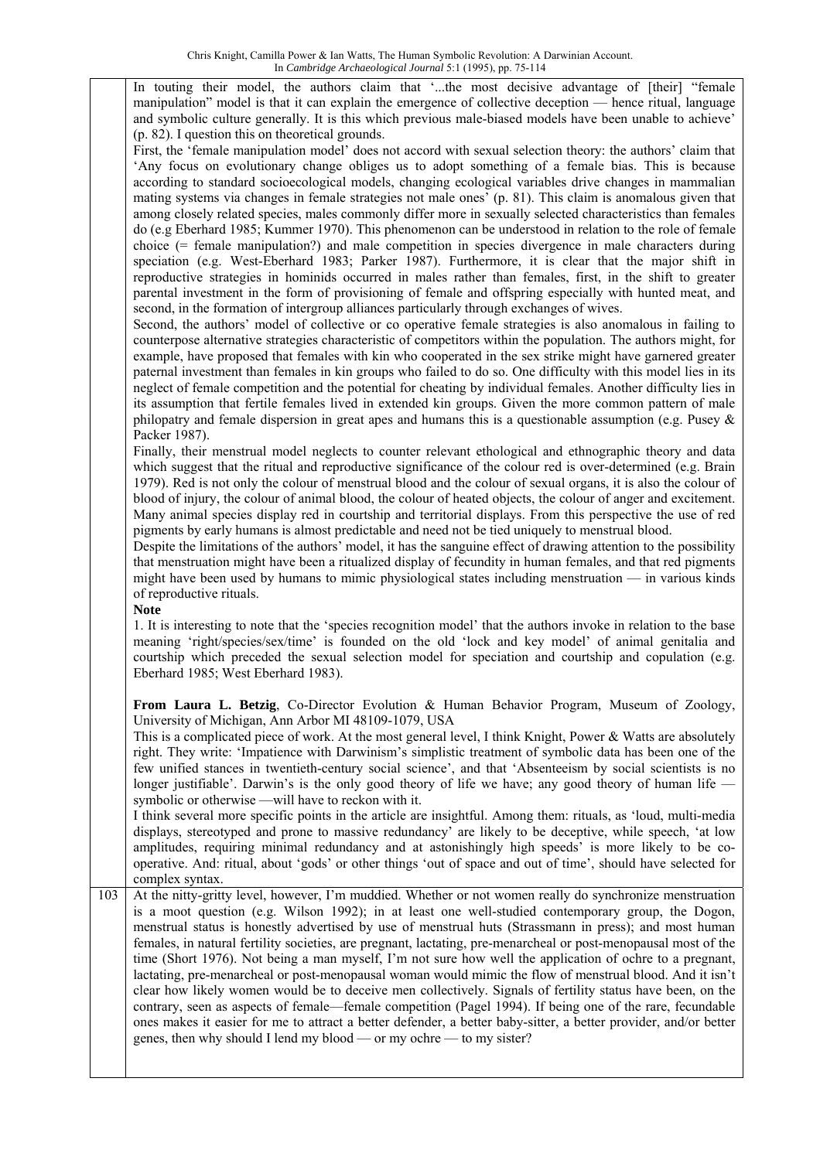In touting their model, the authors claim that '...the most decisive advantage of [their] "female manipulation" model is that it can explain the emergence of collective deception — hence ritual, language and symbolic culture generally. It is this which previous male-biased models have been unable to achieve' (p. 82). I question this on theoretical grounds.

First, the 'female manipulation model' does not accord with sexual selection theory: the authors' claim that 'Any focus on evolutionary change obliges us to adopt something of a female bias. This is because according to standard socioecological models, changing ecological variables drive changes in mammalian mating systems via changes in female strategies not male ones' (p. 81). This claim is anomalous given that among closely related species, males commonly differ more in sexually selected characteristics than females do (e.g Eberhard 1985; Kummer 1970). This phenomenon can be understood in relation to the role of female choice (= female manipulation?) and male competition in species divergence in male characters during speciation (e.g. West-Eberhard 1983; Parker 1987). Furthermore, it is clear that the major shift in reproductive strategies in hominids occurred in males rather than females, first, in the shift to greater parental investment in the form of provisioning of female and offspring especially with hunted meat, and second, in the formation of intergroup alliances particularly through exchanges of wives.

Second, the authors' model of collective or co operative female strategies is also anomalous in failing to counterpose alternative strategies characteristic of competitors within the population. The authors might, for example, have proposed that females with kin who cooperated in the sex strike might have garnered greater paternal investment than females in kin groups who failed to do so. One difficulty with this model lies in its neglect of female competition and the potential for cheating by individual females. Another difficulty lies in its assumption that fertile females lived in extended kin groups. Given the more common pattern of male philopatry and female dispersion in great apes and humans this is a questionable assumption (e.g. Pusey & Packer 1987).

Finally, their menstrual model neglects to counter relevant ethological and ethnographic theory and data which suggest that the ritual and reproductive significance of the colour red is over-determined (e.g. Brain 1979). Red is not only the colour of menstrual blood and the colour of sexual organs, it is also the colour of blood of injury, the colour of animal blood, the colour of heated objects, the colour of anger and excitement. Many animal species display red in courtship and territorial displays. From this perspective the use of red pigments by early humans is almost predictable and need not be tied uniquely to menstrual blood.

Despite the limitations of the authors' model, it has the sanguine effect of drawing attention to the possibility that menstruation might have been a ritualized display of fecundity in human females, and that red pigments might have been used by humans to mimic physiological states including menstruation — in various kinds of reproductive rituals.

### **Note**

1. It is interesting to note that the 'species recognition model' that the authors invoke in relation to the base meaning 'right/species/sex/time' is founded on the old 'lock and key model' of animal genitalia and courtship which preceded the sexual selection model for speciation and courtship and copulation (e.g. Eberhard 1985; West Eberhard 1983).

**From Laura L. Betzig**, Co-Director Evolution & Human Behavior Program, Museum of Zoology, University of Michigan, Ann Arbor MI 48109-1079, USA

This is a complicated piece of work. At the most general level, I think Knight, Power & Watts are absolutely right. They write: 'Impatience with Darwinism's simplistic treatment of symbolic data has been one of the few unified stances in twentieth-century social science', and that 'Absenteeism by social scientists is no longer justifiable'. Darwin's is the only good theory of life we have; any good theory of human life symbolic or otherwise —will have to reckon with it.

I think several more specific points in the article are insightful. Among them: rituals, as 'loud, multi-media displays, stereotyped and prone to massive redundancy' are likely to be deceptive, while speech, 'at low amplitudes, requiring minimal redundancy and at astonishingly high speeds' is more likely to be cooperative. And: ritual, about 'gods' or other things 'out of space and out of time', should have selected for complex syntax.

103 At the nitty-gritty level, however, I'm muddied. Whether or not women really do synchronize menstruation is a moot question (e.g. Wilson 1992); in at least one well-studied contemporary group, the Dogon, menstrual status is honestly advertised by use of menstrual huts (Strassmann in press); and most human females, in natural fertility societies, are pregnant, lactating, pre-menarcheal or post-menopausal most of the time (Short 1976). Not being a man myself, I'm not sure how well the application of ochre to a pregnant, lactating, pre-menarcheal or post-menopausal woman would mimic the flow of menstrual blood. And it isn't clear how likely women would be to deceive men collectively. Signals of fertility status have been, on the contrary, seen as aspects of female—female competition (Pagel 1994). If being one of the rare, fecundable ones makes it easier for me to attract a better defender, a better baby-sitter, a better provider, and/or better genes, then why should I lend my blood — or my ochre — to my sister?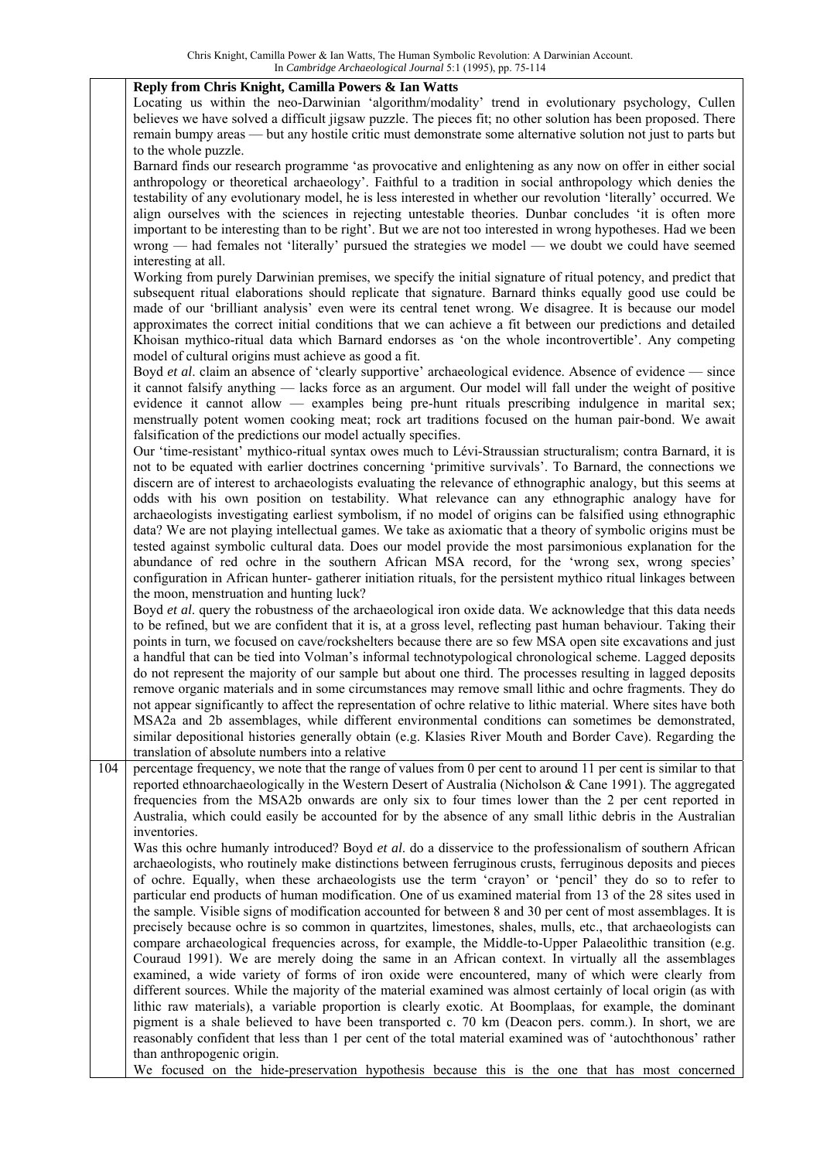### **Reply from Chris Knight, Camilla Powers & Ian Watts**

Locating us within the neo-Darwinian 'algorithm/modality' trend in evolutionary psychology, Cullen believes we have solved a difficult jigsaw puzzle. The pieces fit; no other solution has been proposed. There remain bumpy areas — but any hostile critic must demonstrate some alternative solution not just to parts but to the whole puzzle.

Barnard finds our research programme 'as provocative and enlightening as any now on offer in either social anthropology or theoretical archaeology'. Faithful to a tradition in social anthropology which denies the testability of any evolutionary model, he is less interested in whether our revolution 'literally' occurred. We align ourselves with the sciences in rejecting untestable theories. Dunbar concludes 'it is often more important to be interesting than to be right'. But we are not too interested in wrong hypotheses. Had we been wrong — had females not 'literally' pursued the strategies we model — we doubt we could have seemed interesting at all.

Working from purely Darwinian premises, we specify the initial signature of ritual potency, and predict that subsequent ritual elaborations should replicate that signature. Barnard thinks equally good use could be made of our 'brilliant analysis' even were its central tenet wrong. We disagree. It is because our model approximates the correct initial conditions that we can achieve a fit between our predictions and detailed Khoisan mythico-ritual data which Barnard endorses as 'on the whole incontrovertible'. Any competing model of cultural origins must achieve as good a fit.

Boyd *et al*. claim an absence of 'clearly supportive' archaeological evidence. Absence of evidence — since it cannot falsify anything — lacks force as an argument. Our model will fall under the weight of positive evidence it cannot allow — examples being pre-hunt rituals prescribing indulgence in marital sex; menstrually potent women cooking meat; rock art traditions focused on the human pair-bond. We await falsification of the predictions our model actually specifies.

Our 'time-resistant' mythico-ritual syntax owes much to Lévi-Straussian structuralism; contra Barnard, it is not to be equated with earlier doctrines concerning 'primitive survivals'. To Barnard, the connections we discern are of interest to archaeologists evaluating the relevance of ethnographic analogy, but this seems at odds with his own position on testability. What relevance can any ethnographic analogy have for archaeologists investigating earliest symbolism, if no model of origins can be falsified using ethnographic data? We are not playing intellectual games. We take as axiomatic that a theory of symbolic origins must be tested against symbolic cultural data. Does our model provide the most parsimonious explanation for the abundance of red ochre in the southern African MSA record, for the 'wrong sex, wrong species' configuration in African hunter- gatherer initiation rituals, for the persistent mythico ritual linkages between the moon, menstruation and hunting luck?

Boyd *et al*. query the robustness of the archaeological iron oxide data. We acknowledge that this data needs to be refined, but we are confident that it is, at a gross level, reflecting past human behaviour. Taking their points in turn, we focused on cave/rockshelters because there are so few MSA open site excavations and just a handful that can be tied into Volman's informal technotypological chronological scheme. Lagged deposits do not represent the majority of our sample but about one third. The processes resulting in lagged deposits remove organic materials and in some circumstances may remove small lithic and ochre fragments. They do not appear significantly to affect the representation of ochre relative to lithic material. Where sites have both MSA2a and 2b assemblages, while different environmental conditions can sometimes be demonstrated, similar depositional histories generally obtain (e.g. Klasies River Mouth and Border Cave). Regarding the translation of absolute numbers into a relative

104 percentage frequency, we note that the range of values from 0 per cent to around 11 per cent is similar to that reported ethnoarchaeologically in the Western Desert of Australia (Nicholson & Cane 1991). The aggregated frequencies from the MSA2b onwards are only six to four times lower than the 2 per cent reported in Australia, which could easily be accounted for by the absence of any small lithic debris in the Australian inventories.

Was this ochre humanly introduced? Boyd *et al*. do a disservice to the professionalism of southern African archaeologists, who routinely make distinctions between ferruginous crusts, ferruginous deposits and pieces of ochre. Equally, when these archaeologists use the term 'crayon' or 'pencil' they do so to refer to particular end products of human modification. One of us examined material from 13 of the 28 sites used in the sample. Visible signs of modification accounted for between 8 and 30 per cent of most assemblages. It is precisely because ochre is so common in quartzites, limestones, shales, mulls, etc., that archaeologists can compare archaeological frequencies across, for example, the Middle-to-Upper Palaeolithic transition (e.g. Couraud 1991). We are merely doing the same in an African context. In virtually all the assemblages examined, a wide variety of forms of iron oxide were encountered, many of which were clearly from different sources. While the majority of the material examined was almost certainly of local origin (as with lithic raw materials), a variable proportion is clearly exotic. At Boomplaas, for example, the dominant pigment is a shale believed to have been transported c. 70 km (Deacon pers. comm.). In short, we are reasonably confident that less than 1 per cent of the total material examined was of 'autochthonous' rather than anthropogenic origin.

We focused on the hide-preservation hypothesis because this is the one that has most concerned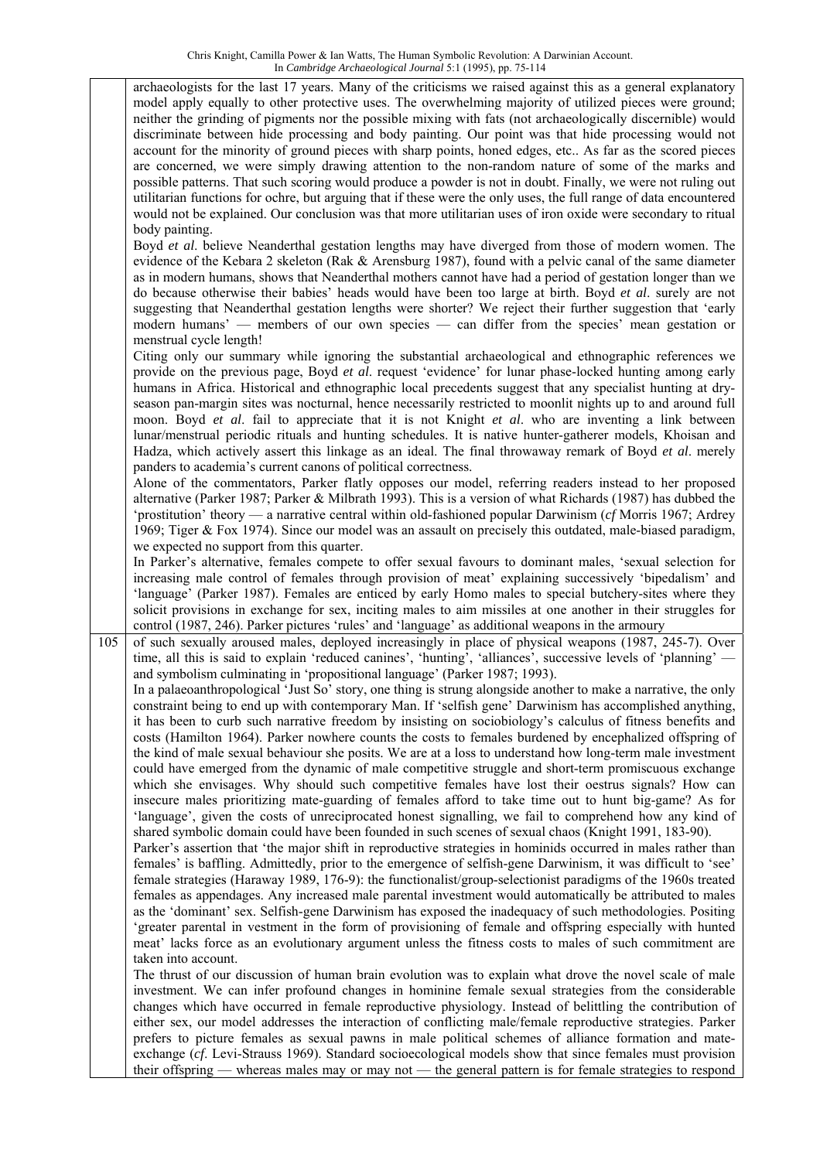|     | archaeologists for the last 17 years. Many of the criticisms we raised against this as a general explanatory                                                                                                                |
|-----|-----------------------------------------------------------------------------------------------------------------------------------------------------------------------------------------------------------------------------|
|     | model apply equally to other protective uses. The overwhelming majority of utilized pieces were ground;                                                                                                                     |
|     | neither the grinding of pigments nor the possible mixing with fats (not archaeologically discernible) would                                                                                                                 |
|     | discriminate between hide processing and body painting. Our point was that hide processing would not                                                                                                                        |
|     | account for the minority of ground pieces with sharp points, honed edges, etc As far as the scored pieces                                                                                                                   |
|     | are concerned, we were simply drawing attention to the non-random nature of some of the marks and                                                                                                                           |
|     | possible patterns. That such scoring would produce a powder is not in doubt. Finally, we were not ruling out                                                                                                                |
|     | utilitarian functions for ochre, but arguing that if these were the only uses, the full range of data encountered                                                                                                           |
|     | would not be explained. Our conclusion was that more utilitarian uses of iron oxide were secondary to ritual                                                                                                                |
|     | body painting.                                                                                                                                                                                                              |
|     | Boyd et al. believe Neanderthal gestation lengths may have diverged from those of modern women. The                                                                                                                         |
|     | evidence of the Kebara 2 skeleton (Rak & Arensburg 1987), found with a pelvic canal of the same diameter                                                                                                                    |
|     | as in modern humans, shows that Neanderthal mothers cannot have had a period of gestation longer than we                                                                                                                    |
|     | do because otherwise their babies' heads would have been too large at birth. Boyd et al. surely are not                                                                                                                     |
|     | suggesting that Neanderthal gestation lengths were shorter? We reject their further suggestion that 'early                                                                                                                  |
|     | modern humans' — members of our own species — can differ from the species' mean gestation or<br>menstrual cycle length!                                                                                                     |
|     | Citing only our summary while ignoring the substantial archaeological and ethnographic references we                                                                                                                        |
|     | provide on the previous page, Boyd et al. request 'evidence' for lunar phase-locked hunting among early                                                                                                                     |
|     | humans in Africa. Historical and ethnographic local precedents suggest that any specialist hunting at dry-                                                                                                                  |
|     | season pan-margin sites was nocturnal, hence necessarily restricted to moonlit nights up to and around full                                                                                                                 |
|     | moon. Boyd et al. fail to appreciate that it is not Knight et al. who are inventing a link between                                                                                                                          |
|     | lunar/menstrual periodic rituals and hunting schedules. It is native hunter-gatherer models, Khoisan and                                                                                                                    |
|     | Hadza, which actively assert this linkage as an ideal. The final throwaway remark of Boyd et al. merely                                                                                                                     |
|     | panders to academia's current canons of political correctness.                                                                                                                                                              |
|     | Alone of the commentators, Parker flatly opposes our model, referring readers instead to her proposed                                                                                                                       |
|     | alternative (Parker 1987; Parker & Milbrath 1993). This is a version of what Richards (1987) has dubbed the                                                                                                                 |
|     | 'prostitution' theory — a narrative central within old-fashioned popular Darwinism (cf Morris 1967; Ardrey                                                                                                                  |
|     | 1969; Tiger & Fox 1974). Since our model was an assault on precisely this outdated, male-biased paradigm,                                                                                                                   |
|     | we expected no support from this quarter.                                                                                                                                                                                   |
|     | In Parker's alternative, females compete to offer sexual favours to dominant males, 'sexual selection for                                                                                                                   |
|     | increasing male control of females through provision of meat' explaining successively 'bipedalism' and                                                                                                                      |
|     | 'language' (Parker 1987). Females are enticed by early Homo males to special butchery-sites where they                                                                                                                      |
|     | solicit provisions in exchange for sex, inciting males to aim missiles at one another in their struggles for                                                                                                                |
|     | control (1987, 246). Parker pictures 'rules' and 'language' as additional weapons in the armoury                                                                                                                            |
| 105 | of such sexually aroused males, deployed increasingly in place of physical weapons (1987, 245-7). Over                                                                                                                      |
|     | time, all this is said to explain 'reduced canines', 'hunting', 'alliances', successive levels of 'planning' —                                                                                                              |
|     | and symbolism culminating in 'propositional language' (Parker 1987; 1993).                                                                                                                                                  |
|     | In a palaeoanthropological 'Just So' story, one thing is strung alongside another to make a narrative, the only<br>constraint being to end up with contemporary Man. If 'selfish gene' Darwinism has accomplished anything, |
|     | it has been to curb such narrative freedom by insisting on sociobiology's calculus of fitness benefits and                                                                                                                  |
|     | costs (Hamilton 1964). Parker nowhere counts the costs to females burdened by encephalized offspring of                                                                                                                     |
|     | the kind of male sexual behaviour she posits. We are at a loss to understand how long-term male investment                                                                                                                  |
|     | could have emerged from the dynamic of male competitive struggle and short-term promiscuous exchange                                                                                                                        |
|     | which she envisages. Why should such competitive females have lost their oestrus signals? How can                                                                                                                           |
|     | insecure males prioritizing mate-guarding of females afford to take time out to hunt big-game? As for                                                                                                                       |
|     | 'language', given the costs of unreciprocated honest signalling, we fail to comprehend how any kind of                                                                                                                      |
|     | shared symbolic domain could have been founded in such scenes of sexual chaos (Knight 1991, 183-90).                                                                                                                        |
|     | Parker's assertion that 'the major shift in reproductive strategies in hominids occurred in males rather than                                                                                                               |
|     | females' is baffling. Admittedly, prior to the emergence of selfish-gene Darwinism, it was difficult to 'see'                                                                                                               |
|     | female strategies (Haraway 1989, 176-9): the functionalist/group-selectionist paradigms of the 1960s treated                                                                                                                |
|     | females as appendages. Any increased male parental investment would automatically be attributed to males                                                                                                                    |
|     | as the 'dominant' sex. Selfish-gene Darwinism has exposed the inadequacy of such methodologies. Positing                                                                                                                    |
|     | 'greater parental in vestment in the form of provisioning of female and offspring especially with hunted                                                                                                                    |
|     | meat' lacks force as an evolutionary argument unless the fitness costs to males of such commitment are                                                                                                                      |
|     | taken into account.                                                                                                                                                                                                         |
|     | The thrust of our discussion of human brain evolution was to explain what drove the novel scale of male                                                                                                                     |
|     | investment. We can infer profound changes in hominine female sexual strategies from the considerable                                                                                                                        |
|     | changes which have occurred in female reproductive physiology. Instead of belittling the contribution of                                                                                                                    |
|     | either sex, our model addresses the interaction of conflicting male/female reproductive strategies. Parker                                                                                                                  |
|     | prefers to picture females as sexual pawns in male political schemes of alliance formation and mate-<br>exchange (cf. Levi-Strauss 1969). Standard socioecological models show that since females must provision            |
|     | their offspring — whereas males may or may not — the general pattern is for female strategies to respond                                                                                                                    |
|     |                                                                                                                                                                                                                             |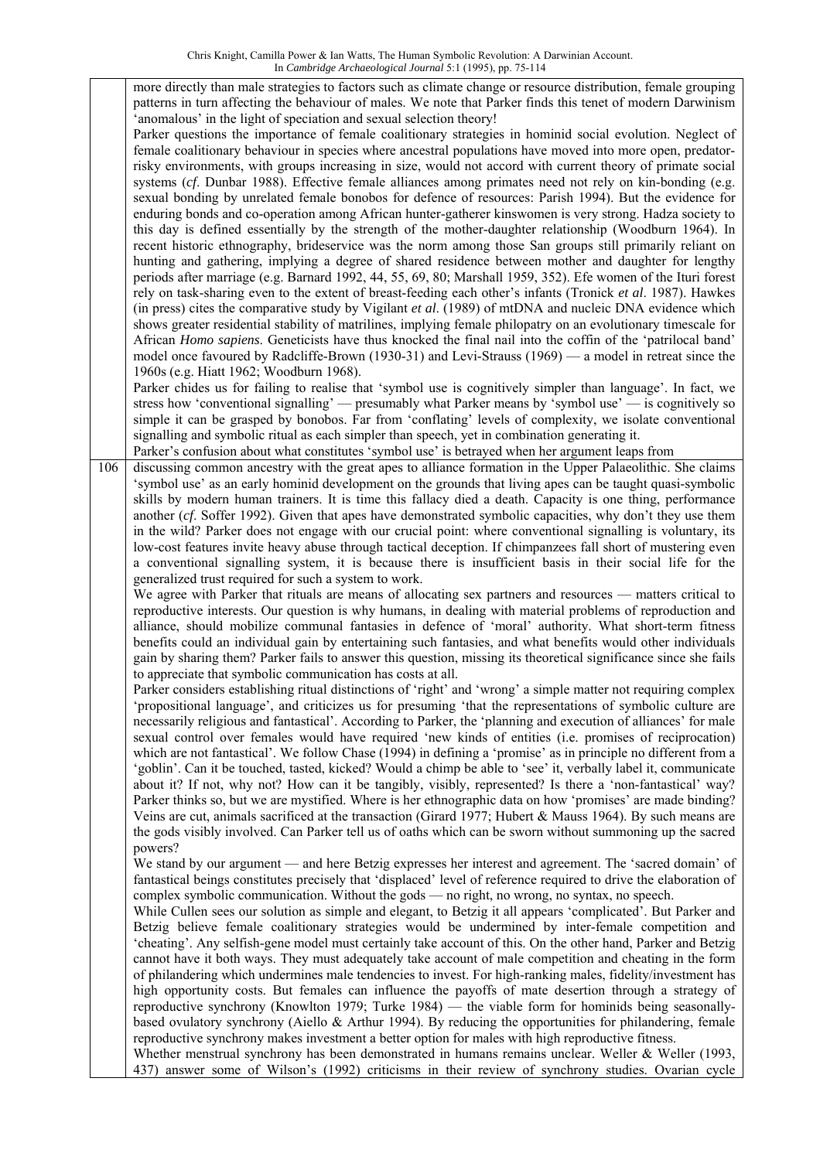more directly than male strategies to factors such as climate change or resource distribution, female grouping patterns in turn affecting the behaviour of males. We note that Parker finds this tenet of modern Darwinism 'anomalous' in the light of speciation and sexual selection theory!

Parker questions the importance of female coalitionary strategies in hominid social evolution. Neglect of female coalitionary behaviour in species where ancestral populations have moved into more open, predatorrisky environments, with groups increasing in size, would not accord with current theory of primate social systems (*cf*. Dunbar 1988). Effective female alliances among primates need not rely on kin-bonding (e.g. sexual bonding by unrelated female bonobos for defence of resources: Parish 1994). But the evidence for enduring bonds and co-operation among African hunter-gatherer kinswomen is very strong. Hadza society to this day is defined essentially by the strength of the mother-daughter relationship (Woodburn 1964). In recent historic ethnography, brideservice was the norm among those San groups still primarily reliant on hunting and gathering, implying a degree of shared residence between mother and daughter for lengthy periods after marriage (e.g. Barnard 1992, 44, 55, 69, 80; Marshall 1959, 352). Efe women of the Ituri forest rely on task-sharing even to the extent of breast-feeding each other's infants (Tronick *et al*. 1987). Hawkes (in press) cites the comparative study by Vigilant *et al*. (1989) of mtDNA and nucleic DNA evidence which shows greater residential stability of matrilines, implying female philopatry on an evolutionary timescale for African *Homo sapiens*. Geneticists have thus knocked the final nail into the coffin of the 'patrilocal band' model once favoured by Radcliffe-Brown (1930-31) and Levi-Strauss (1969) — a model in retreat since the 1960s (e.g. Hiatt 1962; Woodburn 1968).

Parker chides us for failing to realise that 'symbol use is cognitively simpler than language'. In fact, we stress how 'conventional signalling' — presumably what Parker means by 'symbol use' — is cognitively so simple it can be grasped by bonobos. Far from 'conflating' levels of complexity, we isolate conventional signalling and symbolic ritual as each simpler than speech, yet in combination generating it. Parker's confusion about what constitutes 'symbol use' is betrayed when her argument leaps from

106 discussing common ancestry with the great apes to alliance formation in the Upper Palaeolithic. She claims 'symbol use' as an early hominid development on the grounds that living apes can be taught quasi-symbolic skills by modern human trainers. It is time this fallacy died a death. Capacity is one thing, performance another (*cf*. Soffer 1992). Given that apes have demonstrated symbolic capacities, why don't they use them in the wild? Parker does not engage with our crucial point: where conventional signalling is voluntary, its low-cost features invite heavy abuse through tactical deception. If chimpanzees fall short of mustering even a conventional signalling system, it is because there is insufficient basis in their social life for the generalized trust required for such a system to work.

We agree with Parker that rituals are means of allocating sex partners and resources — matters critical to reproductive interests. Our question is why humans, in dealing with material problems of reproduction and alliance, should mobilize communal fantasies in defence of 'moral' authority. What short-term fitness benefits could an individual gain by entertaining such fantasies, and what benefits would other individuals gain by sharing them? Parker fails to answer this question, missing its theoretical significance since she fails to appreciate that symbolic communication has costs at all.

Parker considers establishing ritual distinctions of 'right' and 'wrong' a simple matter not requiring complex 'propositional language', and criticizes us for presuming 'that the representations of symbolic culture are necessarily religious and fantastical'. According to Parker, the 'planning and execution of alliances' for male sexual control over females would have required 'new kinds of entities (i.e. promises of reciprocation) which are not fantastical'. We follow Chase (1994) in defining a 'promise' as in principle no different from a 'goblin'. Can it be touched, tasted, kicked? Would a chimp be able to 'see' it, verbally label it, communicate about it? If not, why not? How can it be tangibly, visibly, represented? Is there a 'non-fantastical' way? Parker thinks so, but we are mystified. Where is her ethnographic data on how 'promises' are made binding? Veins are cut, animals sacrificed at the transaction (Girard 1977; Hubert & Mauss 1964). By such means are the gods visibly involved. Can Parker tell us of oaths which can be sworn without summoning up the sacred powers?

We stand by our argument — and here Betzig expresses her interest and agreement. The 'sacred domain' of fantastical beings constitutes precisely that 'displaced' level of reference required to drive the elaboration of complex symbolic communication. Without the gods — no right, no wrong, no syntax, no speech.

While Cullen sees our solution as simple and elegant, to Betzig it all appears 'complicated'. But Parker and Betzig believe female coalitionary strategies would be undermined by inter-female competition and 'cheating'. Any selfish-gene model must certainly take account of this. On the other hand, Parker and Betzig cannot have it both ways. They must adequately take account of male competition and cheating in the form of philandering which undermines male tendencies to invest. For high-ranking males, fidelity/investment has high opportunity costs. But females can influence the payoffs of mate desertion through a strategy of reproductive synchrony (Knowlton 1979; Turke 1984) — the viable form for hominids being seasonallybased ovulatory synchrony (Aiello & Arthur 1994). By reducing the opportunities for philandering, female reproductive synchrony makes investment a better option for males with high reproductive fitness.

Whether menstrual synchrony has been demonstrated in humans remains unclear. Weller  $&$  Weller (1993, 437) answer some of Wilson's (1992) criticisms in their review of synchrony studies. Ovarian cycle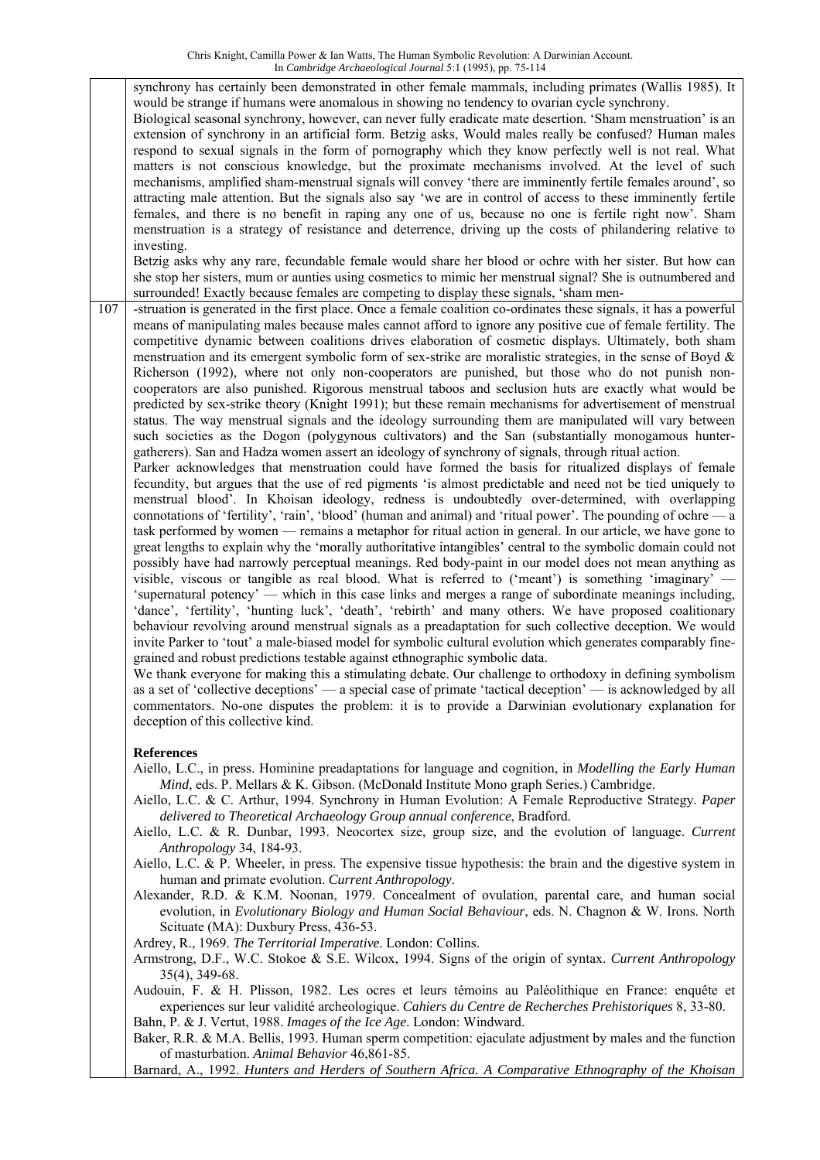synchrony has certainly been demonstrated in other female mammals, including primates (Wallis 1985). It would be strange if humans were anomalous in showing no tendency to ovarian cycle synchrony.

Biological seasonal synchrony, however, can never fully eradicate mate desertion. 'Sham menstruation' is an extension of synchrony in an artificial form. Betzig asks, Would males really be confused? Human males respond to sexual signals in the form of pornography which they know perfectly well is not real. What matters is not conscious knowledge, but the proximate mechanisms involved. At the level of such mechanisms, amplified sham-menstrual signals will convey 'there are imminently fertile females around', so attracting male attention. But the signals also say 'we are in control of access to these imminently fertile females, and there is no benefit in raping any one of us, because no one is fertile right now'. Sham menstruation is a strategy of resistance and deterrence, driving up the costs of philandering relative to investing.

Betzig asks why any rare, fecundable female would share her blood or ochre with her sister. But how can she stop her sisters, mum or aunties using cosmetics to mimic her menstrual signal? She is outnumbered and surrounded! Exactly because females are competing to display these signals, 'sham men-

107 -struation is generated in the first place. Once a female coalition co-ordinates these signals, it has a powerful means of manipulating males because males cannot afford to ignore any positive cue of female fertility. The competitive dynamic between coalitions drives elaboration of cosmetic displays. Ultimately, both sham menstruation and its emergent symbolic form of sex-strike are moralistic strategies, in the sense of Boyd  $\&$ Richerson (1992), where not only non-cooperators are punished, but those who do not punish noncooperators are also punished. Rigorous menstrual taboos and seclusion huts are exactly what would be predicted by sex-strike theory (Knight 1991); but these remain mechanisms for advertisement of menstrual status. The way menstrual signals and the ideology surrounding them are manipulated will vary between such societies as the Dogon (polygynous cultivators) and the San (substantially monogamous huntergatherers). San and Hadza women assert an ideology of synchrony of signals, through ritual action.

Parker acknowledges that menstruation could have formed the basis for ritualized displays of female fecundity, but argues that the use of red pigments 'is almost predictable and need not be tied uniquely to menstrual blood'. In Khoisan ideology, redness is undoubtedly over-determined, with overlapping connotations of 'fertility', 'rain', 'blood' (human and animal) and 'ritual power'. The pounding of ochre — a task performed by women — remains a metaphor for ritual action in general. In our article, we have gone to great lengths to explain why the 'morally authoritative intangibles' central to the symbolic domain could not possibly have had narrowly perceptual meanings. Red body-paint in our model does not mean anything as visible, viscous or tangible as real blood. What is referred to ('meant') is something 'imaginary' — 'supernatural potency' — which in this case links and merges a range of subordinate meanings including, 'dance', 'fertility', 'hunting luck', 'death', 'rebirth' and many others. We have proposed coalitionary behaviour revolving around menstrual signals as a preadaptation for such collective deception. We would invite Parker to 'tout' a male-biased model for symbolic cultural evolution which generates comparably finegrained and robust predictions testable against ethnographic symbolic data.

We thank everyone for making this a stimulating debate. Our challenge to orthodoxy in defining symbolism as a set of 'collective deceptions' — a special case of primate 'tactical deception' — is acknowledged by all commentators. No-one disputes the problem: it is to provide a Darwinian evolutionary explanation for deception of this collective kind.

# **References**

- Aiello, L.C., in press. Hominine preadaptations for language and cognition, in *Modelling the Early Human Mind*, eds. P. Mellars & K. Gibson. (McDonald Institute Mono graph Series.) Cambridge.
- Aiello, L.C. & C. Arthur, 1994. Synchrony in Human Evolution: A Female Reproductive Strategy. *Paper delivered to Theoretical Archaeology Group annual conference*, Bradford.
- Aiello, L.C. & R. Dunbar, 1993. Neocortex size, group size, and the evolution of language. *Current Anthropology* 34, 184-93.

Aiello, L.C. & P. Wheeler, in press. The expensive tissue hypothesis: the brain and the digestive system in human and primate evolution. *Current Anthropology*.

Alexander, R.D. & K.M. Noonan, 1979. Concealment of ovulation, parental care, and human social evolution, in *Evolutionary Biology and Human Social Behaviour*, eds. N. Chagnon & W. Irons. North Scituate (MA): Duxbury Press, 436-53.

Ardrey, R., 1969. *The Territorial Imperative*. London: Collins.

- Armstrong, D.F., W.C. Stokoe & S.E. Wilcox, 1994. Signs of the origin of syntax. *Current Anthropology* 35(4), 349-68.
- Audouin, F. & H. Plisson, 1982. Les ocres et leurs témoins au Paléolithique en France: enquête et experiences sur leur validité archeologique. *Cahiers du Centre de Recherches Prehistoriques* 8, 33-80. Bahn, P. & J. Vertut, 1988. *Images of the Ice Age*. London: Windward.

Baker, R.R. & M.A. Bellis, 1993. Human sperm competition: ejaculate adjustment by males and the function of masturbation. *Animal Behavior* 46,861-85.

Barnard, A., 1992. *Hunters and Herders of Southern Africa. A Comparative Ethnography of the Khoisan*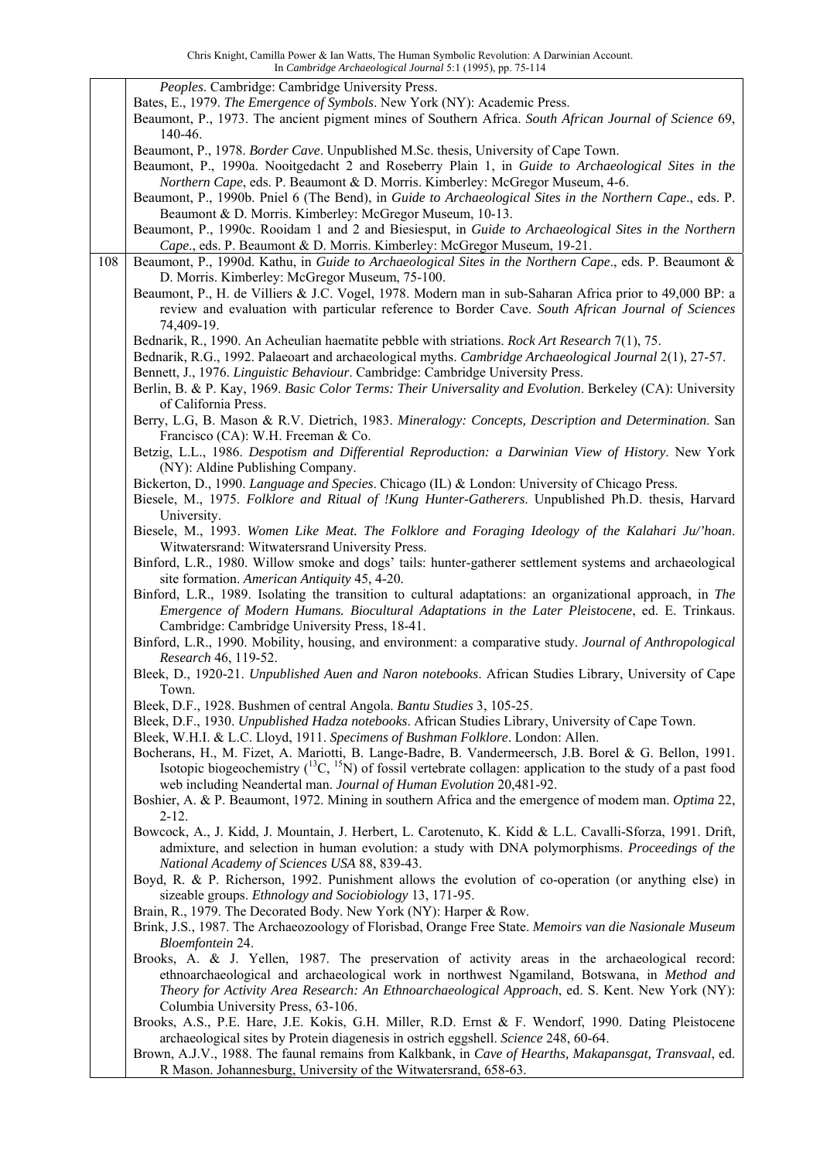|     | Peoples. Cambridge: Cambridge University Press.<br>Bates, E., 1979. The Emergence of Symbols. New York (NY): Academic Press.                                                                                                                                 |
|-----|--------------------------------------------------------------------------------------------------------------------------------------------------------------------------------------------------------------------------------------------------------------|
|     | Beaumont, P., 1973. The ancient pigment mines of Southern Africa. South African Journal of Science 69,<br>140-46.                                                                                                                                            |
|     | Beaumont, P., 1978. Border Cave. Unpublished M.Sc. thesis, University of Cape Town.<br>Beaumont, P., 1990a. Nooitgedacht 2 and Roseberry Plain 1, in Guide to Archaeological Sites in the                                                                    |
|     | Northern Cape, eds. P. Beaumont & D. Morris. Kimberley: McGregor Museum, 4-6.<br>Beaumont, P., 1990b. Pniel 6 (The Bend), in Guide to Archaeological Sites in the Northern Cape., eds. P.                                                                    |
|     | Beaumont & D. Morris. Kimberley: McGregor Museum, 10-13.                                                                                                                                                                                                     |
|     | Beaumont, P., 1990c. Rooidam 1 and 2 and Biesiesput, in Guide to Archaeological Sites in the Northern                                                                                                                                                        |
|     | Cape., eds. P. Beaumont & D. Morris. Kimberley: McGregor Museum, 19-21.                                                                                                                                                                                      |
| 108 | Beaumont, P., 1990d. Kathu, in Guide to Archaeological Sites in the Northern Cape., eds. P. Beaumont &<br>D. Morris. Kimberley: McGregor Museum, 75-100.                                                                                                     |
|     | Beaumont, P., H. de Villiers & J.C. Vogel, 1978. Modern man in sub-Saharan Africa prior to 49,000 BP: a                                                                                                                                                      |
|     | review and evaluation with particular reference to Border Cave. South African Journal of Sciences<br>74,409-19.                                                                                                                                              |
|     | Bednarik, R., 1990. An Acheulian haematite pebble with striations. Rock Art Research 7(1), 75.                                                                                                                                                               |
|     | Bednarik, R.G., 1992. Palaeoart and archaeological myths. Cambridge Archaeological Journal 2(1), 27-57.<br>Bennett, J., 1976. Linguistic Behaviour. Cambridge: Cambridge University Press.                                                                   |
|     | Berlin, B. & P. Kay, 1969. Basic Color Terms: Their Universality and Evolution. Berkeley (CA): University<br>of California Press.                                                                                                                            |
|     | Berry, L.G, B. Mason & R.V. Dietrich, 1983. Mineralogy: Concepts, Description and Determination. San<br>Francisco (CA): W.H. Freeman & Co.                                                                                                                   |
|     | Betzig, L.L., 1986. Despotism and Differential Reproduction: a Darwinian View of History. New York<br>(NY): Aldine Publishing Company.                                                                                                                       |
|     | Bickerton, D., 1990. Language and Species. Chicago (IL) & London: University of Chicago Press.<br>Biesele, M., 1975. Folklore and Ritual of !Kung Hunter-Gatherers. Unpublished Ph.D. thesis, Harvard                                                        |
|     | University.                                                                                                                                                                                                                                                  |
|     | Biesele, M., 1993. Women Like Meat. The Folklore and Foraging Ideology of the Kalahari Ju/'hoan.<br>Witwatersrand: Witwatersrand University Press.                                                                                                           |
|     | Binford, L.R., 1980. Willow smoke and dogs' tails: hunter-gatherer settlement systems and archaeological<br>site formation. American Antiquity 45, 4-20.                                                                                                     |
|     | Binford, L.R., 1989. Isolating the transition to cultural adaptations: an organizational approach, in The<br>Emergence of Modern Humans. Biocultural Adaptations in the Later Pleistocene, ed. E. Trinkaus.<br>Cambridge: Cambridge University Press, 18-41. |
|     | Binford, L.R., 1990. Mobility, housing, and environment: a comparative study. Journal of Anthropological<br>Research 46, 119-52.                                                                                                                             |
|     | Bleek, D., 1920-21. Unpublished Auen and Naron notebooks. African Studies Library, University of Cape<br>Town                                                                                                                                                |
|     | Bleek, D.F., 1928. Bushmen of central Angola. Bantu Studies 3, 105-25.                                                                                                                                                                                       |
|     | Bleek, D.F., 1930. Unpublished Hadza notebooks. African Studies Library, University of Cape Town.<br>Bleek, W.H.I. & L.C. Lloyd, 1911. Specimens of Bushman Folklore. London: Allen.                                                                         |
|     | Bocherans, H., M. Fizet, A. Mariotti, B. Lange-Badre, B. Vandermeersch, J.B. Borel & G. Bellon, 1991.                                                                                                                                                        |
|     | Isotopic biogeochemistry $(^{13}C, ^{15}N)$ of fossil vertebrate collagen: application to the study of a past food                                                                                                                                           |
|     | web including Neandertal man. Journal of Human Evolution 20,481-92.                                                                                                                                                                                          |
|     | Boshier, A. & P. Beaumont, 1972. Mining in southern Africa and the emergence of modem man. Optima 22,<br>$2 - 12.$                                                                                                                                           |
|     | Bowcock, A., J. Kidd, J. Mountain, J. Herbert, L. Carotenuto, K. Kidd & L.L. Cavalli-Sforza, 1991. Drift,                                                                                                                                                    |
|     | admixture, and selection in human evolution: a study with DNA polymorphisms. Proceedings of the<br>National Academy of Sciences USA 88, 839-43.                                                                                                              |
|     | Boyd, R. & P. Richerson, 1992. Punishment allows the evolution of co-operation (or anything else) in                                                                                                                                                         |
|     | sizeable groups. Ethnology and Sociobiology 13, 171-95.                                                                                                                                                                                                      |
|     | Brain, R., 1979. The Decorated Body. New York (NY): Harper & Row.                                                                                                                                                                                            |
|     | Brink, J.S., 1987. The Archaeozoology of Florisbad, Orange Free State. Memoirs van die Nasionale Museum<br>Bloemfontein 24.                                                                                                                                  |
|     | Brooks, A. & J. Yellen, 1987. The preservation of activity areas in the archaeological record:                                                                                                                                                               |
|     | ethnoarchaeological and archaeological work in northwest Ngamiland, Botswana, in Method and<br>Theory for Activity Area Research: An Ethnoarchaeological Approach, ed. S. Kent. New York (NY):                                                               |
|     | Columbia University Press, 63-106.                                                                                                                                                                                                                           |
|     | Brooks, A.S., P.E. Hare, J.E. Kokis, G.H. Miller, R.D. Ernst & F. Wendorf, 1990. Dating Pleistocene<br>archaeological sites by Protein diagenesis in ostrich eggshell. Science 248, 60-64.                                                                   |
|     | Brown, A.J.V., 1988. The faunal remains from Kalkbank, in Cave of Hearths, Makapansgat, Transvaal, ed.                                                                                                                                                       |
|     | R Mason. Johannesburg, University of the Witwatersrand, 658-63.                                                                                                                                                                                              |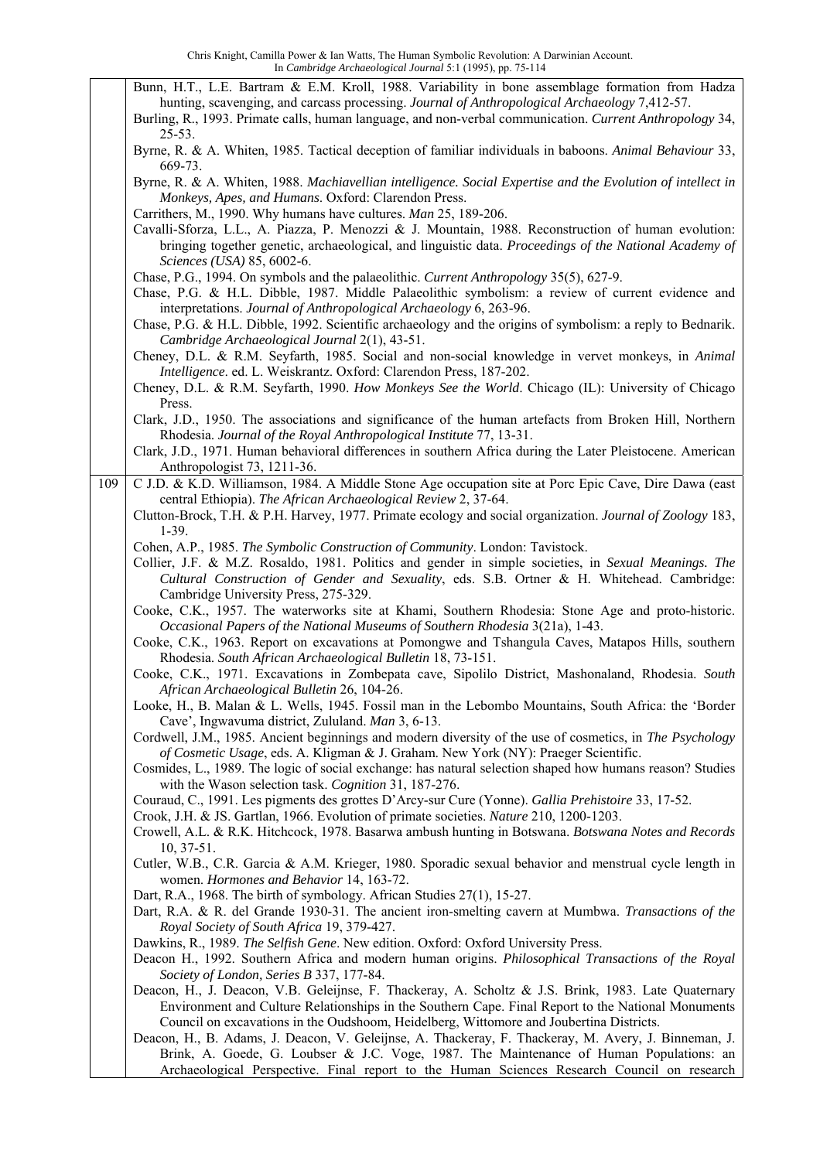|     | Bunn, H.T., L.E. Bartram & E.M. Kroll, 1988. Variability in bone assemblage formation from Hadza<br>hunting, scavenging, and carcass processing. Journal of Anthropological Archaeology 7,412-57.<br>Burling, R., 1993. Primate calls, human language, and non-verbal communication. Current Anthropology 34,<br>$25 - 53$ . |
|-----|------------------------------------------------------------------------------------------------------------------------------------------------------------------------------------------------------------------------------------------------------------------------------------------------------------------------------|
|     | Byrne, R. & A. Whiten, 1985. Tactical deception of familiar individuals in baboons. Animal Behaviour 33,<br>669-73.                                                                                                                                                                                                          |
|     | Byrne, R. & A. Whiten, 1988. Machiavellian intelligence. Social Expertise and the Evolution of intellect in<br>Monkeys, Apes, and Humans. Oxford: Clarendon Press.                                                                                                                                                           |
|     | Carrithers, M., 1990. Why humans have cultures. Man 25, 189-206.                                                                                                                                                                                                                                                             |
|     | Cavalli-Sforza, L.L., A. Piazza, P. Menozzi & J. Mountain, 1988. Reconstruction of human evolution:<br>bringing together genetic, archaeological, and linguistic data. Proceedings of the National Academy of<br>Sciences (USA) 85, 6002-6.                                                                                  |
|     | Chase, P.G., 1994. On symbols and the palaeolithic. Current Anthropology 35(5), 627-9.                                                                                                                                                                                                                                       |
|     | Chase, P.G. & H.L. Dibble, 1987. Middle Palaeolithic symbolism: a review of current evidence and<br>interpretations. Journal of Anthropological Archaeology 6, 263-96.                                                                                                                                                       |
|     | Chase, P.G. & H.L. Dibble, 1992. Scientific archaeology and the origins of symbolism: a reply to Bednarik.<br>Cambridge Archaeological Journal 2(1), 43-51.                                                                                                                                                                  |
|     | Cheney, D.L. & R.M. Seyfarth, 1985. Social and non-social knowledge in vervet monkeys, in Animal<br>Intelligence. ed. L. Weiskrantz. Oxford: Clarendon Press, 187-202.                                                                                                                                                       |
|     | Cheney, D.L. & R.M. Seyfarth, 1990. How Monkeys See the World. Chicago (IL): University of Chicago<br>Press.                                                                                                                                                                                                                 |
|     | Clark, J.D., 1950. The associations and significance of the human artefacts from Broken Hill, Northern<br>Rhodesia. Journal of the Royal Anthropological Institute 77, 13-31.                                                                                                                                                |
|     | Clark, J.D., 1971. Human behavioral differences in southern Africa during the Later Pleistocene. American<br>Anthropologist 73, 1211-36.                                                                                                                                                                                     |
| 109 | C J.D. & K.D. Williamson, 1984. A Middle Stone Age occupation site at Porc Epic Cave, Dire Dawa (east                                                                                                                                                                                                                        |
|     | central Ethiopia). The African Archaeological Review 2, 37-64.<br>Clutton-Brock, T.H. & P.H. Harvey, 1977. Primate ecology and social organization. Journal of Zoology 183,<br>$1-39.$                                                                                                                                       |
|     | Cohen, A.P., 1985. The Symbolic Construction of Community. London: Tavistock.                                                                                                                                                                                                                                                |
|     | Collier, J.F. & M.Z. Rosaldo, 1981. Politics and gender in simple societies, in Sexual Meanings. The<br>Cultural Construction of Gender and Sexuality, eds. S.B. Ortner & H. Whitehead. Cambridge:<br>Cambridge University Press, 275-329.                                                                                   |
|     | Cooke, C.K., 1957. The waterworks site at Khami, Southern Rhodesia: Stone Age and proto-historic.<br>Occasional Papers of the National Museums of Southern Rhodesia 3(21a), 1-43.                                                                                                                                            |
|     | Cooke, C.K., 1963. Report on excavations at Pomongwe and Tshangula Caves, Matapos Hills, southern<br>Rhodesia. South African Archaeological Bulletin 18, 73-151.                                                                                                                                                             |
|     | Cooke, C.K., 1971. Excavations in Zombepata cave, Sipolilo District, Mashonaland, Rhodesia. South<br>African Archaeological Bulletin 26, 104-26.                                                                                                                                                                             |
|     | Looke, H., B. Malan & L. Wells, 1945. Fossil man in the Lebombo Mountains, South Africa: the 'Border<br>Cave', Ingwavuma district, Zululand. Man 3, 6-13.                                                                                                                                                                    |
|     | Cordwell, J.M., 1985. Ancient beginnings and modern diversity of the use of cosmetics, in The Psychology<br>of Cosmetic Usage, eds. A. Kligman & J. Graham. New York (NY): Praeger Scientific.                                                                                                                               |
|     | Cosmides, L., 1989. The logic of social exchange: has natural selection shaped how humans reason? Studies<br>with the Wason selection task. Cognition 31, 187-276.                                                                                                                                                           |
|     | Couraud, C., 1991. Les pigments des grottes D'Arcy-sur Cure (Yonne). Gallia Prehistoire 33, 17-52.<br>Crook, J.H. & JS. Gartlan, 1966. Evolution of primate societies. Nature 210, 1200-1203.                                                                                                                                |
|     | Crowell, A.L. & R.K. Hitchcock, 1978. Basarwa ambush hunting in Botswana. Botswana Notes and Records<br>$10, 37-51.$                                                                                                                                                                                                         |
|     | Cutler, W.B., C.R. Garcia & A.M. Krieger, 1980. Sporadic sexual behavior and menstrual cycle length in<br>women. Hormones and Behavior 14, 163-72.                                                                                                                                                                           |
|     | Dart, R.A., 1968. The birth of symbology. African Studies 27(1), 15-27.<br>Dart, R.A. & R. del Grande 1930-31. The ancient iron-smelting cavern at Mumbwa. Transactions of the                                                                                                                                               |
|     | Royal Society of South Africa 19, 379-427.                                                                                                                                                                                                                                                                                   |
|     | Dawkins, R., 1989. The Selfish Gene. New edition. Oxford: Oxford University Press.<br>Deacon H., 1992. Southern Africa and modern human origins. Philosophical Transactions of the Royal<br>Society of London, Series B 337, 177-84.                                                                                         |
|     | Deacon, H., J. Deacon, V.B. Geleijnse, F. Thackeray, A. Scholtz & J.S. Brink, 1983. Late Quaternary                                                                                                                                                                                                                          |
|     | Environment and Culture Relationships in the Southern Cape. Final Report to the National Monuments<br>Council on excavations in the Oudshoom, Heidelberg, Wittomore and Joubertina Districts.                                                                                                                                |
|     | Deacon, H., B. Adams, J. Deacon, V. Geleijnse, A. Thackeray, F. Thackeray, M. Avery, J. Binneman, J.                                                                                                                                                                                                                         |
|     | Brink, A. Goede, G. Loubser & J.C. Voge, 1987. The Maintenance of Human Populations: an<br>Archaeological Perspective. Final report to the Human Sciences Research Council on research                                                                                                                                       |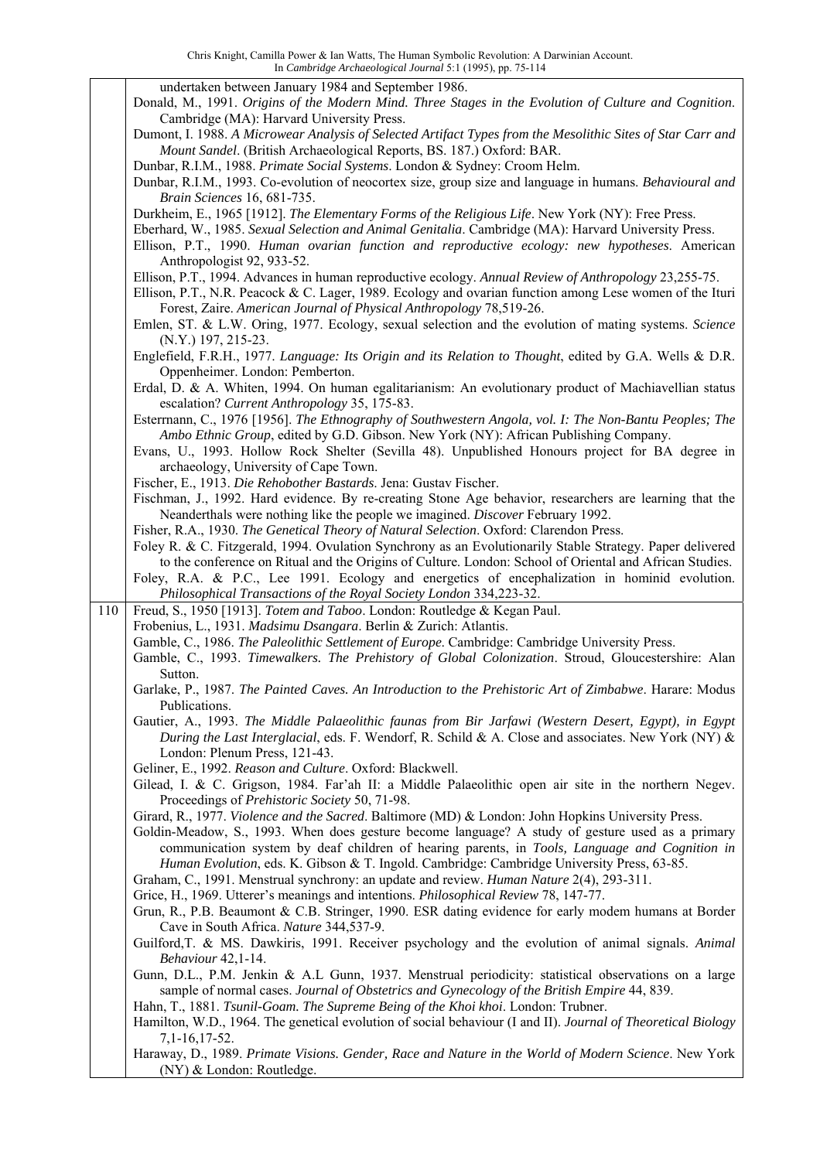|     | undertaken between January 1984 and September 1986.                                                                                                                          |
|-----|------------------------------------------------------------------------------------------------------------------------------------------------------------------------------|
|     | Donald, M., 1991. Origins of the Modern Mind. Three Stages in the Evolution of Culture and Cognition.                                                                        |
|     | Cambridge (MA): Harvard University Press.                                                                                                                                    |
|     | Dumont, I. 1988. A Microwear Analysis of Selected Artifact Types from the Mesolithic Sites of Star Carr and                                                                  |
|     | Mount Sandel. (British Archaeological Reports, BS. 187.) Oxford: BAR.                                                                                                        |
|     | Dunbar, R.I.M., 1988. Primate Social Systems. London & Sydney: Croom Helm.                                                                                                   |
|     | Dunbar, R.I.M., 1993. Co-evolution of neocortex size, group size and language in humans. Behavioural and                                                                     |
|     | Brain Sciences 16, 681-735.                                                                                                                                                  |
|     | Durkheim, E., 1965 [1912]. The Elementary Forms of the Religious Life. New York (NY): Free Press.                                                                            |
|     | Eberhard, W., 1985. Sexual Selection and Animal Genitalia. Cambridge (MA): Harvard University Press.                                                                         |
|     | Ellison, P.T., 1990. Human ovarian function and reproductive ecology: new hypotheses. American                                                                               |
|     | Anthropologist 92, 933-52.                                                                                                                                                   |
|     | Ellison, P.T., 1994. Advances in human reproductive ecology. Annual Review of Anthropology 23,255-75.                                                                        |
|     | Ellison, P.T., N.R. Peacock & C. Lager, 1989. Ecology and ovarian function among Lese women of the Ituri                                                                     |
|     | Forest, Zaire. American Journal of Physical Anthropology 78,519-26.                                                                                                          |
|     | Emlen, ST. & L.W. Oring, 1977. Ecology, sexual selection and the evolution of mating systems. Science                                                                        |
|     | (N.Y.) 197, 215-23.                                                                                                                                                          |
|     | Englefield, F.R.H., 1977. Language: Its Origin and its Relation to Thought, edited by G.A. Wells & D.R.                                                                      |
|     | Oppenheimer. London: Pemberton.                                                                                                                                              |
|     | Erdal, D. & A. Whiten, 1994. On human egalitarianism: An evolutionary product of Machiavellian status                                                                        |
|     | escalation? Current Anthropology 35, 175-83.                                                                                                                                 |
|     | Esterrnann, C., 1976 [1956]. The Ethnography of Southwestern Angola, vol. I: The Non-Bantu Peoples; The                                                                      |
|     | Ambo Ethnic Group, edited by G.D. Gibson. New York (NY): African Publishing Company.                                                                                         |
|     |                                                                                                                                                                              |
|     | Evans, U., 1993. Hollow Rock Shelter (Sevilla 48). Unpublished Honours project for BA degree in                                                                              |
|     | archaeology, University of Cape Town.                                                                                                                                        |
|     | Fischer, E., 1913. Die Rehobother Bastards. Jena: Gustav Fischer.<br>Fischman, J., 1992. Hard evidence. By re-creating Stone Age behavior, researchers are learning that the |
|     | Neanderthals were nothing like the people we imagined. Discover February 1992.                                                                                               |
|     | Fisher, R.A., 1930. The Genetical Theory of Natural Selection. Oxford: Clarendon Press.                                                                                      |
|     | Foley R. & C. Fitzgerald, 1994. Ovulation Synchrony as an Evolutionarily Stable Strategy. Paper delivered                                                                    |
|     | to the conference on Ritual and the Origins of Culture. London: School of Oriental and African Studies.                                                                      |
|     | Foley, R.A. & P.C., Lee 1991. Ecology and energetics of encephalization in hominid evolution.                                                                                |
|     | Philosophical Transactions of the Royal Society London 334,223-32.                                                                                                           |
| 110 | Freud, S., 1950 [1913]. Totem and Taboo. London: Routledge & Kegan Paul.                                                                                                     |
|     | Frobenius, L., 1931. Madsimu Dsangara. Berlin & Zurich: Atlantis.                                                                                                            |
|     | Gamble, C., 1986. The Paleolithic Settlement of Europe. Cambridge: Cambridge University Press.                                                                               |
|     | Gamble, C., 1993. Timewalkers. The Prehistory of Global Colonization. Stroud, Gloucestershire: Alan                                                                          |
|     | Sutton.                                                                                                                                                                      |
|     | Garlake, P., 1987. The Painted Caves. An Introduction to the Prehistoric Art of Zimbabwe. Harare: Modus                                                                      |
|     | Publications.                                                                                                                                                                |
|     | Gautier, A., 1993. The Middle Palaeolithic faunas from Bir Jarfawi (Western Desert, Egypt), in Egypt                                                                         |
|     | During the Last Interglacial, eds. F. Wendorf, R. Schild & A. Close and associates. New York (NY) &                                                                          |
|     | London: Plenum Press, 121-43.                                                                                                                                                |
|     | Geliner, E., 1992. Reason and Culture. Oxford: Blackwell.                                                                                                                    |
|     | Gilead, I. & C. Grigson, 1984. Far'ah II: a Middle Palaeolithic open air site in the northern Negev.                                                                         |
|     | Proceedings of Prehistoric Society 50, 71-98.                                                                                                                                |
|     | Girard, R., 1977. Violence and the Sacred. Baltimore (MD) & London: John Hopkins University Press.                                                                           |
|     | Goldin-Meadow, S., 1993. When does gesture become language? A study of gesture used as a primary                                                                             |
|     | communication system by deaf children of hearing parents, in Tools, Language and Cognition in                                                                                |
|     | Human Evolution, eds. K. Gibson & T. Ingold. Cambridge: Cambridge University Press, 63-85.                                                                                   |
|     |                                                                                                                                                                              |
|     |                                                                                                                                                                              |
|     | Graham, C., 1991. Menstrual synchrony: an update and review. Human Nature 2(4), 293-311.                                                                                     |
|     | Grice, H., 1969. Utterer's meanings and intentions. Philosophical Review 78, 147-77.                                                                                         |
|     | Grun, R., P.B. Beaumont & C.B. Stringer, 1990. ESR dating evidence for early modem humans at Border                                                                          |
|     | Cave in South Africa. Nature 344,537-9.                                                                                                                                      |
|     | Guilford, T. & MS. Dawkiris, 1991. Receiver psychology and the evolution of animal signals. Animal                                                                           |
|     | Behaviour 42,1-14.                                                                                                                                                           |
|     | Gunn, D.L., P.M. Jenkin & A.L Gunn, 1937. Menstrual periodicity: statistical observations on a large                                                                         |
|     | sample of normal cases. Journal of Obstetrics and Gynecology of the British Empire 44, 839.                                                                                  |
|     | Hahn, T., 1881. Tsunil-Goam. The Supreme Being of the Khoi khoi. London: Trubner.                                                                                            |
|     | Hamilton, W.D., 1964. The genetical evolution of social behaviour (I and II). Journal of Theoretical Biology<br>$7,1-16,17-52.$                                              |
|     | Haraway, D., 1989. Primate Visions. Gender, Race and Nature in the World of Modern Science. New York                                                                         |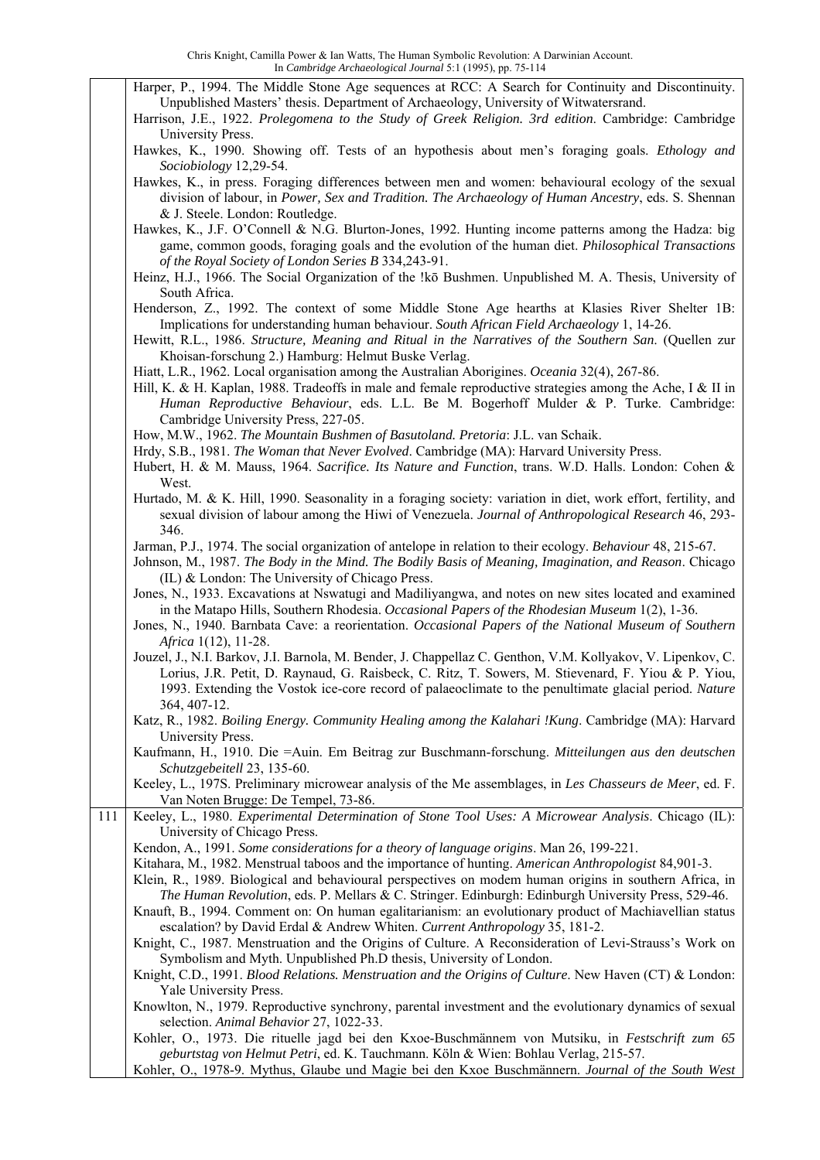Harper, P., 1994. The Middle Stone Age sequences at RCC: A Search for Continuity and Discontinuity. Unpublished Masters' thesis. Department of Archaeology, University of Witwatersrand.

Harrison, J.E., 1922. *Prolegomena to the Study of Greek Religion. 3rd edition*. Cambridge: Cambridge University Press.

- Hawkes, K., 1990. Showing off. Tests of an hypothesis about men's foraging goals. *Ethology and Sociobiology* 12,29-54.
- Hawkes, K., in press. Foraging differences between men and women: behavioural ecology of the sexual division of labour, in *Power, Sex and Tradition. The Archaeology of Human Ancestry*, eds. S. Shennan & J. Steele. London: Routledge.
- Hawkes, K., J.F. O'Connell & N.G. Blurton-Jones, 1992. Hunting income patterns among the Hadza: big game, common goods, foraging goals and the evolution of the human diet. *Philosophical Transactions of the Royal Society of London Series B* 334,243-91.
- Heinz, H.J., 1966. The Social Organization of the !kō Bushmen. Unpublished M. A. Thesis, University of South Africa.
- Henderson, Z., 1992. The context of some Middle Stone Age hearths at Klasies River Shelter 1B: Implications for understanding human behaviour. *South African Field Archaeology* 1, 14-26.

Hewitt, R.L., 1986. *Structure, Meaning and Ritual in the Narratives of the Southern San*. (Quellen zur Khoisan-forschung 2.) Hamburg: Helmut Buske Verlag.

- Hiatt, L.R., 1962. Local organisation among the Australian Aborigines. *Oceania* 32(4), 267-86.
- Hill, K. & H. Kaplan, 1988. Tradeoffs in male and female reproductive strategies among the Ache, I & II in *Human Reproductive Behaviour*, eds. L.L. Be M. Bogerhoff Mulder & P. Turke. Cambridge: Cambridge University Press, 227-05.
- How, M.W., 1962. *The Mountain Bushmen of Basutoland. Pretoria*: J.L. van Schaik.

Hrdy, S.B., 1981. *The Woman that Never Evolved*. Cambridge (MA): Harvard University Press.

- Hubert, H. & M. Mauss, 1964. *Sacrifice. Its Nature and Function*, trans. W.D. Halls. London: Cohen & West.
- Hurtado, M. & K. Hill, 1990. Seasonality in a foraging society: variation in diet, work effort, fertility, and sexual division of labour among the Hiwi of Venezuela. *Journal of Anthropological Research* 46, 293- 346.
- Jarman, P.J., 1974. The social organization of antelope in relation to their ecology. *Behaviour* 48, 215-67.
- Johnson, M., 1987. *The Body in the Mind. The Bodily Basis of Meaning, Imagination, and Reason*. Chicago (IL) & London: The University of Chicago Press.
- Jones, N., 1933. Excavations at Nswatugi and Madiliyangwa, and notes on new sites located and examined in the Matapo Hills, Southern Rhodesia. *Occasional Papers of the Rhodesian Museum* 1(2), 1-36.
- Jones, N., 1940. Barnbata Cave: a reorientation. *Occasional Papers of the National Museum of Southern Africa* 1(12), 11-28.
- Jouzel, J., N.I. Barkov, J.I. Barnola, M. Bender, J. Chappellaz C. Genthon, V.M. Kollyakov, V. Lipenkov, C. Lorius, J.R. Petit, D. Raynaud, G. Raisbeck, C. Ritz, T. Sowers, M. Stievenard, F. Yiou & P. Yiou, 1993. Extending the Vostok ice-core record of palaeoclimate to the penultimate glacial period. *Nature* 364, 407-12.
- Katz, R., 1982. *Boiling Energy. Community Healing among the Kalahari !Kung*. Cambridge (MA): Harvard University Press.
- Kaufmann, H., 1910. Die =Auin. Em Beitrag zur Buschmann-forschung. *Mitteilungen aus den deutschen Schutzgebeitell* 23, 135-60.
- Keeley, L., 197S. Preliminary microwear analysis of the Me assemblages, in *Les Chasseurs de Meer*, ed. F. Van Noten Brugge: De Tempel, 73-86.
- 111 Keeley, L., 1980. *Experimental Determination of Stone Tool Uses: A Microwear Analysis*. Chicago (IL): University of Chicago Press.
	- Kendon, A., 1991. *Some considerations for a theory of language origins*. Man 26, 199-221.
	- Kitahara, M., 1982. Menstrual taboos and the importance of hunting. *American Anthropologist* 84,901-3.
	- Klein, R., 1989. Biological and behavioural perspectives on modem human origins in southern Africa, in *The Human Revolution*, eds. P. Mellars & C. Stringer. Edinburgh: Edinburgh University Press, 529-46.
	- Knauft, B., 1994. Comment on: On human egalitarianism: an evolutionary product of Machiavellian status escalation? by David Erdal & Andrew Whiten. *Current Anthropology* 35, 181-2.
	- Knight, C., 1987. Menstruation and the Origins of Culture. A Reconsideration of Levi-Strauss's Work on Symbolism and Myth. Unpublished Ph.D thesis, University of London.

Knight, C.D., 1991. *Blood Relations. Menstruation and the Origins of Culture*. New Haven (CT) & London: Yale University Press.

- Knowlton, N., 1979. Reproductive synchrony, parental investment and the evolutionary dynamics of sexual selection. *Animal Behavior* 27, 1022-33.
- Kohler, O., 1973. Die rituelle jagd bei den Kxoe-Buschmännem von Mutsiku, in *Festschrift zum 65 geburtstag von Helmut Petri*, ed. K. Tauchmann. Köln & Wien: Bohlau Verlag, 215-57.
- Kohler, O., 1978-9. Mythus, Glaube und Magie bei den Kxoe Buschmännern. *Journal of the South West*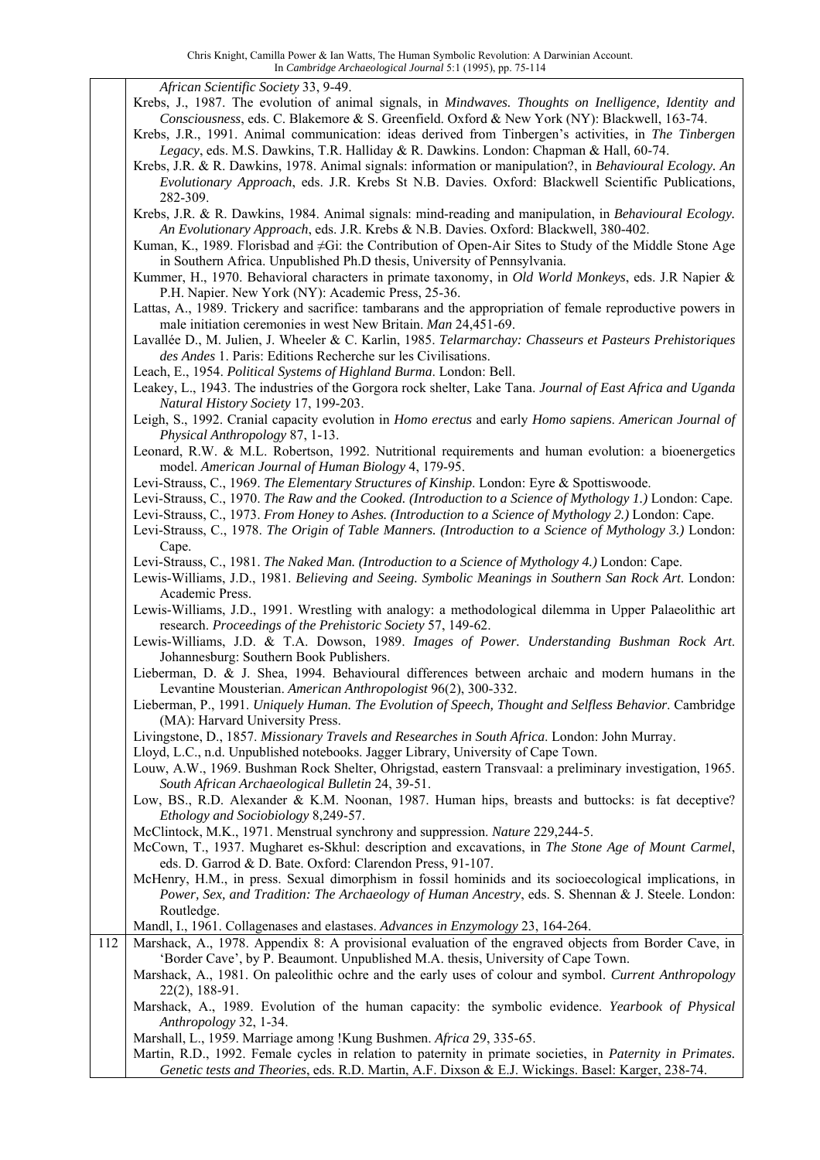*African Scientific Society* 33, 9-49.

Krebs, J., 1987. The evolution of animal signals, in *Mindwaves. Thoughts on Inelligence, Identity and Consciousness*, eds. C. Blakemore & S. Greenfield. Oxford & New York (NY): Blackwell, 163-74.

- Krebs, J.R., 1991. Animal communication: ideas derived from Tinbergen's activities, in *The Tinbergen Legacy*, eds. M.S. Dawkins, T.R. Halliday & R. Dawkins. London: Chapman & Hall, 60-74.
- Krebs, J.R. & R. Dawkins, 1978. Animal signals: information or manipulation?, in *Behavioural Ecology. An Evolutionary Approach*, eds. J.R. Krebs St N.B. Davies. Oxford: Blackwell Scientific Publications, 282-309.
- Krebs, J.R. & R. Dawkins, 1984. Animal signals: mind-reading and manipulation, in *Behavioural Ecology. An Evolutionary Approach*, eds. J.R. Krebs & N.B. Davies. Oxford: Blackwell, 380-402.
- Kuman, K., 1989. Florisbad and ≠Gi: the Contribution of Open-Air Sites to Study of the Middle Stone Age in Southern Africa. Unpublished Ph.D thesis, University of Pennsylvania.
- Kummer, H., 1970. Behavioral characters in primate taxonomy, in *Old World Monkeys*, eds. J.R Napier & P.H. Napier. New York (NY): Academic Press, 25-36.
- Lattas, A., 1989. Trickery and sacrifice: tambarans and the appropriation of female reproductive powers in male initiation ceremonies in west New Britain. *Man* 24,451-69.
- Lavallée D., M. Julien, J. Wheeler & C. Karlin, 1985. *Telarmarchay: Chasseurs et Pasteurs Prehistoriques des Andes* 1. Paris: Editions Recherche sur les Civilisations.
- Leach, E., 1954. *Political Systems of Highland Burma*. London: Bell.
- Leakey, L., 1943. The industries of the Gorgora rock shelter, Lake Tana. *Journal of East Africa and Uganda Natural History Society* 17, 199-203.
- Leigh, S., 1992. Cranial capacity evolution in *Homo erectus* and early *Homo sapiens*. *American Journal of Physical Anthropology* 87, 1-13.
- Leonard, R.W. & M.L. Robertson, 1992. Nutritional requirements and human evolution: a bioenergetics model. *American Journal of Human Biology* 4, 179-95.
- Levi-Strauss, C., 1969. *The Elementary Structures of Kinship*. London: Eyre & Spottiswoode.
- Levi-Strauss, C., 1970. *The Raw and the Cooked. (Introduction to a Science of Mythology 1.)* London: Cape.
- Levi-Strauss, C., 1973. *From Honey to Ashes. (Introduction to a Science of Mythology 2.)* London: Cape.
- Levi-Strauss, C., 1978. *The Origin of Table Manners. (Introduction to a Science of Mythology 3.)* London: Cape
- Levi-Strauss, C., 1981. *The Naked Man. (Introduction to a Science of Mythology 4.)* London: Cape.
- Lewis-Williams, J.D., 1981. *Believing and Seeing. Symbolic Meanings in Southern San Rock Art*. London: Academic Press.
- Lewis-Williams, J.D., 1991. Wrestling with analogy: a methodological dilemma in Upper Palaeolithic art research. *Proceedings of the Prehistoric Society* 57, 149-62.
- Lewis-Williams, J.D. & T.A. Dowson, 1989. *Images of Power. Understanding Bushman Rock Art*. Johannesburg: Southern Book Publishers.
- Lieberman, D. & J. Shea, 1994. Behavioural differences between archaic and modern humans in the Levantine Mousterian. *American Anthropologist* 96(2), 300-332.
- Lieberman, P., 1991. *Uniquely Human. The Evolution of Speech, Thought and Selfless Behavior*. Cambridge (MA): Harvard University Press.
- Livingstone, D., 1857. *Missionary Travels and Researches in South Africa*. London: John Murray.
- Lloyd, L.C., n.d. Unpublished notebooks. Jagger Library, University of Cape Town.
- Louw, A.W., 1969. Bushman Rock Shelter, Ohrigstad, eastern Transvaal: a preliminary investigation, 1965. *South African Archaeological Bulletin* 24, 39-51.
- Low, BS., R.D. Alexander & K.M. Noonan, 1987. Human hips, breasts and buttocks: is fat deceptive? *Ethology and Sociobiology* 8,249-57.
- McClintock, M.K., 1971. Menstrual synchrony and suppression. *Nature* 229,244-5.
- McCown, T., 1937. Mugharet es-Skhul: description and excavations, in *The Stone Age of Mount Carmel*, eds. D. Garrod & D. Bate. Oxford: Clarendon Press, 91-107.
- McHenry, H.M., in press. Sexual dimorphism in fossil hominids and its socioecological implications, in *Power, Sex, and Tradition: The Archaeology of Human Ancestry*, eds. S. Shennan & J. Steele. London: Routledge.
- Mandl, I., 1961. Collagenases and elastases. *Advances in Enzymology* 23, 164-264.
- 112 Marshack, A., 1978. Appendix 8: A provisional evaluation of the engraved objects from Border Cave, in 'Border Cave', by P. Beaumont. Unpublished M.A. thesis, University of Cape Town.
	- Marshack, A., 1981. On paleolithic ochre and the early uses of colour and symbol. *Current Anthropology* 22(2), 188-91.
	- Marshack, A., 1989. Evolution of the human capacity: the symbolic evidence. *Yearbook of Physical Anthropology* 32, 1-34.
	- Marshall, L., 1959. Marriage among !Kung Bushmen. *Africa* 29, 335-65.
	- Martin, R.D., 1992. Female cycles in relation to paternity in primate societies, in *Paternity in Primates. Genetic tests and Theories*, eds. R.D. Martin, A.F. Dixson & E.J. Wickings. Basel: Karger, 238-74.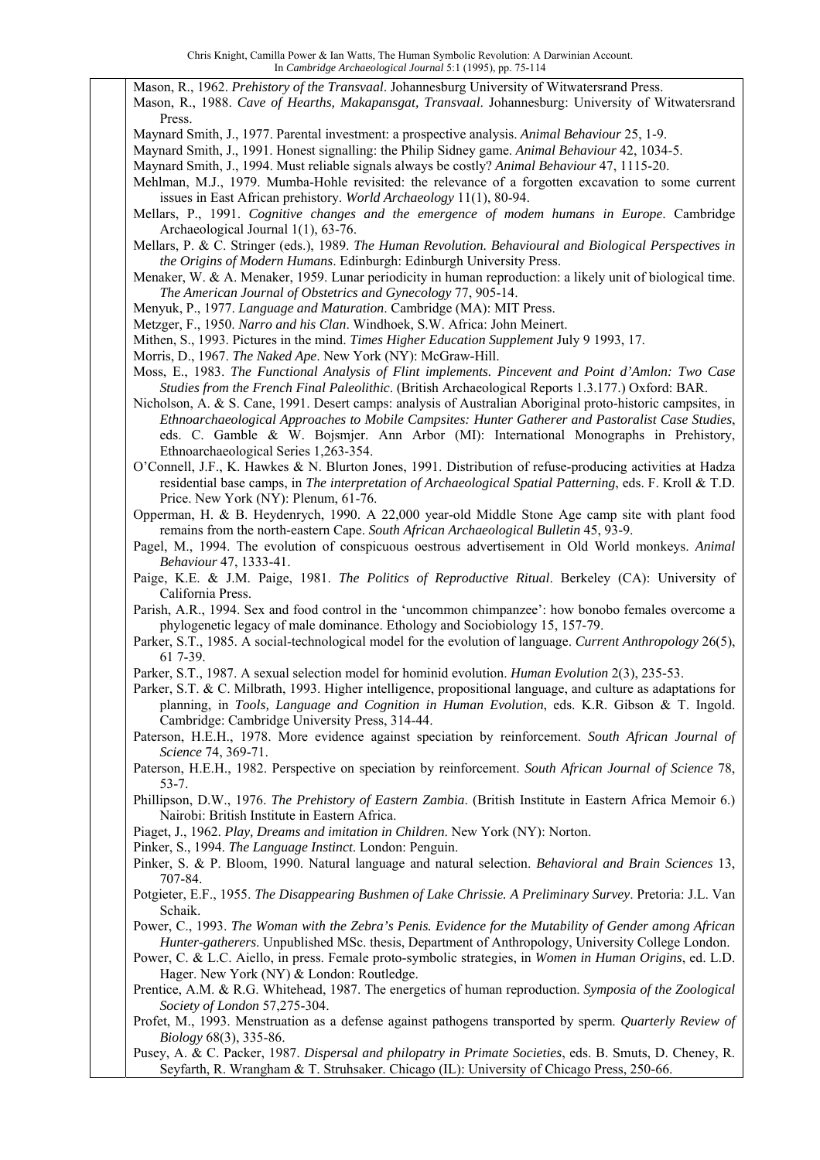Mason, R., 1962. *Prehistory of the Transvaal*. Johannesburg University of Witwatersrand Press. Mason, R., 1988. *Cave of Hearths, Makapansgat, Transvaal*. Johannesburg: University of Witwatersrand Press.

Maynard Smith, J., 1977. Parental investment: a prospective analysis. *Animal Behaviour* 25, 1-9.

Maynard Smith, J., 1991. Honest signalling: the Philip Sidney game. *Animal Behaviour* 42, 1034-5.

- Maynard Smith, J., 1994. Must reliable signals always be costly? *Animal Behaviour* 47, 1115-20.
- Mehlman, M.J., 1979. Mumba-Hohle revisited: the relevance of a forgotten excavation to some current issues in East African prehistory. *World Archaeology* 11(1), 80-94.
- Mellars, P., 1991. *Cognitive changes and the emergence of modem humans in Europe*. Cambridge Archaeological Journal 1(1), 63-76.
- Mellars, P. & C. Stringer (eds.), 1989. *The Human Revolution. Behavioural and Biological Perspectives in the Origins of Modern Humans*. Edinburgh: Edinburgh University Press.

Menaker, W. & A. Menaker, 1959. Lunar periodicity in human reproduction: a likely unit of biological time. *The American Journal of Obstetrics and Gynecology* 77, 905-14.

- Menyuk, P., 1977. *Language and Maturation*. Cambridge (MA): MIT Press.
- Metzger, F., 1950. *Narro and his Clan*. Windhoek, S.W. Africa: John Meinert.
- Mithen, S., 1993. Pictures in the mind. *Times Higher Education Supplement* July 9 1993, 17.
- Morris, D., 1967. *The Naked Ape*. New York (NY): McGraw-Hill.
- Moss, E., 1983. *The Functional Analysis of Flint implements. Pincevent and Point d'Amlon: Two Case Studies from the French Final Paleolithic*. (British Archaeological Reports 1.3.177.) Oxford: BAR.
- Nicholson, A. & S. Cane, 1991. Desert camps: analysis of Australian Aboriginal proto-historic campsites, in *Ethnoarchaeological Approaches to Mobile Campsites: Hunter Gatherer and Pastoralist Case Studies*, eds. C. Gamble & W. Bojsmjer. Ann Arbor (MI): International Monographs in Prehistory, Ethnoarchaeological Series 1,263-354.
- O'Connell, J.F., K. Hawkes & N. Blurton Jones, 1991. Distribution of refuse-producing activities at Hadza residential base camps, in *The interpretation of Archaeological Spatial Patterning*, eds. F. Kroll & T.D. Price. New York (NY): Plenum, 61-76.
- Opperman, H. & B. Heydenrych, 1990. A 22,000 year-old Middle Stone Age camp site with plant food remains from the north-eastern Cape. *South African Archaeological Bulletin* 45, 93-9.
- Pagel, M., 1994. The evolution of conspicuous oestrous advertisement in Old World monkeys. *Animal Behaviour* 47, 1333-41.
- Paige, K.E. & J.M. Paige, 1981. *The Politics of Reproductive Ritual*. Berkeley (CA): University of California Press.
- Parish, A.R., 1994. Sex and food control in the 'uncommon chimpanzee': how bonobo females overcome a phylogenetic legacy of male dominance. Ethology and Sociobiology 15, 157-79.
- Parker, S.T., 1985. A social-technological model for the evolution of language. *Current Anthropology* 26(5), 61 7-39.
- Parker, S.T., 1987. A sexual selection model for hominid evolution. *Human Evolution* 2(3), 235-53.
- Parker, S.T. & C. Milbrath, 1993. Higher intelligence, propositional language, and culture as adaptations for planning, in *Tools, Language and Cognition in Human Evolution*, eds. K.R. Gibson & T. Ingold. Cambridge: Cambridge University Press, 314-44.
- Paterson, H.E.H., 1978. More evidence against speciation by reinforcement. *South African Journal of Science* 74, 369-71.

Paterson, H.E.H., 1982. Perspective on speciation by reinforcement. *South African Journal of Science* 78, 53-7.

Phillipson, D.W., 1976. *The Prehistory of Eastern Zambia*. (British Institute in Eastern Africa Memoir 6.) Nairobi: British Institute in Eastern Africa.

Piaget, J., 1962. *Play, Dreams and imitation in Children*. New York (NY): Norton.

- Pinker, S., 1994. *The Language Instinct*. London: Penguin.
- Pinker, S. & P. Bloom, 1990. Natural language and natural selection. *Behavioral and Brain Sciences* 13, 707-84.
- Potgieter, E.F., 1955. *The Disappearing Bushmen of Lake Chrissie. A Preliminary Survey*. Pretoria: J.L. Van Schaik.

Power, C., 1993. *The Woman with the Zebra's Penis. Evidence for the Mutability of Gender among African Hunter-gatherers*. Unpublished MSc. thesis, Department of Anthropology, University College London.

Power, C. & L.C. Aiello, in press. Female proto-symbolic strategies, in *Women in Human Origins*, ed. L.D. Hager. New York (NY) & London: Routledge.

- Prentice, A.M. & R.G. Whitehead, 1987. The energetics of human reproduction. *Symposia of the Zoological Society of London* 57,275-304.
- Profet, M., 1993. Menstruation as a defense against pathogens transported by sperm. *Quarterly Review of Biology* 68(3), 335-86.

Pusey, A. & C. Packer, 1987. *Dispersal and philopatry in Primate Societies*, eds. B. Smuts, D. Cheney, R. Seyfarth, R. Wrangham & T. Struhsaker. Chicago (IL): University of Chicago Press, 250-66.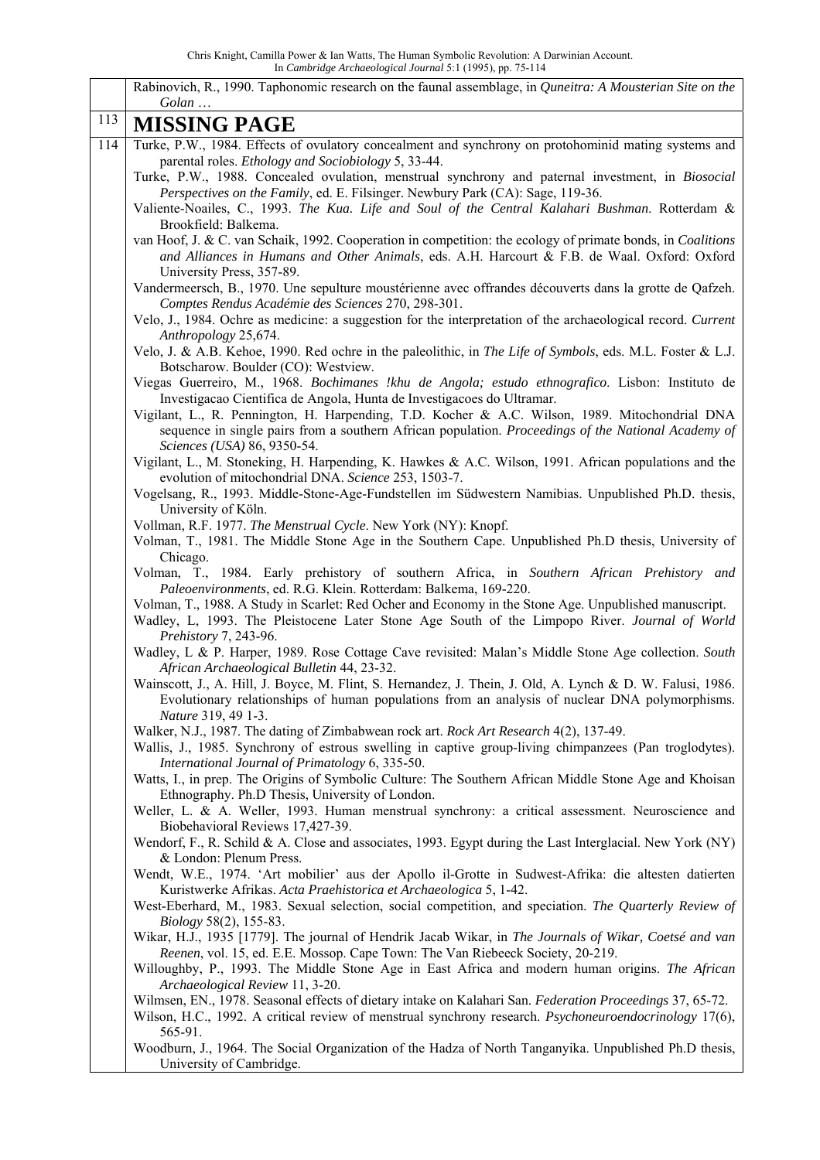|     | Rabinovich, R., 1990. Taphonomic research on the faunal assemblage, in Quneitra: A Mousterian Site on the<br>Golan                                                                                                                                                                          |
|-----|---------------------------------------------------------------------------------------------------------------------------------------------------------------------------------------------------------------------------------------------------------------------------------------------|
| 113 | <b>MISSING PAGE</b>                                                                                                                                                                                                                                                                         |
| 114 | Turke, P.W., 1984. Effects of ovulatory concealment and synchrony on protohominid mating systems and<br>parental roles. <i>Ethology and Sociobiology</i> 5, 33-44.                                                                                                                          |
|     | Turke, P.W., 1988. Concealed ovulation, menstrual synchrony and paternal investment, in Biosocial<br>Perspectives on the Family, ed. E. Filsinger. Newbury Park (CA): Sage, 119-36.<br>Valiente-Noailes, C., 1993. The Kua. Life and Soul of the Central Kalahari Bushman. Rotterdam &      |
|     | Brookfield: Balkema.<br>van Hoof, J. & C. van Schaik, 1992. Cooperation in competition: the ecology of primate bonds, in Coalitions                                                                                                                                                         |
|     | and Alliances in Humans and Other Animals, eds. A.H. Harcourt & F.B. de Waal. Oxford: Oxford<br>University Press, 357-89.                                                                                                                                                                   |
|     | Vandermeersch, B., 1970. Une sepulture moustérienne avec offrandes découverts dans la grotte de Qafzeh.<br>Comptes Rendus Académie des Sciences 270, 298-301.                                                                                                                               |
|     | Velo, J., 1984. Ochre as medicine: a suggestion for the interpretation of the archaeological record. Current<br>Anthropology 25,674.                                                                                                                                                        |
|     | Velo, J. & A.B. Kehoe, 1990. Red ochre in the paleolithic, in The Life of Symbols, eds. M.L. Foster & L.J.<br>Botscharow. Boulder (CO): Westview.                                                                                                                                           |
|     | Viegas Guerreiro, M., 1968. Bochimanes !khu de Angola; estudo ethnografico. Lisbon: Instituto de<br>Investigacao Científica de Angola, Hunta de Investigacoes do Ultramar.                                                                                                                  |
|     | Vigilant, L., R. Pennington, H. Harpending, T.D. Kocher & A.C. Wilson, 1989. Mitochondrial DNA<br>sequence in single pairs from a southern African population. Proceedings of the National Academy of<br>Sciences (USA) 86, 9350-54.                                                        |
|     | Vigilant, L., M. Stoneking, H. Harpending, K. Hawkes & A.C. Wilson, 1991. African populations and the<br>evolution of mitochondrial DNA. Science 253, 1503-7.                                                                                                                               |
|     | Vogelsang, R., 1993. Middle-Stone-Age-Fundstellen im Südwestern Namibias. Unpublished Ph.D. thesis,<br>University of Köln.                                                                                                                                                                  |
|     | Vollman, R.F. 1977. The Menstrual Cycle. New York (NY): Knopf.<br>Volman, T., 1981. The Middle Stone Age in the Southern Cape. Unpublished Ph.D thesis, University of<br>Chicago.                                                                                                           |
|     | Volman, T., 1984. Early prehistory of southern Africa, in Southern African Prehistory and<br>Paleoenvironments, ed. R.G. Klein. Rotterdam: Balkema, 169-220.                                                                                                                                |
|     | Volman, T., 1988. A Study in Scarlet: Red Ocher and Economy in the Stone Age. Unpublished manuscript.<br>Wadley, L, 1993. The Pleistocene Later Stone Age South of the Limpopo River. Journal of World<br>Prehistory 7, 243-96.                                                             |
|     | Wadley, L & P. Harper, 1989. Rose Cottage Cave revisited: Malan's Middle Stone Age collection. South<br>African Archaeological Bulletin 44, 23-32.                                                                                                                                          |
|     | Wainscott, J., A. Hill, J. Boyce, M. Flint, S. Hernandez, J. Thein, J. Old, A. Lynch & D. W. Falusi, 1986.<br>Evolutionary relationships of human populations from an analysis of nuclear DNA polymorphisms.<br>Nature 319, 49 1-3.                                                         |
|     | Walker, N.J., 1987. The dating of Zimbabwean rock art. Rock Art Research 4(2), 137-49.<br>Wallis, J., 1985. Synchrony of estrous swelling in captive group-living chimpanzees (Pan troglodytes).<br>International Journal of Primatology 6, 335-50.                                         |
|     | Watts, I., in prep. The Origins of Symbolic Culture: The Southern African Middle Stone Age and Khoisan<br>Ethnography. Ph.D Thesis, University of London.                                                                                                                                   |
|     | Weller, L. & A. Weller, 1993. Human menstrual synchrony: a critical assessment. Neuroscience and<br>Biobehavioral Reviews 17,427-39.                                                                                                                                                        |
|     | Wendorf, F., R. Schild & A. Close and associates, 1993. Egypt during the Last Interglacial. New York (NY)<br>& London: Plenum Press.                                                                                                                                                        |
|     | Wendt, W.E., 1974. 'Art mobilier' aus der Apollo il-Grotte in Sudwest-Afrika: die altesten datierten<br>Kuristwerke Afrikas. Acta Praehistorica et Archaeologica 5, 1-42.<br>West-Eberhard, M., 1983. Sexual selection, social competition, and speciation. The Quarterly Review of         |
|     | <i>Biology</i> 58(2), 155-83.                                                                                                                                                                                                                                                               |
|     | Wikar, H.J., 1935 [1779]. The journal of Hendrik Jacab Wikar, in The Journals of Wikar, Coetsé and van<br>Reenen, vol. 15, ed. E.E. Mossop. Cape Town: The Van Riebeeck Society, 20-219.<br>Willoughby, P., 1993. The Middle Stone Age in East Africa and modern human origins. The African |
|     | Archaeological Review 11, 3-20.<br>Wilmsen, EN., 1978. Seasonal effects of dietary intake on Kalahari San. Federation Proceedings 37, 65-72.                                                                                                                                                |
|     | Wilson, H.C., 1992. A critical review of menstrual synchrony research. Psychoneuroendocrinology 17(6),<br>565-91.                                                                                                                                                                           |
|     | Woodburn, J., 1964. The Social Organization of the Hadza of North Tanganyika. Unpublished Ph.D thesis,<br>University of Cambridge.                                                                                                                                                          |